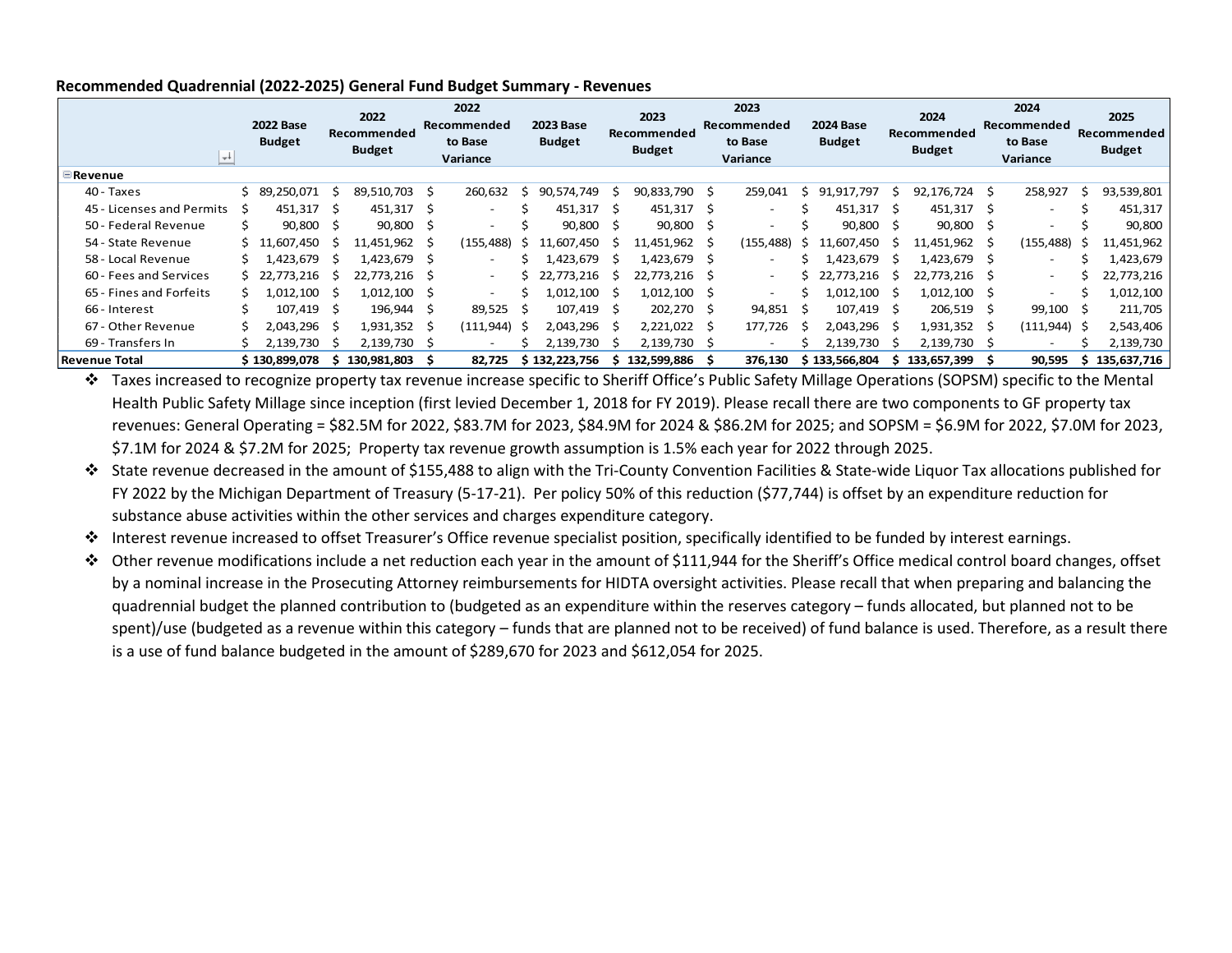| $\blacksquare$ Revenue    | $\rightarrow$ | <b>2022 Base</b><br><b>Budget</b> |              | 2022<br>Recommended<br><b>Budget</b> |    | 2022<br>Recommended<br>to Base<br>Variance |    | <b>2023 Base</b><br><b>Budget</b> |     | 2023<br>Recommended<br><b>Budget</b> |      | 2023<br>Recommended<br>to Base<br>Variance |   | <b>2024 Base</b><br><b>Budget</b> |              | 2024<br>Recommended<br><b>Budget</b> |    | 2024<br>Recommended<br>to Base<br>Variance |    | 2025<br>Recommended<br><b>Budget</b> |
|---------------------------|---------------|-----------------------------------|--------------|--------------------------------------|----|--------------------------------------------|----|-----------------------------------|-----|--------------------------------------|------|--------------------------------------------|---|-----------------------------------|--------------|--------------------------------------|----|--------------------------------------------|----|--------------------------------------|
| 40 - Taxes                |               | \$89,250,071                      |              | 89.510.703                           | S. | 260,632                                    | S  | 90.574.749                        |     | 90,833,790                           | - S  | 259,041                                    | s | 91,917,797                        | S            | 92,176,724 \$                        |    | 258,927                                    |    | 93,539,801                           |
| 45 - Licenses and Permits |               | 451,317                           | <sub>S</sub> | 451,317                              | S  | $\overline{\phantom{a}}$                   |    | 451,317                           | -S  | 451,317                              | -Ŝ   | $\overline{\phantom{0}}$                   |   | 451,317                           |              | 451,317 \$                           |    | $\overline{\phantom{0}}$                   |    | 451,317                              |
| 50 - Federal Revenue      |               | 90,800                            | -S           | 90,800                               | -S | $\overline{\phantom{a}}$                   |    | 90,800                            | - S | 90,800 \$                            |      | $\overline{\phantom{a}}$                   |   | 90,800                            | S            | $90,800$ \$                          |    |                                            |    | 90,800                               |
| 54 - State Revenue        |               | \$11,607,450                      |              | 11,451,962                           | -S | (155, 488)                                 | S  | 11.607.450                        |     | 11,451,962                           | - S  | (155, 488)                                 | s | 11.607.450                        | S            | 11,451,962                           | -S | (155, 488)                                 | 5  | 11,451,962                           |
| 58 - Local Revenue        |               | L.423.679                         |              | 1,423,679                            | S  | $\overline{\phantom{a}}$                   |    | ,423,679                          |     | 1,423,679                            |      | $\overline{\phantom{0}}$                   |   | 1.423.679                         |              | .,423,679 \$                         |    | $\overline{\phantom{a}}$                   |    | 1,423,679                            |
| 60 - Fees and Services    |               | \$22,773,216                      |              | 22,773,216                           | S  | $\overline{\phantom{a}}$                   |    | 22,773,216                        |     | 22,773,216                           |      | $\overline{\phantom{0}}$                   |   | 22,773,216                        |              | 22,773,216 \$                        |    | $\overline{\phantom{0}}$                   |    | 22,773,216                           |
| 65 - Fines and Forfeits   |               | L,012,100                         |              | 1,012,100                            | S  | $\overline{\phantom{0}}$                   |    | L.012.100                         |     | 1,012,100                            | - S  | $\overline{\phantom{0}}$                   |   | 1,012,100                         | <sub>S</sub> | 1,012,100 \$                         |    | $\overline{\phantom{0}}$                   |    | 1,012,100                            |
| 66 - Interest             |               | 107.419                           |              | 196,944                              | Ŝ  | 89,525                                     |    | 107,419                           | -Ŝ  | 202,270                              | - \$ | 94,851                                     |   | 107.419                           | S            | 206,519 \$                           |    | 99,100                                     |    | 211,705                              |
| 67 - Other Revenue        |               | 2,043,296                         |              | 1,931,352                            | S  | (111, 944)                                 | -S | 2,043,296                         |     | 2,221,022                            |      | 177,726                                    | ↘ | 2,043,296                         | S            | 1,931,352                            | -S | $(111, 944)$ \$                            |    | 2,543,406                            |
| 69 - Transfers In         |               | 2,139,730                         |              | 2,139,730                            | S  | $\overline{\phantom{0}}$                   |    | 2,139,730                         |     | 2,139,730                            |      | $\overline{\phantom{0}}$                   |   | 2,139,730                         | <sub>S</sub> | 2,139,730 \$                         |    |                                            |    | 2,139,730                            |
| Revenue Total             |               | \$130,899,078                     |              | 130,981,803                          |    | 82,725                                     |    | \$132,223,756                     | s.  | 132,599,886                          |      | 376,130                                    |   | \$133,566,804                     |              | \$133,657,399                        |    | 90,595                                     | s. | 135,637,716                          |

#### **Recommended Quadrennial (2022-2025) General Fund Budget Summary - Revenues**

 Taxes increased to recognize property tax revenue increase specific to Sheriff Office's Public Safety Millage Operations (SOPSM) specific to the Mental Health Public Safety Millage since inception (first levied December 1, 2018 for FY 2019). Please recall there are two components to GF property tax revenues: General Operating = \$82.5M for 2022, \$83.7M for 2023, \$84.9M for 2024 & \$86.2M for 2025; and SOPSM = \$6.9M for 2022, \$7.0M for 2023, \$7.1M for 2024 & \$7.2M for 2025; Property tax revenue growth assumption is 1.5% each year for 2022 through 2025.

- State revenue decreased in the amount of \$155,488 to align with the Tri-County Convention Facilities & State-wide Liquor Tax allocations published for FY 2022 by the Michigan Department of Treasury (5-17-21). Per policy 50% of this reduction (\$77,744) is offset by an expenditure reduction for substance abuse activities within the other services and charges expenditure category.
- Interest revenue increased to offset Treasurer's Office revenue specialist position, specifically identified to be funded by interest earnings.
- Other revenue modifications include a net reduction each year in the amount of \$111,944 for the Sheriff's Office medical control board changes, offset by a nominal increase in the Prosecuting Attorney reimbursements for HIDTA oversight activities. Please recall that when preparing and balancing the quadrennial budget the planned contribution to (budgeted as an expenditure within the reserves category – funds allocated, but planned not to be spent)/use (budgeted as a revenue within this category – funds that are planned not to be received) of fund balance is used. Therefore, as a result there is a use of fund balance budgeted in the amount of \$289,670 for 2023 and \$612,054 for 2025.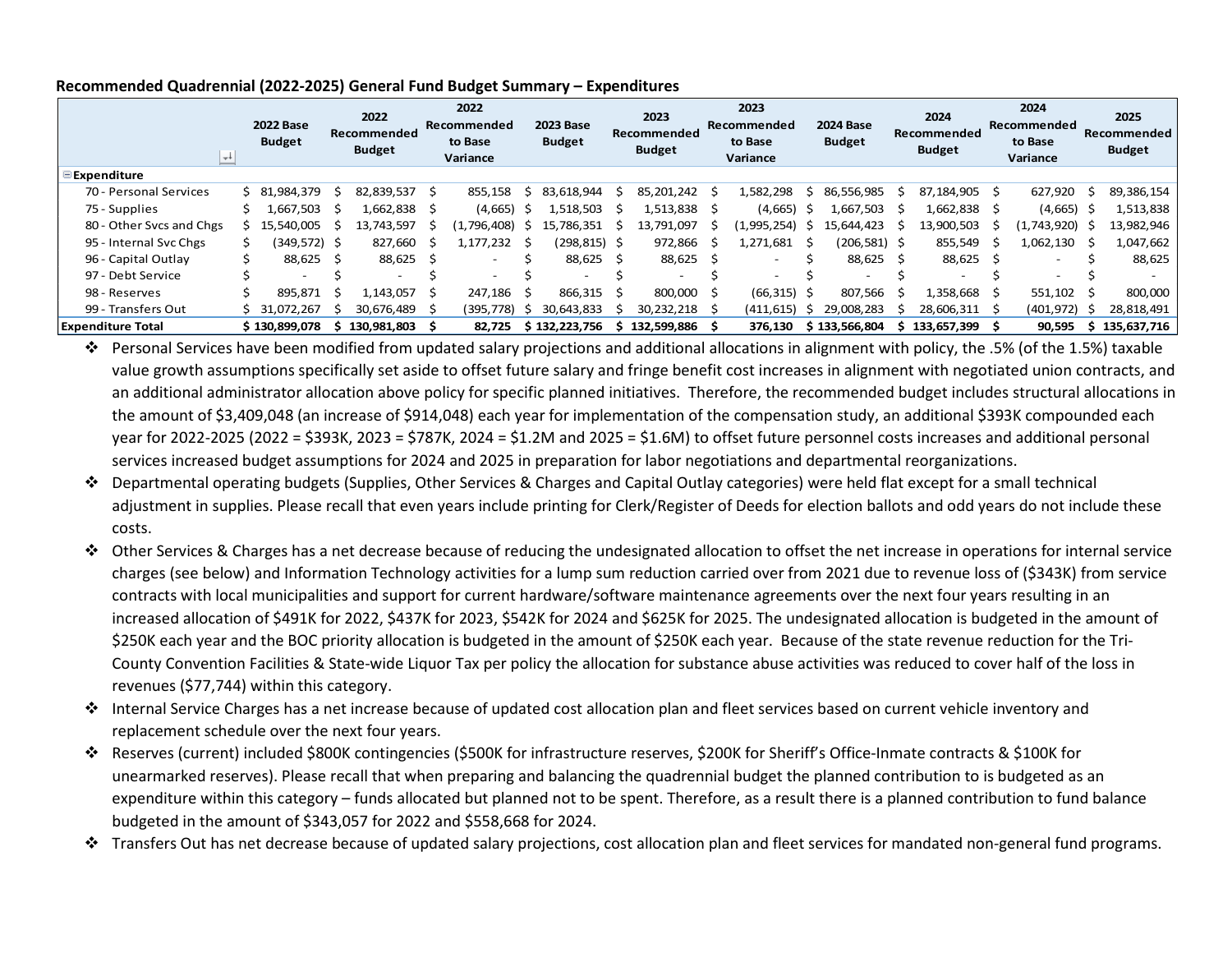|                          | $+$ | <b>2022 Base</b><br><b>Budget</b> | 2022<br>Recommended<br><b>Budget</b> |                          |              | 2022<br>Recommended<br>to Base<br>Variance |    | <b>2023 Base</b><br><b>Budget</b> |      | 2023<br>Recommended<br><b>Budget</b> | 2023<br>Recommended<br>to Base<br>Variance |     | <b>2024 Base</b><br><b>Budget</b> | 2024<br>Recommended<br><b>Budget</b> |    | 2024<br>Recommended<br>to Base<br>Variance | 2025<br>Recommended<br><b>Budget</b> |
|--------------------------|-----|-----------------------------------|--------------------------------------|--------------------------|--------------|--------------------------------------------|----|-----------------------------------|------|--------------------------------------|--------------------------------------------|-----|-----------------------------------|--------------------------------------|----|--------------------------------------------|--------------------------------------|
| <b>Expenditure</b>       |     |                                   |                                      |                          |              |                                            |    |                                   |      |                                      |                                            |     |                                   |                                      |    |                                            |                                      |
| 70 - Personal Services   |     | \$ 81,984,379                     |                                      | 82,839,537               | Ŝ            | 855,158                                    | S  | 83.618.944                        |      | 85,201,242                           | 1,582,298                                  | s   | 86,556,985                        | 87,184,905 \$                        |    | 627,920                                    | 89,386,154                           |
| 75 - Supplies            |     | 1,667,503                         |                                      | 1,662,838                |              | (4,665)                                    | -S | L,518,503                         |      | 1,513,838                            | (4,665)                                    | s   | 1,667,503                         | l,662,838 \$                         |    | $(4,665)$ \$                               | 1,513,838                            |
| 80 - Other Svcs and Chgs |     | .540.005<br>S 15.                 |                                      | 13.743.597               |              | (1,796,408)                                | S  | 15.786.351                        |      | 13.791.097                           | 1.995.254                                  | S   | 15.644.423                        | 13.900.503                           |    | (1.743.920) \$                             | 13,982,946                           |
| 95 - Internal Svc Chgs   |     | (349,572) \$                      |                                      | 827.660                  | -S           | 1.177.232                                  |    | (298,815) \$                      |      | 972.866                              | 1.271.681                                  | S   | (206,581) \$                      | 855,549                              | -S | 1,062,130                                  | 1,047,662                            |
| 96 - Capital Outlay      |     | 88,625                            |                                      | 88,625                   |              |                                            |    | 88,625                            | - \$ | 88,625                               |                                            |     | 88,625                            | 88,625 \$                            |    |                                            | 88,625                               |
| 97 - Debt Service        |     | $\overline{\phantom{0}}$          |                                      | $\overline{\phantom{0}}$ |              | $\overline{\phantom{0}}$                   |    | $\overline{\phantom{0}}$          |      | $\overline{\phantom{0}}$             | $\overline{\phantom{0}}$                   |     | $\overline{\phantom{a}}$          | $\overline{\phantom{a}}$             |    |                                            |                                      |
| 98 - Reserves            |     | 895,871                           |                                      | 1,143,057                | <sub>S</sub> | 247.186                                    | -S | 866,315                           |      | 800.000 \$                           | (66, 315)                                  | - Ś | 807.566                           | 1,358,668                            |    | 551,102                                    | 800,000                              |
| 99 - Transfers Out       |     | \$31,072,267                      |                                      | 30,676,489               |              | (395,778)                                  |    | 30.643.833                        |      | 30,232,218                           | (411, 615)                                 | S   | 29,008,283                        | 28,606,311                           |    | (401, 972)                                 | 28,818,491                           |
| <b>Expenditure Total</b> |     | \$130,899,078                     |                                      | \$130,981,803            |              | 82.725                                     |    | \$132,223,756                     | S    | 132,599,886                          | 376,130                                    |     | \$133,566,804                     | \$133,657,399                        |    | 90,595                                     | \$135,637,716                        |

#### **Recommended Quadrennial (2022-2025) General Fund Budget Summary – Expenditures**

 Personal Services have been modified from updated salary projections and additional allocations in alignment with policy, the .5% (of the 1.5%) taxable value growth assumptions specifically set aside to offset future salary and fringe benefit cost increases in alignment with negotiated union contracts, and an additional administrator allocation above policy for specific planned initiatives. Therefore, the recommended budget includes structural allocations in the amount of \$3,409,048 (an increase of \$914,048) each year for implementation of the compensation study, an additional \$393K compounded each year for 2022-2025 (2022 = \$393K, 2023 = \$787K, 2024 = \$1.2M and 2025 = \$1.6M) to offset future personnel costs increases and additional personal services increased budget assumptions for 2024 and 2025 in preparation for labor negotiations and departmental reorganizations.

- Departmental operating budgets (Supplies, Other Services & Charges and Capital Outlay categories) were held flat except for a small technical adjustment in supplies. Please recall that even years include printing for Clerk/Register of Deeds for election ballots and odd years do not include these costs.
- Other Services & Charges has a net decrease because of reducing the undesignated allocation to offset the net increase in operations for internal service charges (see below) and Information Technology activities for a lump sum reduction carried over from 2021 due to revenue loss of (\$343K) from service contracts with local municipalities and support for current hardware/software maintenance agreements over the next four years resulting in an increased allocation of \$491K for 2022, \$437K for 2023, \$542K for 2024 and \$625K for 2025. The undesignated allocation is budgeted in the amount of \$250K each year and the BOC priority allocation is budgeted in the amount of \$250K each year. Because of the state revenue reduction for the Tri-County Convention Facilities & State-wide Liquor Tax per policy the allocation for substance abuse activities was reduced to cover half of the loss in revenues (\$77,744) within this category.
- Internal Service Charges has a net increase because of updated cost allocation plan and fleet services based on current vehicle inventory and replacement schedule over the next four years.
- Reserves (current) included \$800K contingencies (\$500K for infrastructure reserves, \$200K for Sheriff's Office-Inmate contracts & \$100K for unearmarked reserves). Please recall that when preparing and balancing the quadrennial budget the planned contribution to is budgeted as an expenditure within this category – funds allocated but planned not to be spent. Therefore, as a result there is a planned contribution to fund balance budgeted in the amount of \$343,057 for 2022 and \$558,668 for 2024.
- Transfers Out has net decrease because of updated salary projections, cost allocation plan and fleet services for mandated non-general fund programs.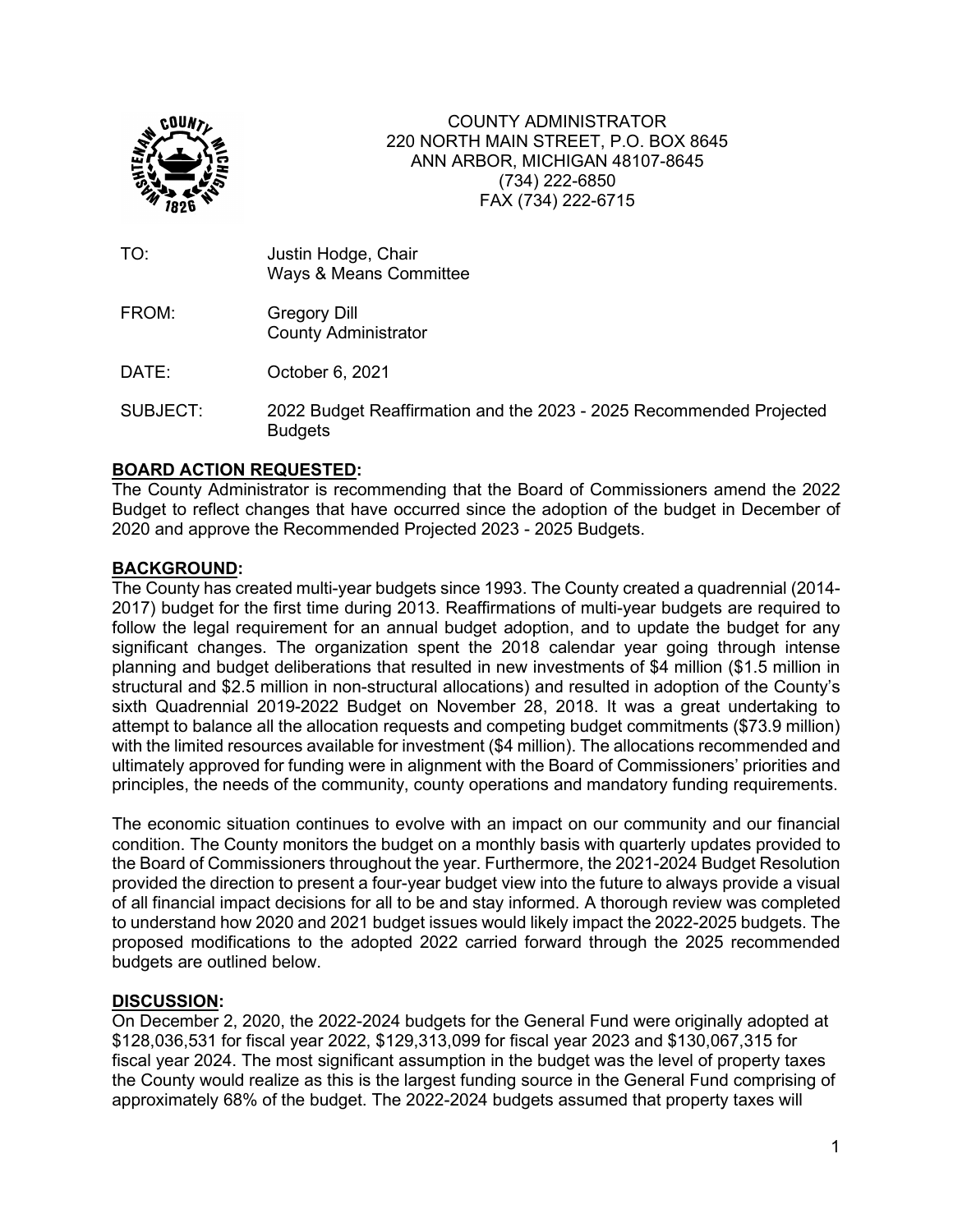

COUNTY ADMINISTRATOR 220 NORTH MAIN STREET, P.O. BOX 8645 ANN ARBOR, MICHIGAN 48107-8645 (734) 222-6850 FAX (734) 222-6715

| TO:      | Justin Hodge, Chair<br><b>Ways &amp; Means Committee</b>                              |
|----------|---------------------------------------------------------------------------------------|
| FROM:    | <b>Gregory Dill</b><br><b>County Administrator</b>                                    |
| DATE:    | October 6, 2021                                                                       |
| SUBJECT: | 2022 Budget Reaffirmation and the 2023 - 2025 Recommended Projected<br><b>Budgets</b> |

# **BOARD ACTION REQUESTED:**

The County Administrator is recommending that the Board of Commissioners amend the 2022 Budget to reflect changes that have occurred since the adoption of the budget in December of 2020 and approve the Recommended Projected 2023 - 2025 Budgets.

### **BACKGROUND:**

The County has created multi-year budgets since 1993. The County created a quadrennial (2014- 2017) budget for the first time during 2013. Reaffirmations of multi-year budgets are required to follow the legal requirement for an annual budget adoption, and to update the budget for any significant changes. The organization spent the 2018 calendar year going through intense planning and budget deliberations that resulted in new investments of \$4 million (\$1.5 million in structural and \$2.5 million in non-structural allocations) and resulted in adoption of the County's sixth Quadrennial 2019-2022 Budget on November 28, 2018. It was a great undertaking to attempt to balance all the allocation requests and competing budget commitments (\$73.9 million) with the limited resources available for investment (\$4 million). The allocations recommended and ultimately approved for funding were in alignment with the Board of Commissioners' priorities and principles, the needs of the community, county operations and mandatory funding requirements.

The economic situation continues to evolve with an impact on our community and our financial condition. The County monitors the budget on a monthly basis with quarterly updates provided to the Board of Commissioners throughout the year. Furthermore, the 2021-2024 Budget Resolution provided the direction to present a four-year budget view into the future to always provide a visual of all financial impact decisions for all to be and stay informed. A thorough review was completed to understand how 2020 and 2021 budget issues would likely impact the 2022-2025 budgets. The proposed modifications to the adopted 2022 carried forward through the 2025 recommended budgets are outlined below.

#### **DISCUSSION:**

On December 2, 2020, the 2022-2024 budgets for the General Fund were originally adopted at \$128,036,531 for fiscal year 2022, \$129,313,099 for fiscal year 2023 and \$130,067,315 for fiscal year 2024. The most significant assumption in the budget was the level of property taxes the County would realize as this is the largest funding source in the General Fund comprising of approximately 68% of the budget. The 2022-2024 budgets assumed that property taxes will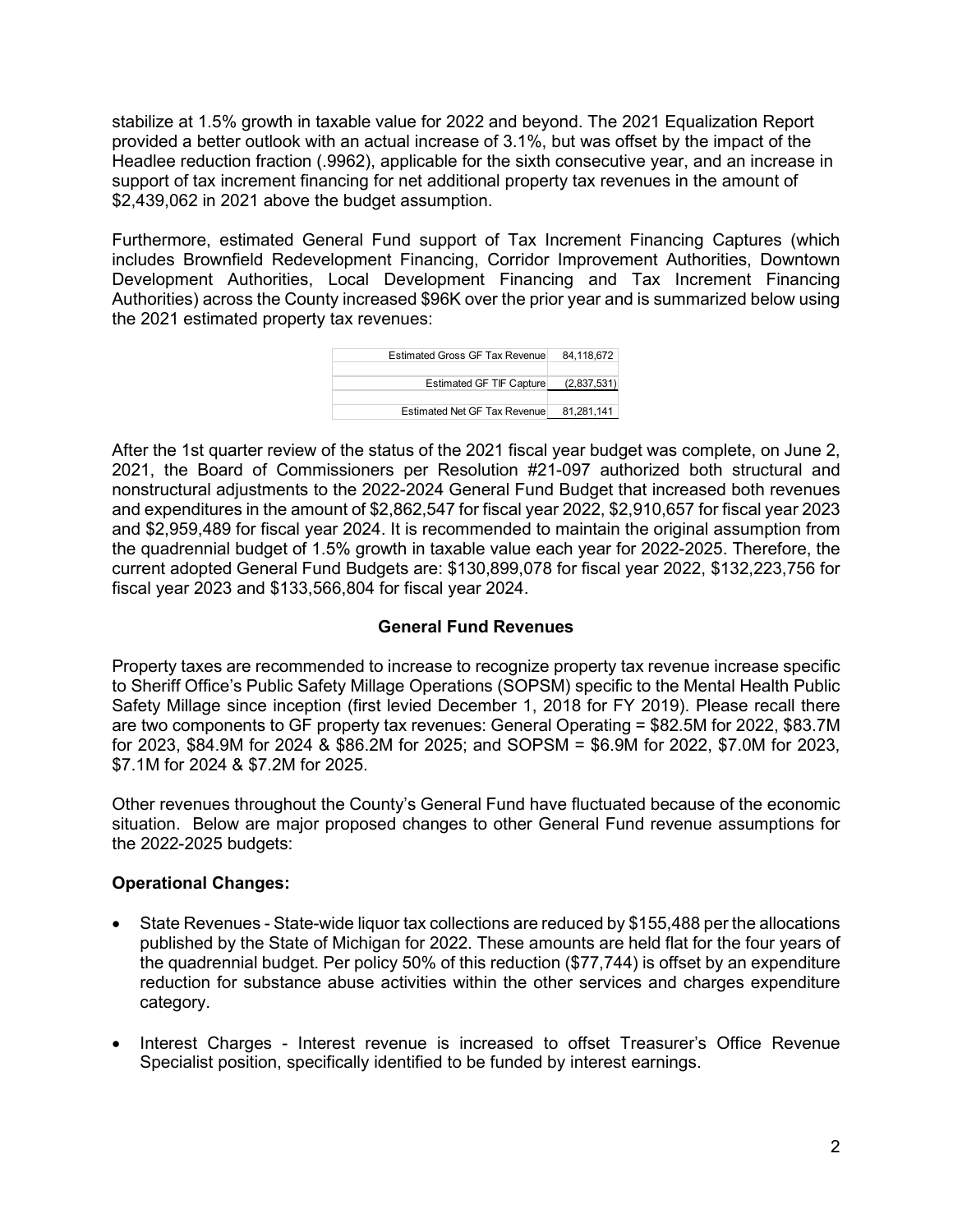stabilize at 1.5% growth in taxable value for 2022 and beyond. The 2021 Equalization Report provided a better outlook with an actual increase of 3.1%, but was offset by the impact of the Headlee reduction fraction (.9962), applicable for the sixth consecutive year, and an increase in support of tax increment financing for net additional property tax revenues in the amount of \$2,439,062 in 2021 above the budget assumption.

Furthermore, estimated General Fund support of Tax Increment Financing Captures (which includes Brownfield Redevelopment Financing, Corridor Improvement Authorities, Downtown Development Authorities, Local Development Financing and Tax Increment Financing Authorities) across the County increased \$96K over the prior year and is summarized below using the 2021 estimated property tax revenues:



After the 1st quarter review of the status of the 2021 fiscal year budget was complete, on June 2, 2021, the Board of Commissioners per Resolution #21-097 authorized both structural and nonstructural adjustments to the 2022-2024 General Fund Budget that increased both revenues and expenditures in the amount of \$2,862,547 for fiscal year 2022, \$2,910,657 for fiscal year 2023 and \$2,959,489 for fiscal year 2024. It is recommended to maintain the original assumption from the quadrennial budget of 1.5% growth in taxable value each year for 2022-2025. Therefore, the current adopted General Fund Budgets are: \$130,899,078 for fiscal year 2022, \$132,223,756 for fiscal year 2023 and \$133,566,804 for fiscal year 2024.

# **General Fund Revenues**

Property taxes are recommended to increase to recognize property tax revenue increase specific to Sheriff Office's Public Safety Millage Operations (SOPSM) specific to the Mental Health Public Safety Millage since inception (first levied December 1, 2018 for FY 2019). Please recall there are two components to GF property tax revenues: General Operating = \$82.5M for 2022, \$83.7M for 2023, \$84.9M for 2024 & \$86.2M for 2025; and SOPSM = \$6.9M for 2022, \$7.0M for 2023, \$7.1M for 2024 & \$7.2M for 2025.

Other revenues throughout the County's General Fund have fluctuated because of the economic situation. Below are major proposed changes to other General Fund revenue assumptions for the 2022-2025 budgets:

# **Operational Changes:**

- State Revenues State-wide liquor tax collections are reduced by \$155,488 per the allocations published by the State of Michigan for 2022. These amounts are held flat for the four years of the quadrennial budget. Per policy 50% of this reduction (\$77,744) is offset by an expenditure reduction for substance abuse activities within the other services and charges expenditure category.
- Interest Charges Interest revenue is increased to offset Treasurer's Office Revenue Specialist position, specifically identified to be funded by interest earnings.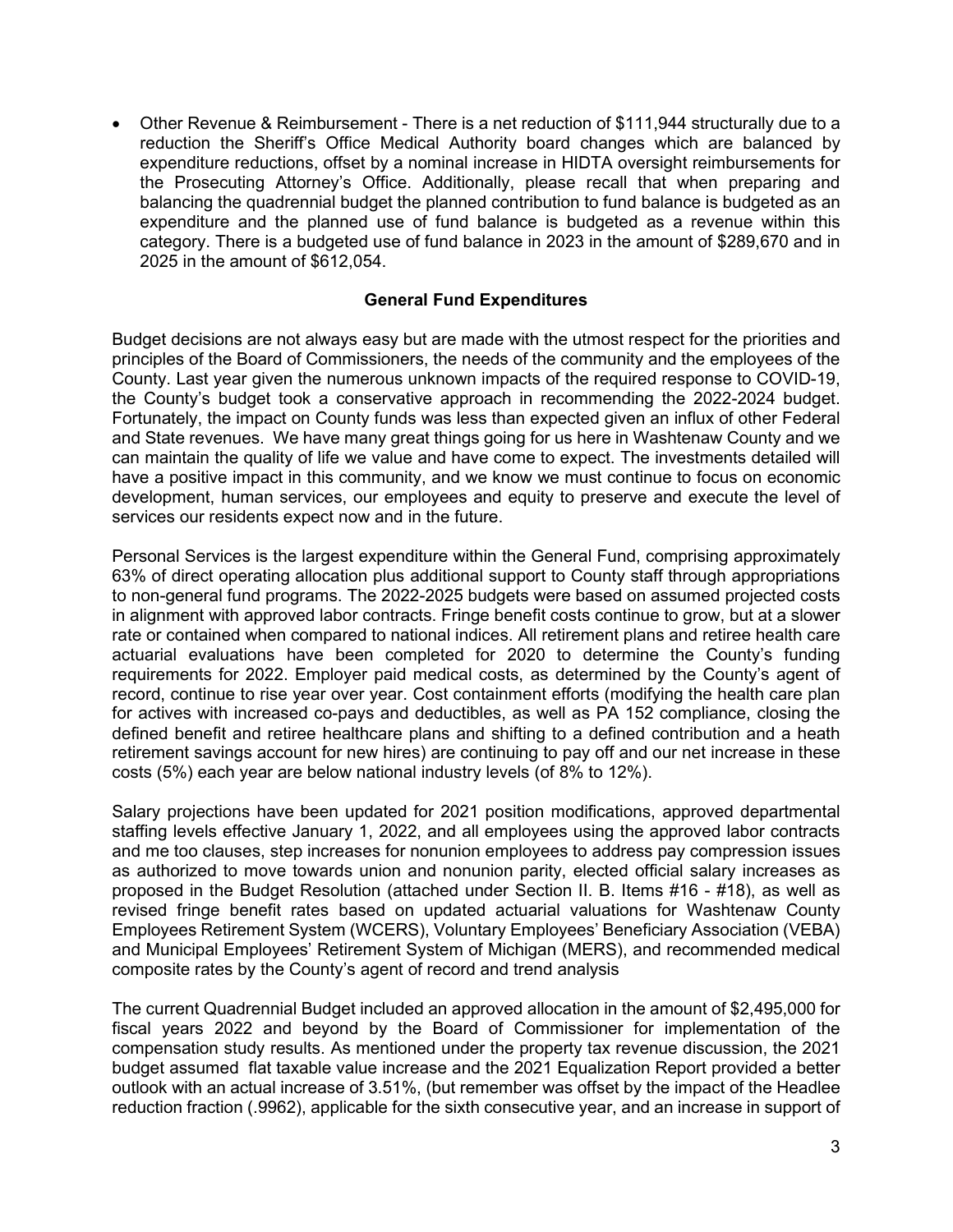Other Revenue & Reimbursement - There is a net reduction of \$111,944 structurally due to a reduction the Sheriff's Office Medical Authority board changes which are balanced by expenditure reductions, offset by a nominal increase in HIDTA oversight reimbursements for the Prosecuting Attorney's Office. Additionally, please recall that when preparing and balancing the quadrennial budget the planned contribution to fund balance is budgeted as an expenditure and the planned use of fund balance is budgeted as a revenue within this category. There is a budgeted use of fund balance in 2023 in the amount of \$289,670 and in 2025 in the amount of \$612,054.

## **General Fund Expenditures**

Budget decisions are not always easy but are made with the utmost respect for the priorities and principles of the Board of Commissioners, the needs of the community and the employees of the County. Last year given the numerous unknown impacts of the required response to COVID-19, the County's budget took a conservative approach in recommending the 2022-2024 budget. Fortunately, the impact on County funds was less than expected given an influx of other Federal and State revenues. We have many great things going for us here in Washtenaw County and we can maintain the quality of life we value and have come to expect. The investments detailed will have a positive impact in this community, and we know we must continue to focus on economic development, human services, our employees and equity to preserve and execute the level of services our residents expect now and in the future.

Personal Services is the largest expenditure within the General Fund, comprising approximately 63% of direct operating allocation plus additional support to County staff through appropriations to non-general fund programs. The 2022-2025 budgets were based on assumed projected costs in alignment with approved labor contracts. Fringe benefit costs continue to grow, but at a slower rate or contained when compared to national indices. All retirement plans and retiree health care actuarial evaluations have been completed for 2020 to determine the County's funding requirements for 2022. Employer paid medical costs, as determined by the County's agent of record, continue to rise year over year. Cost containment efforts (modifying the health care plan for actives with increased co-pays and deductibles, as well as PA 152 compliance, closing the defined benefit and retiree healthcare plans and shifting to a defined contribution and a heath retirement savings account for new hires) are continuing to pay off and our net increase in these costs (5%) each year are below national industry levels (of 8% to 12%).

Salary projections have been updated for 2021 position modifications, approved departmental staffing levels effective January 1, 2022, and all employees using the approved labor contracts and me too clauses, step increases for nonunion employees to address pay compression issues as authorized to move towards union and nonunion parity, elected official salary increases as proposed in the Budget Resolution (attached under Section II. B. Items #16 - #18), as well as revised fringe benefit rates based on updated actuarial valuations for Washtenaw County Employees Retirement System (WCERS), Voluntary Employees' Beneficiary Association (VEBA) and Municipal Employees' Retirement System of Michigan (MERS), and recommended medical composite rates by the County's agent of record and trend analysis

The current Quadrennial Budget included an approved allocation in the amount of \$2,495,000 for fiscal years 2022 and beyond by the Board of Commissioner for implementation of the compensation study results. As mentioned under the property tax revenue discussion, the 2021 budget assumed flat taxable value increase and the 2021 Equalization Report provided a better outlook with an actual increase of 3.51%, (but remember was offset by the impact of the Headlee reduction fraction (.9962), applicable for the sixth consecutive year, and an increase in support of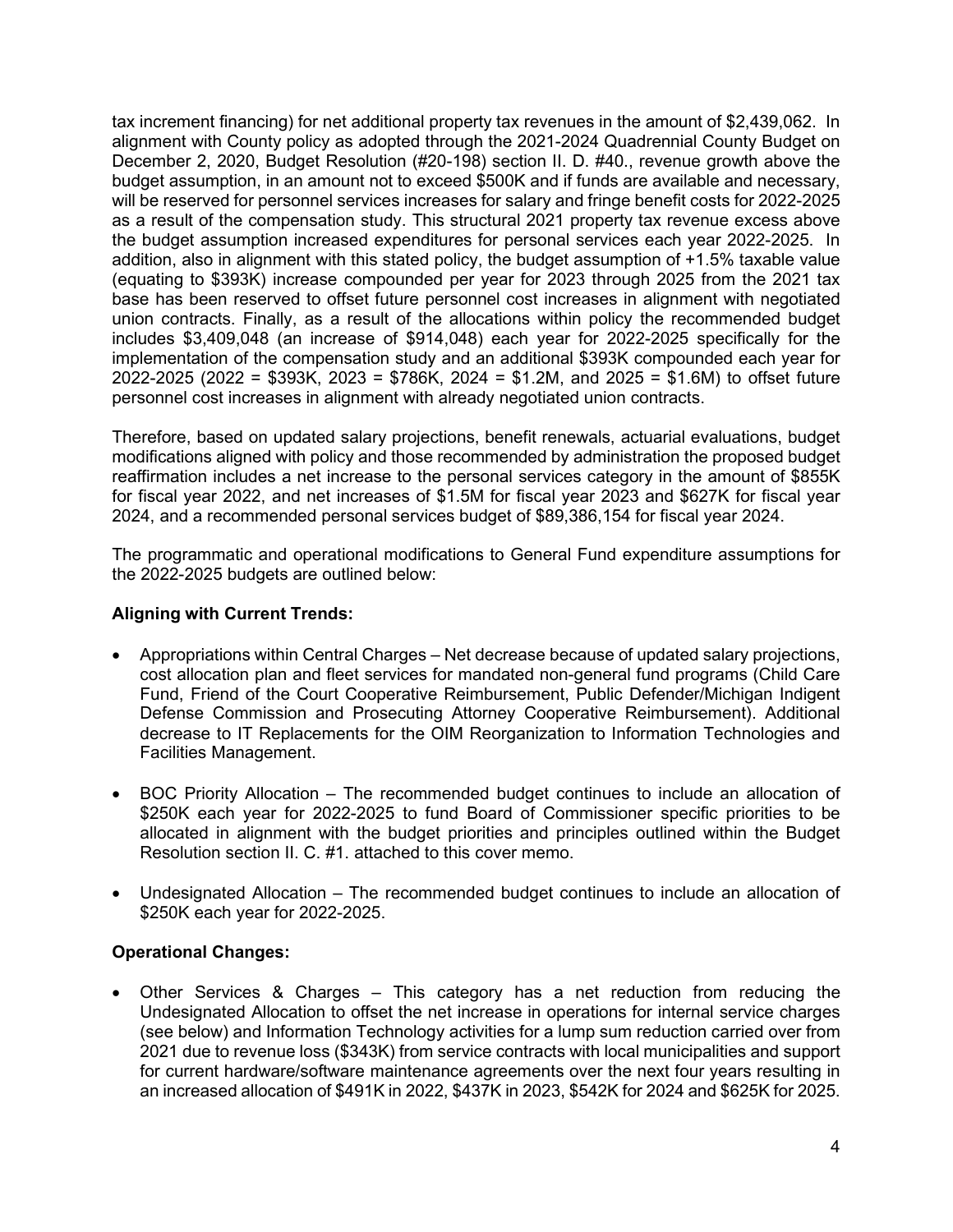tax increment financing) for net additional property tax revenues in the amount of \$2,439,062. In alignment with County policy as adopted through the 2021-2024 Quadrennial County Budget on December 2, 2020, Budget Resolution (#20-198) section II. D. #40., revenue growth above the budget assumption, in an amount not to exceed \$500K and if funds are available and necessary, will be reserved for personnel services increases for salary and fringe benefit costs for 2022-2025 as a result of the compensation study. This structural 2021 property tax revenue excess above the budget assumption increased expenditures for personal services each year 2022-2025. In addition, also in alignment with this stated policy, the budget assumption of +1.5% taxable value (equating to \$393K) increase compounded per year for 2023 through 2025 from the 2021 tax base has been reserved to offset future personnel cost increases in alignment with negotiated union contracts. Finally, as a result of the allocations within policy the recommended budget includes \$3,409,048 (an increase of \$914,048) each year for 2022-2025 specifically for the implementation of the compensation study and an additional \$393K compounded each year for 2022-2025 (2022 = \$393K, 2023 = \$786K, 2024 = \$1.2M, and 2025 = \$1.6M) to offset future personnel cost increases in alignment with already negotiated union contracts.

Therefore, based on updated salary projections, benefit renewals, actuarial evaluations, budget modifications aligned with policy and those recommended by administration the proposed budget reaffirmation includes a net increase to the personal services category in the amount of \$855K for fiscal year 2022, and net increases of \$1.5M for fiscal year 2023 and \$627K for fiscal year 2024, and a recommended personal services budget of \$89,386,154 for fiscal year 2024.

The programmatic and operational modifications to General Fund expenditure assumptions for the 2022-2025 budgets are outlined below:

# **Aligning with Current Trends:**

- Appropriations within Central Charges Net decrease because of updated salary projections, cost allocation plan and fleet services for mandated non-general fund programs (Child Care Fund, Friend of the Court Cooperative Reimbursement, Public Defender/Michigan Indigent Defense Commission and Prosecuting Attorney Cooperative Reimbursement). Additional decrease to IT Replacements for the OIM Reorganization to Information Technologies and Facilities Management.
- BOC Priority Allocation The recommended budget continues to include an allocation of \$250K each year for 2022-2025 to fund Board of Commissioner specific priorities to be allocated in alignment with the budget priorities and principles outlined within the Budget Resolution section II. C. #1. attached to this cover memo.
- Undesignated Allocation The recommended budget continues to include an allocation of \$250K each year for 2022-2025.

# **Operational Changes:**

 Other Services & Charges – This category has a net reduction from reducing the Undesignated Allocation to offset the net increase in operations for internal service charges (see below) and Information Technology activities for a lump sum reduction carried over from 2021 due to revenue loss (\$343K) from service contracts with local municipalities and support for current hardware/software maintenance agreements over the next four years resulting in an increased allocation of \$491K in 2022, \$437K in 2023, \$542K for 2024 and \$625K for 2025.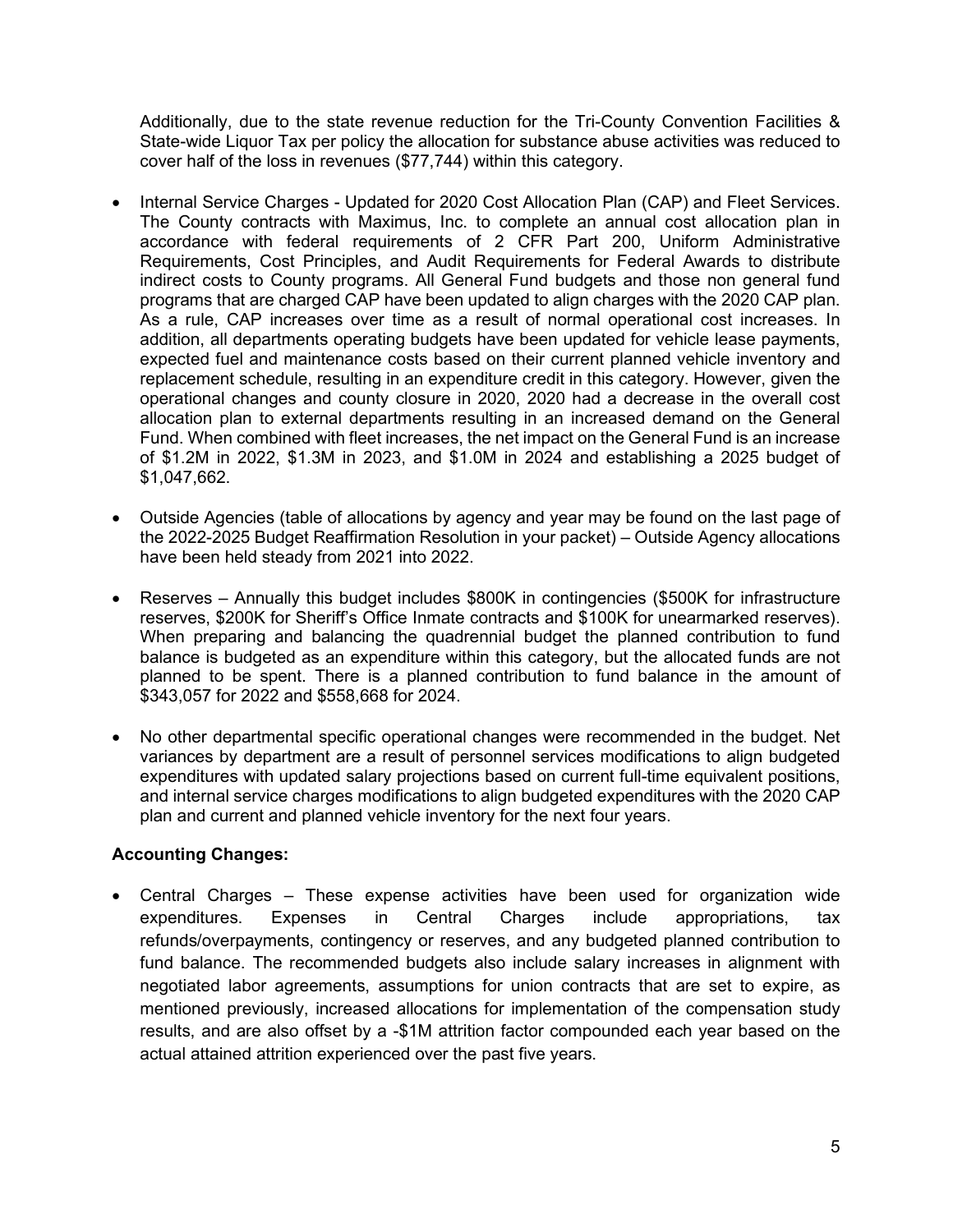Additionally, due to the state revenue reduction for the Tri-County Convention Facilities & State-wide Liquor Tax per policy the allocation for substance abuse activities was reduced to cover half of the loss in revenues (\$77,744) within this category.

- Internal Service Charges Updated for 2020 Cost Allocation Plan (CAP) and Fleet Services. The County contracts with Maximus, Inc. to complete an annual cost allocation plan in accordance with federal requirements of 2 CFR Part 200, Uniform Administrative Requirements, Cost Principles, and Audit Requirements for Federal Awards to distribute indirect costs to County programs. All General Fund budgets and those non general fund programs that are charged CAP have been updated to align charges with the 2020 CAP plan. As a rule, CAP increases over time as a result of normal operational cost increases. In addition, all departments operating budgets have been updated for vehicle lease payments, expected fuel and maintenance costs based on their current planned vehicle inventory and replacement schedule, resulting in an expenditure credit in this category. However, given the operational changes and county closure in 2020, 2020 had a decrease in the overall cost allocation plan to external departments resulting in an increased demand on the General Fund. When combined with fleet increases, the net impact on the General Fund is an increase of \$1.2M in 2022, \$1.3M in 2023, and \$1.0M in 2024 and establishing a 2025 budget of \$1,047,662.
- Outside Agencies (table of allocations by agency and year may be found on the last page of the 2022-2025 Budget Reaffirmation Resolution in your packet) – Outside Agency allocations have been held steady from 2021 into 2022.
- Reserves Annually this budget includes \$800K in contingencies (\$500K for infrastructure reserves, \$200K for Sheriff's Office Inmate contracts and \$100K for unearmarked reserves). When preparing and balancing the quadrennial budget the planned contribution to fund balance is budgeted as an expenditure within this category, but the allocated funds are not planned to be spent. There is a planned contribution to fund balance in the amount of \$343,057 for 2022 and \$558,668 for 2024.
- No other departmental specific operational changes were recommended in the budget. Net variances by department are a result of personnel services modifications to align budgeted expenditures with updated salary projections based on current full-time equivalent positions, and internal service charges modifications to align budgeted expenditures with the 2020 CAP plan and current and planned vehicle inventory for the next four years.

# **Accounting Changes:**

 Central Charges – These expense activities have been used for organization wide expenditures. Expenses in Central Charges include appropriations, tax refunds/overpayments, contingency or reserves, and any budgeted planned contribution to fund balance. The recommended budgets also include salary increases in alignment with negotiated labor agreements, assumptions for union contracts that are set to expire, as mentioned previously, increased allocations for implementation of the compensation study results, and are also offset by a -\$1M attrition factor compounded each year based on the actual attained attrition experienced over the past five years.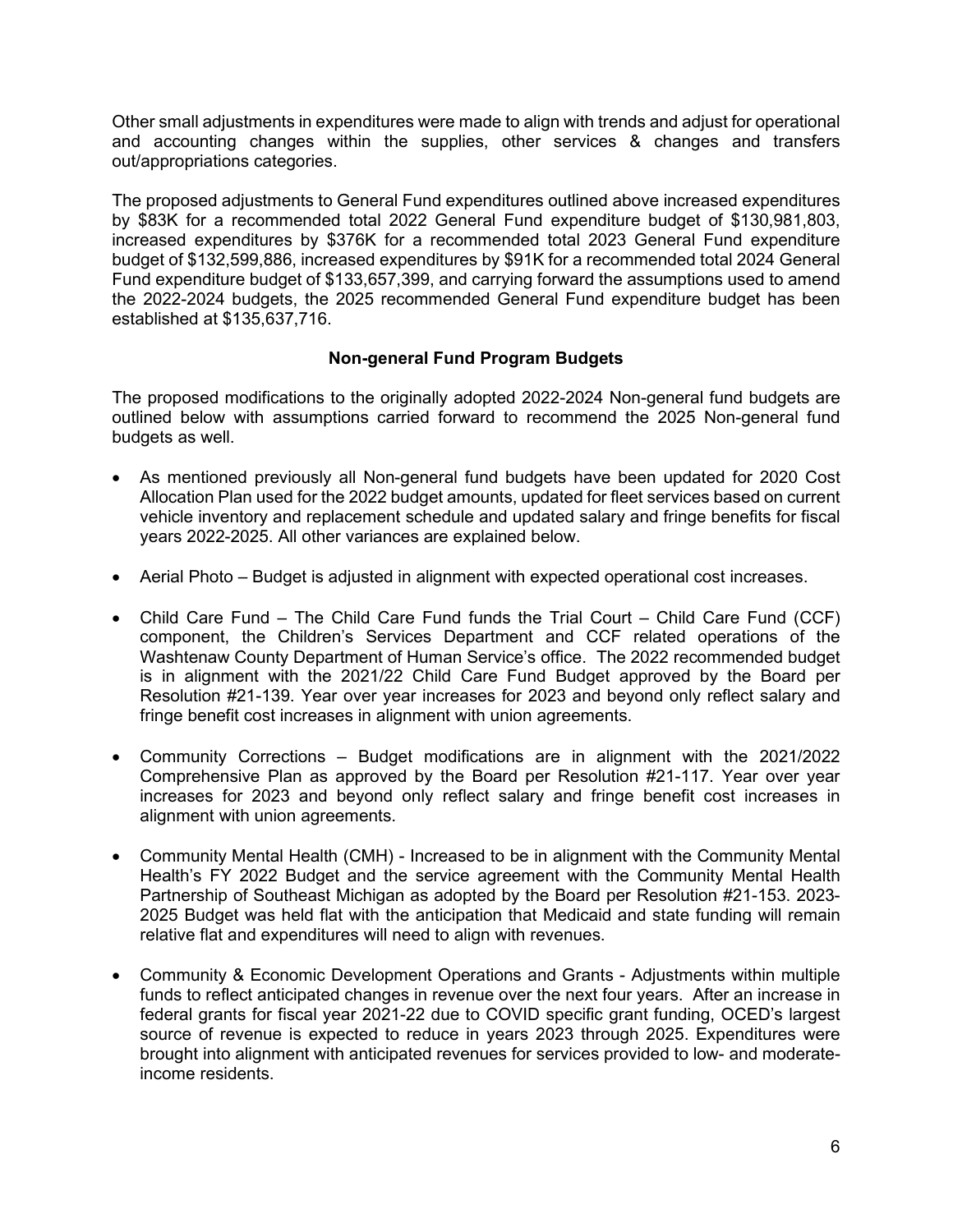Other small adjustments in expenditures were made to align with trends and adjust for operational and accounting changes within the supplies, other services & changes and transfers out/appropriations categories.

The proposed adjustments to General Fund expenditures outlined above increased expenditures by \$83K for a recommended total 2022 General Fund expenditure budget of \$130,981,803, increased expenditures by \$376K for a recommended total 2023 General Fund expenditure budget of \$132,599,886, increased expenditures by \$91K for a recommended total 2024 General Fund expenditure budget of \$133,657,399, and carrying forward the assumptions used to amend the 2022-2024 budgets, the 2025 recommended General Fund expenditure budget has been established at \$135,637,716.

# **Non-general Fund Program Budgets**

The proposed modifications to the originally adopted 2022-2024 Non-general fund budgets are outlined below with assumptions carried forward to recommend the 2025 Non-general fund budgets as well.

- As mentioned previously all Non-general fund budgets have been updated for 2020 Cost Allocation Plan used for the 2022 budget amounts, updated for fleet services based on current vehicle inventory and replacement schedule and updated salary and fringe benefits for fiscal years 2022-2025. All other variances are explained below.
- Aerial Photo Budget is adjusted in alignment with expected operational cost increases.
- Child Care Fund The Child Care Fund funds the Trial Court Child Care Fund (CCF) component, the Children's Services Department and CCF related operations of the Washtenaw County Department of Human Service's office. The 2022 recommended budget is in alignment with the 2021/22 Child Care Fund Budget approved by the Board per Resolution #21-139. Year over year increases for 2023 and beyond only reflect salary and fringe benefit cost increases in alignment with union agreements.
- Community Corrections Budget modifications are in alignment with the 2021/2022 Comprehensive Plan as approved by the Board per Resolution #21-117. Year over year increases for 2023 and beyond only reflect salary and fringe benefit cost increases in alignment with union agreements.
- Community Mental Health (CMH) Increased to be in alignment with the Community Mental Health's FY 2022 Budget and the service agreement with the Community Mental Health Partnership of Southeast Michigan as adopted by the Board per Resolution #21-153. 2023- 2025 Budget was held flat with the anticipation that Medicaid and state funding will remain relative flat and expenditures will need to align with revenues.
- Community & Economic Development Operations and Grants Adjustments within multiple funds to reflect anticipated changes in revenue over the next four years. After an increase in federal grants for fiscal year 2021-22 due to COVID specific grant funding, OCED's largest source of revenue is expected to reduce in years 2023 through 2025. Expenditures were brought into alignment with anticipated revenues for services provided to low- and moderateincome residents.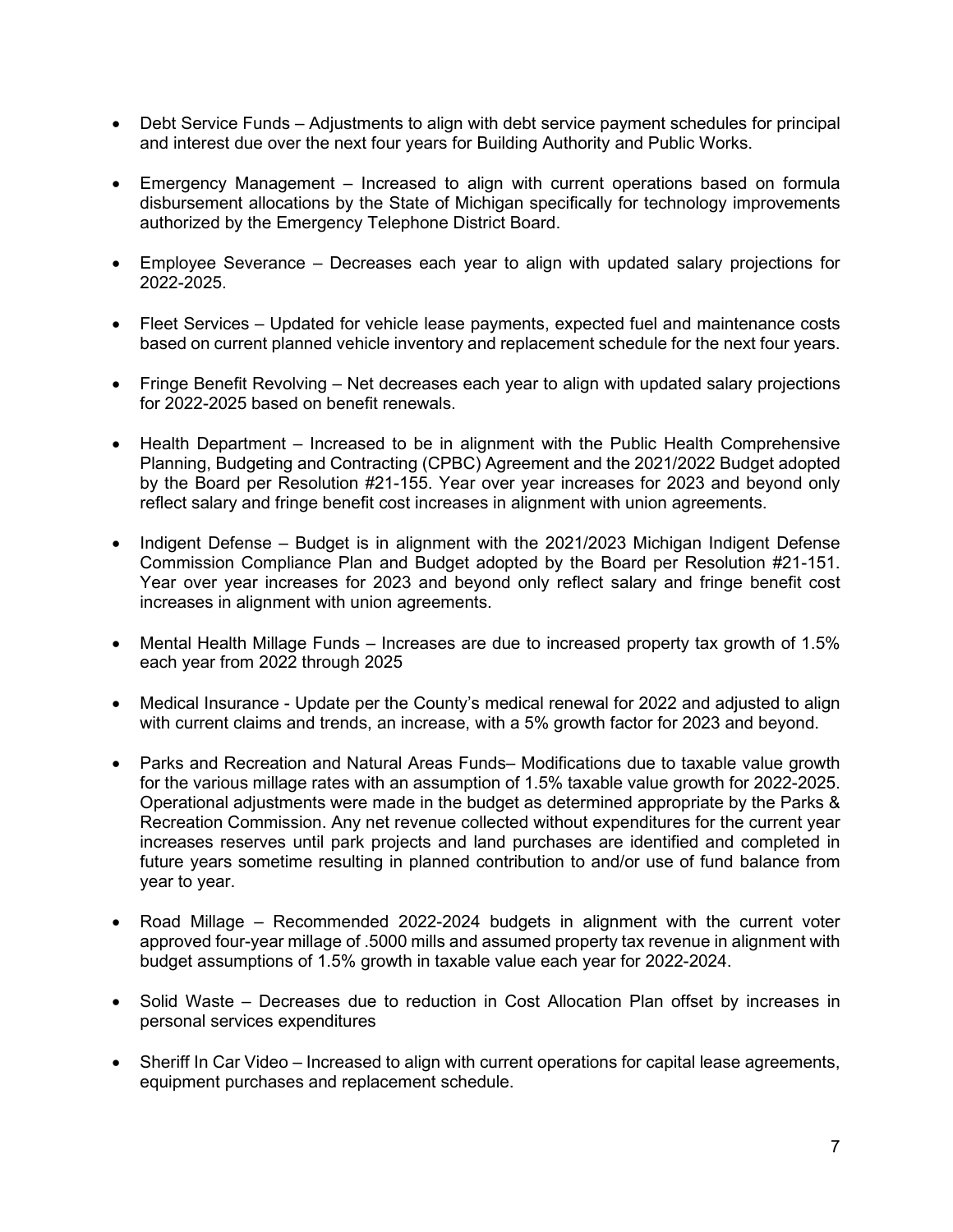- Debt Service Funds Adjustments to align with debt service payment schedules for principal and interest due over the next four years for Building Authority and Public Works.
- Emergency Management Increased to align with current operations based on formula disbursement allocations by the State of Michigan specifically for technology improvements authorized by the Emergency Telephone District Board.
- Employee Severance Decreases each year to align with updated salary projections for 2022-2025.
- Fleet Services Updated for vehicle lease payments, expected fuel and maintenance costs based on current planned vehicle inventory and replacement schedule for the next four years.
- Fringe Benefit Revolving Net decreases each year to align with updated salary projections for 2022-2025 based on benefit renewals.
- Health Department Increased to be in alignment with the Public Health Comprehensive Planning, Budgeting and Contracting (CPBC) Agreement and the 2021/2022 Budget adopted by the Board per Resolution #21-155. Year over year increases for 2023 and beyond only reflect salary and fringe benefit cost increases in alignment with union agreements.
- Indigent Defense Budget is in alignment with the 2021/2023 Michigan Indigent Defense Commission Compliance Plan and Budget adopted by the Board per Resolution #21-151. Year over year increases for 2023 and beyond only reflect salary and fringe benefit cost increases in alignment with union agreements.
- Mental Health Millage Funds Increases are due to increased property tax growth of 1.5% each year from 2022 through 2025
- Medical Insurance Update per the County's medical renewal for 2022 and adjusted to align with current claims and trends, an increase, with a 5% growth factor for 2023 and beyond.
- Parks and Recreation and Natural Areas Funds– Modifications due to taxable value growth for the various millage rates with an assumption of 1.5% taxable value growth for 2022-2025. Operational adjustments were made in the budget as determined appropriate by the Parks & Recreation Commission. Any net revenue collected without expenditures for the current year increases reserves until park projects and land purchases are identified and completed in future years sometime resulting in planned contribution to and/or use of fund balance from year to year.
- Road Millage Recommended 2022-2024 budgets in alignment with the current voter approved four-year millage of .5000 mills and assumed property tax revenue in alignment with budget assumptions of 1.5% growth in taxable value each year for 2022-2024.
- Solid Waste Decreases due to reduction in Cost Allocation Plan offset by increases in personal services expenditures
- Sheriff In Car Video Increased to align with current operations for capital lease agreements, equipment purchases and replacement schedule.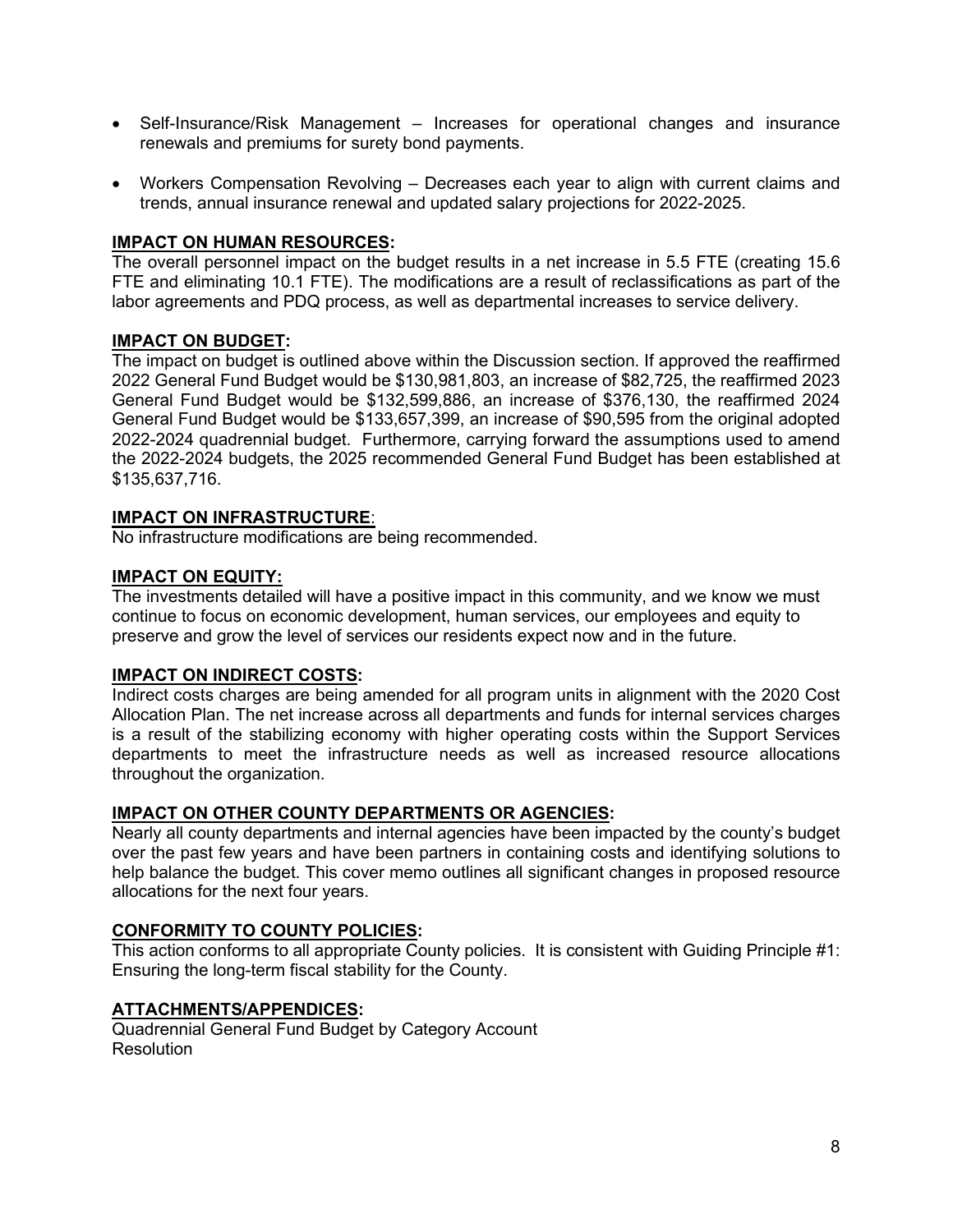- Self-Insurance/Risk Management Increases for operational changes and insurance renewals and premiums for surety bond payments.
- Workers Compensation Revolving Decreases each year to align with current claims and trends, annual insurance renewal and updated salary projections for 2022-2025.

## **IMPACT ON HUMAN RESOURCES:**

The overall personnel impact on the budget results in a net increase in 5.5 FTE (creating 15.6 FTE and eliminating 10.1 FTE). The modifications are a result of reclassifications as part of the labor agreements and PDQ process, as well as departmental increases to service delivery.

### **IMPACT ON BUDGET:**

The impact on budget is outlined above within the Discussion section. If approved the reaffirmed 2022 General Fund Budget would be \$130,981,803, an increase of \$82,725, the reaffirmed 2023 General Fund Budget would be \$132,599,886, an increase of \$376,130, the reaffirmed 2024 General Fund Budget would be \$133,657,399, an increase of \$90,595 from the original adopted 2022-2024 quadrennial budget. Furthermore, carrying forward the assumptions used to amend the 2022-2024 budgets, the 2025 recommended General Fund Budget has been established at \$135,637,716.

### **IMPACT ON INFRASTRUCTURE**:

No infrastructure modifications are being recommended.

### **IMPACT ON EQUITY:**

The investments detailed will have a positive impact in this community, and we know we must continue to focus on economic development, human services, our employees and equity to preserve and grow the level of services our residents expect now and in the future.

#### **IMPACT ON INDIRECT COSTS:**

Indirect costs charges are being amended for all program units in alignment with the 2020 Cost Allocation Plan. The net increase across all departments and funds for internal services charges is a result of the stabilizing economy with higher operating costs within the Support Services departments to meet the infrastructure needs as well as increased resource allocations throughout the organization.

#### **IMPACT ON OTHER COUNTY DEPARTMENTS OR AGENCIES:**

Nearly all county departments and internal agencies have been impacted by the county's budget over the past few years and have been partners in containing costs and identifying solutions to help balance the budget. This cover memo outlines all significant changes in proposed resource allocations for the next four years.

# **CONFORMITY TO COUNTY POLICIES:**

This action conforms to all appropriate County policies. It is consistent with Guiding Principle #1: Ensuring the long-term fiscal stability for the County.

### **ATTACHMENTS/APPENDICES:**

Quadrennial General Fund Budget by Category Account **Resolution**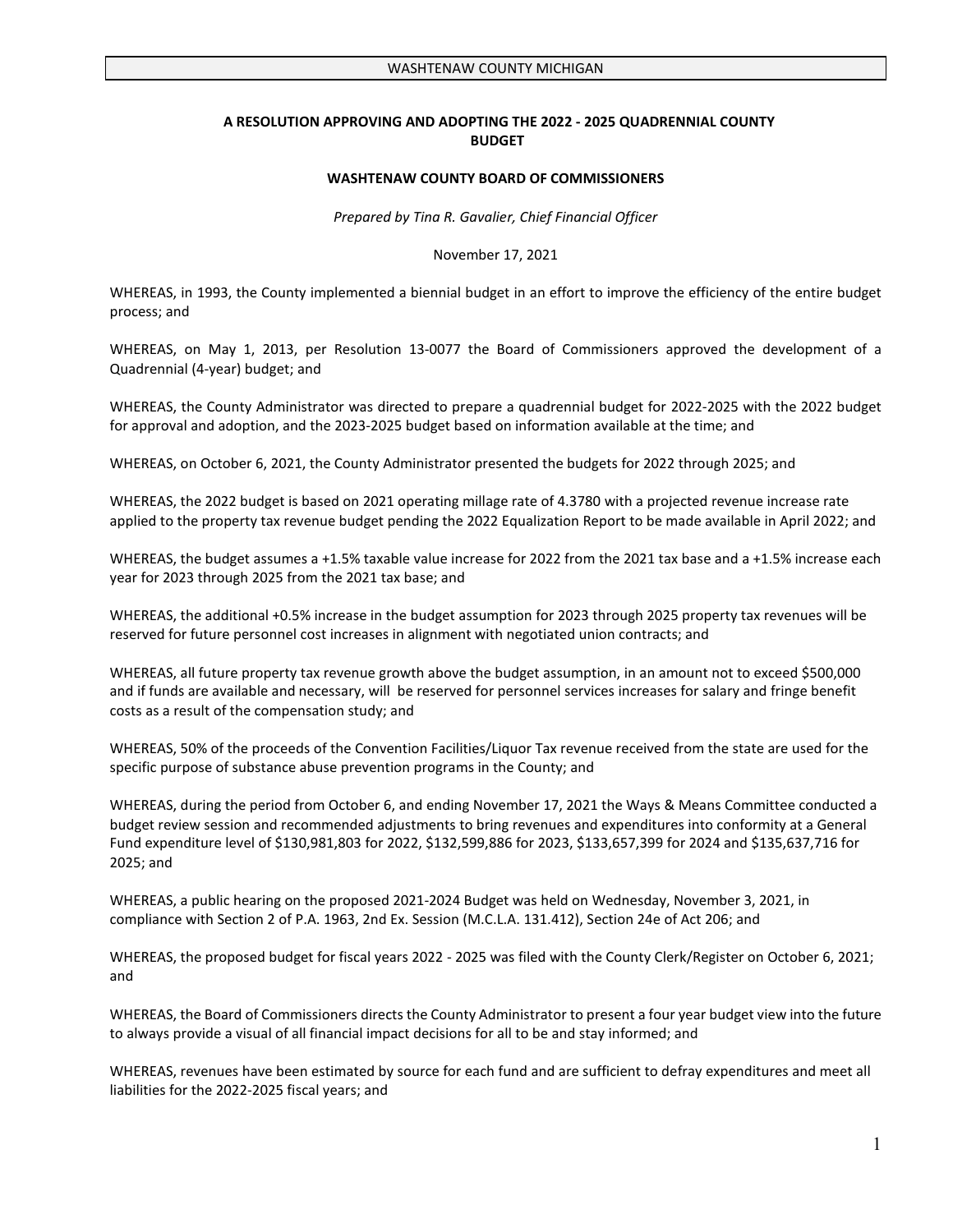#### **A RESOLUTION APPROVING AND ADOPTING THE 2022 - 2025 QUADRENNIAL COUNTY BUDGET**

#### **WASHTENAW COUNTY BOARD OF COMMISSIONERS**

*Prepared by Tina R. Gavalier, Chief Financial Officer* 

November 17, 2021

WHEREAS, in 1993, the County implemented a biennial budget in an effort to improve the efficiency of the entire budget process; and

WHEREAS, on May 1, 2013, per Resolution 13-0077 the Board of Commissioners approved the development of a Quadrennial (4-year) budget; and

WHEREAS, the County Administrator was directed to prepare a quadrennial budget for 2022-2025 with the 2022 budget for approval and adoption, and the 2023-2025 budget based on information available at the time; and

WHEREAS, on October 6, 2021, the County Administrator presented the budgets for 2022 through 2025; and

WHEREAS, the 2022 budget is based on 2021 operating millage rate of 4.3780 with a projected revenue increase rate applied to the property tax revenue budget pending the 2022 Equalization Report to be made available in April 2022; and

WHEREAS, the budget assumes a +1.5% taxable value increase for 2022 from the 2021 tax base and a +1.5% increase each year for 2023 through 2025 from the 2021 tax base; and

WHEREAS, the additional +0.5% increase in the budget assumption for 2023 through 2025 property tax revenues will be reserved for future personnel cost increases in alignment with negotiated union contracts; and

WHEREAS, all future property tax revenue growth above the budget assumption, in an amount not to exceed \$500,000 and if funds are available and necessary, will be reserved for personnel services increases for salary and fringe benefit costs as a result of the compensation study; and

WHEREAS, 50% of the proceeds of the Convention Facilities/Liquor Tax revenue received from the state are used for the specific purpose of substance abuse prevention programs in the County; and

WHEREAS, during the period from October 6, and ending November 17, 2021 the Ways & Means Committee conducted a budget review session and recommended adjustments to bring revenues and expenditures into conformity at a General Fund expenditure level of \$130,981,803 for 2022, \$132,599,886 for 2023, \$133,657,399 for 2024 and \$135,637,716 for 2025; and

WHEREAS, a public hearing on the proposed 2021-2024 Budget was held on Wednesday, November 3, 2021, in compliance with Section 2 of P.A. 1963, 2nd Ex. Session (M.C.L.A. 131.412), Section 24e of Act 206; and

WHEREAS, the proposed budget for fiscal years 2022 - 2025 was filed with the County Clerk/Register on October 6, 2021; and

WHEREAS, the Board of Commissioners directs the County Administrator to present a four year budget view into the future to always provide a visual of all financial impact decisions for all to be and stay informed; and

WHEREAS, revenues have been estimated by source for each fund and are sufficient to defray expenditures and meet all liabilities for the 2022-2025 fiscal years; and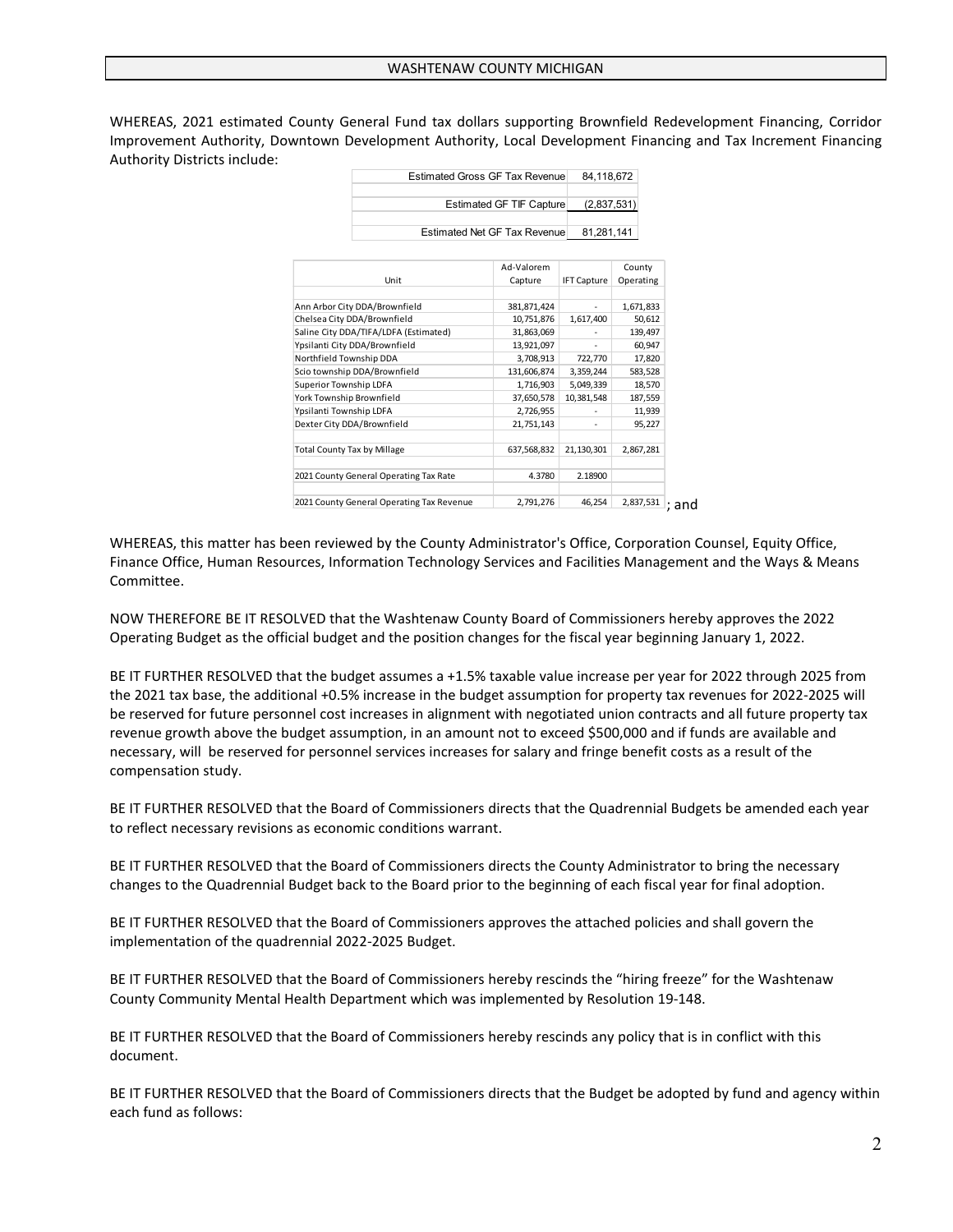WHEREAS, 2021 estimated County General Fund tax dollars supporting Brownfield Redevelopment Financing, Corridor Improvement Authority, Downtown Development Authority, Local Development Financing and Tax Increment Financing Authority Districts include:

|                               |                                        | <b>Estimated Gross GF Tax Revenue</b> | 84,118,672         |           |
|-------------------------------|----------------------------------------|---------------------------------------|--------------------|-----------|
|                               |                                        | <b>Estimated GF TIF Capture</b>       | (2,837,531)        |           |
|                               |                                        | Estimated Net GF Tax Revenue          | 81,281,141         |           |
|                               |                                        | Ad-Valorem                            |                    | County    |
|                               | Unit                                   | Capture                               | <b>IFT Capture</b> | Operating |
|                               | Ann Arbor City DDA/Brownfield          | 381,871,424                           | ٠                  | 1,671,833 |
| Chelsea City DDA/Brownfield   |                                        | 10,751,876                            | 1,617,400          | 50,612    |
|                               | Saline City DDA/TIFA/LDFA (Estimated)  | 31,863,069                            |                    | 139,497   |
| Ypsilanti City DDA/Brownfield |                                        | 13.921.097                            |                    | 60,947    |
| Northfield Township DDA       |                                        | 3,708,913                             | 722,770            | 17,820    |
| Scio township DDA/Brownfield  |                                        | 131,606,874                           | 3,359,244          | 583,528   |
| Superior Township LDFA        |                                        | 1,716,903                             | 5,049,339          | 18,570    |
| York Township Brownfield      |                                        | 37,650,578                            | 10,381,548         | 187,559   |
| Ypsilanti Township LDFA       |                                        | 2,726,955                             |                    | 11,939    |
| Dexter City DDA/Brownfield    |                                        | 21,751,143                            |                    | 95,227    |
| Total County Tax by Millage   |                                        | 637,568,832                           | 21,130,301         | 2,867,281 |
|                               | 2021 County General Operating Tax Rate | 4.3780                                | 2.18900            |           |

 $2,837,531$  : and 2021 County General Operating Tax Revenue 2,791,276 46,254

WHEREAS, this matter has been reviewed by the County Administrator's Office, Corporation Counsel, Equity Office, Finance Office, Human Resources, Information Technology Services and Facilities Management and the Ways & Means Committee.

NOW THEREFORE BE IT RESOLVED that the Washtenaw County Board of Commissioners hereby approves the 2022 Operating Budget as the official budget and the position changes for the fiscal year beginning January 1, 2022.

BE IT FURTHER RESOLVED that the budget assumes a +1.5% taxable value increase per year for 2022 through 2025 from the 2021 tax base, the additional +0.5% increase in the budget assumption for property tax revenues for 2022-2025 will be reserved for future personnel cost increases in alignment with negotiated union contracts and all future property tax revenue growth above the budget assumption, in an amount not to exceed \$500,000 and if funds are available and necessary, will be reserved for personnel services increases for salary and fringe benefit costs as a result of the compensation study.

BE IT FURTHER RESOLVED that the Board of Commissioners directs that the Quadrennial Budgets be amended each year to reflect necessary revisions as economic conditions warrant.

BE IT FURTHER RESOLVED that the Board of Commissioners directs the County Administrator to bring the necessary changes to the Quadrennial Budget back to the Board prior to the beginning of each fiscal year for final adoption.

BE IT FURTHER RESOLVED that the Board of Commissioners approves the attached policies and shall govern the implementation of the quadrennial 2022-2025 Budget.

BE IT FURTHER RESOLVED that the Board of Commissioners hereby rescinds the "hiring freeze" for the Washtenaw County Community Mental Health Department which was implemented by Resolution 19-148.

BE IT FURTHER RESOLVED that the Board of Commissioners hereby rescinds any policy that is in conflict with this document.

BE IT FURTHER RESOLVED that the Board of Commissioners directs that the Budget be adopted by fund and agency within each fund as follows: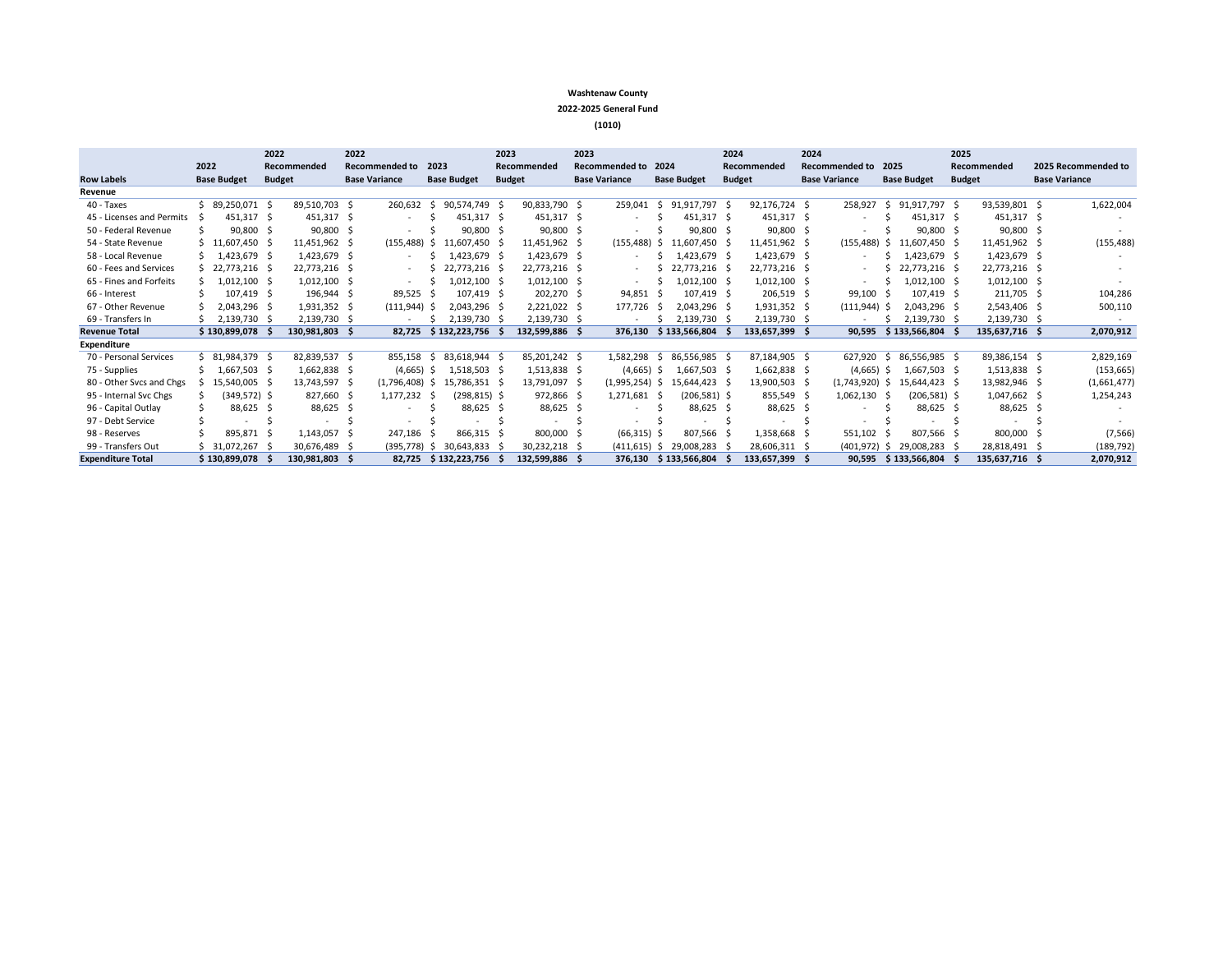#### **Washtenaw County**

#### **2022-2025 General Fund**

**(1010)**

|                           |      |                    | 2022          |               | 2022 |                          |      |                    |               | 2023<br>2023   |  |                       | 2024 |                    | 2024          |                |  |                          | 2025 |                    |     |                |                      |
|---------------------------|------|--------------------|---------------|---------------|------|--------------------------|------|--------------------|---------------|----------------|--|-----------------------|------|--------------------|---------------|----------------|--|--------------------------|------|--------------------|-----|----------------|----------------------|
|                           | 2022 |                    |               | Recommended   |      | <b>Recommended to</b>    | 2023 |                    |               | Recommended    |  | <b>Recommended to</b> | 2024 |                    |               | Recommended    |  | <b>Recommended to</b>    | 2025 |                    |     | Recommended    | 2025 Recommended to  |
| <b>Row Labels</b>         |      | <b>Base Budget</b> | <b>Budget</b> |               |      | <b>Base Variance</b>     |      | <b>Base Budget</b> | <b>Budget</b> |                |  | <b>Base Variance</b>  |      | <b>Base Budget</b> | <b>Budget</b> |                |  | <b>Base Variance</b>     |      | <b>Base Budget</b> |     | <b>Budget</b>  | <b>Base Variance</b> |
| Revenue                   |      |                    |               |               |      |                          |      |                    |               |                |  |                       |      |                    |               |                |  |                          |      |                    |     |                |                      |
| 40 - Taxes                |      | $$89,250,071$ \$   |               | 89,510,703 \$ |      | 260.632                  | -Ŝ   | 90.574.749         | - S           | 90,833,790 \$  |  | 259,041               | -S   | 91.917.797 \$      |               | 92,176,724 \$  |  | 258,927                  |      | 91,917,797 \$      |     | 93,539,801 \$  | 1,622,004            |
| 45 - Licenses and Permits |      | 451,317 \$         |               | 451,317 \$    |      | $\overline{\phantom{a}}$ |      | 451.317 \$         |               | 451,317 \$     |  |                       |      | 451.317 \$         |               | 451,317 \$     |  |                          |      | 451,317 \$         |     | 451,317 \$     |                      |
| 50 - Federal Revenue      |      | 90,800 \$          |               | 90,800        | -S   | ٠                        |      | 90,800 \$          |               | 90,800 \$      |  |                       |      | 90,800 \$          |               | $90,800$ \$    |  | $\overline{\phantom{a}}$ |      | 90,800             |     | 90,800 \$      |                      |
| 54 - State Revenue        |      | $$11,607,450$ \$   |               | 11,451,962 \$ |      | (155, 488)               | -S   | 11.607.450         |               | 11,451,962 \$  |  | (155, 488)            | -S   | 11.607.450 \$      |               | 11,451,962 \$  |  | (155, 488)               | -S   | 11.607.450         |     | 11,451,962 \$  | (155, 488)           |
| 58 - Local Revenue        |      | $$1,423,679$ \$    |               | 1,423,679 \$  |      | ٠                        |      | 1,423,679 \$       |               | 1,423,679 \$   |  |                       |      | 1,423,679 \$       |               | 1,423,679 \$   |  |                          |      | 1,423,679 \$       |     | 1,423,679 \$   |                      |
| 60 - Fees and Services    |      | $$22,773,216$ \$   |               | 22,773,216 \$ |      | $\overline{\phantom{a}}$ |      | 22,773,216 \$      |               | 22,773,216 \$  |  |                       |      | 22,773,216 \$      |               | 22,773,216 \$  |  |                          |      | 22,773,216 \$      |     | 22,773,216 \$  |                      |
| 65 - Fines and Forfeits   |      | $1,012,100$ \$     |               | 1,012,100     | -S   |                          |      | 1,012,100          |               | $1,012,100$ \$ |  |                       |      | 1,012,100 \$       |               | $1,012,100$ \$ |  |                          |      | 1,012,100          |     | $1,012,100$ \$ |                      |
| 66 - Interest             |      | 107.419 \$         |               | 196,944 \$    |      | 89,525                   |      | 107.419 \$         |               | 202,270 \$     |  | 94,851                |      | 107,419 \$         |               | 206,519 \$     |  | 99,100                   |      | 107.419 \$         |     | 211,705 \$     | 104,286              |
| 67 - Other Revenue        |      | 2,043,296 \$       |               | 1,931,352 \$  |      | (111, 944)               |      | 2,043,296 \$       |               | 2,221,022 \$   |  | 177,726               |      | 2,043,296 \$       |               | 1,931,352 \$   |  | (111, 944)               | -S   | 2,043,296          |     | 2,543,406 \$   | 500,110              |
| 69 - Transfers In         |      | 2.139.730          |               | 2.139.730     | -S   | ٠                        |      | 2.139.730          |               | 2,139,730 \$   |  |                       |      | 2.139.730 \$       |               | 2.139.730 \$   |  |                          |      | 2.139.730          |     | 2,139,730 \$   |                      |
| <b>Revenue Total</b>      |      | \$130,899,078      |               | 130,981,803   | - S  | 82,725                   |      | \$132,223,756      |               | 132,599,886 \$ |  | 376,130               |      | \$133,566,804      |               | 133,657,399 \$ |  | 90,595                   |      | \$133,566,804      |     | 135,637,716 \$ | 2,070,912            |
| Expenditure               |      |                    |               |               |      |                          |      |                    |               |                |  |                       |      |                    |               |                |  |                          |      |                    |     |                |                      |
| 70 - Personal Services    |      | $$31,984,379$ \$   |               | 82.839.537 \$ |      | 855.158                  |      | 83,618,944         |               | 85,201,242 \$  |  | 1,582,298             |      | 86.556.985 \$      |               | 87,184,905 \$  |  | 627,920                  |      | 86,556,985         | - Ś | 89,386,154 \$  | 2,829,169            |
| 75 - Supplies             |      | 1,667,503 \$       |               | 1,662,838 \$  |      | (4,665)                  | -S   | 1.518.503 \$       |               | 1,513,838 \$   |  | (4,665)               | - S  | 1.667.503 \$       |               | 1,662,838 \$   |  | (4,665)                  | -S   | 1.667.503 S        |     | 1,513,838 \$   | (153, 665)           |
| 80 - Other Svcs and Chgs  |      | 15.540.005 \$      |               | 13,743,597 \$ |      | $(1,796,408)$ \$         |      | 15.786.351 \$      |               | 13,791,097 \$  |  | $(1,995,254)$ \$      |      | 15.644.423 \$      |               | 13,900,503 \$  |  | $(1,743,920)$ \$         |      | 15.644.423 \$      |     | 13,982,946 \$  | (1,661,477)          |
| 95 - Internal Svc Chgs    |      | $(349,572)$ \$     |               | 827,660 \$    |      | $1,177,232 \quad$ \$     |      | $(298, 815)$ \$    |               | 972,866 \$     |  | 1,271,681             | - 5  | (206,581) \$       |               | 855,549 \$     |  | 1,062,130                |      | $(206, 581)$ \$    |     | 1,047,662 \$   | 1,254,243            |
| 96 - Capital Outlay       |      | 88,625 \$          |               | 88,625 \$     |      | $\sim$                   |      | 88,625 \$          |               | 88,625 \$      |  |                       |      | 88,625 \$          |               | 88,625 \$      |  |                          |      | 88,625 \$          |     | 88,625 \$      |                      |
| 97 - Debt Service         |      |                    |               |               |      | $\sim$                   |      |                    |               |                |  |                       |      |                    |               |                |  |                          |      |                    |     |                |                      |
| 98 - Reserves             |      | 895,871 \$         |               | 1,143,057     | - S  | 247,186                  |      | 866.315 \$         |               | 800,000 \$     |  | $(66,315)$ \$         |      | 807,566 \$         |               | 1,358,668 \$   |  | 551,102                  |      | 807,566            |     | 800,000 \$     | (7, 566)             |
| 99 - Transfers Out        |      | \$31,072,267       |               | 30,676,489    | - S  | (395.778)                | -S   | 30.643.833         |               | 30,232,218 \$  |  | $(411.615)$ \$        |      | 29.008.283         |               | 28,606,311 \$  |  | $(401, 972)$ \$          |      | 29.008.283         |     | 28,818,491 \$  | (189, 792)           |
| <b>Expenditure Total</b>  |      | \$130,899,078      |               | 130.981.803   |      | 82.725                   |      | \$132.223.756      |               | 132.599.886 \$ |  | 376.130               |      | \$133,566,804      |               | 133,657,399 \$ |  | 90.595                   |      | \$133.566.804      |     | 135.637.716 \$ | 2,070,912            |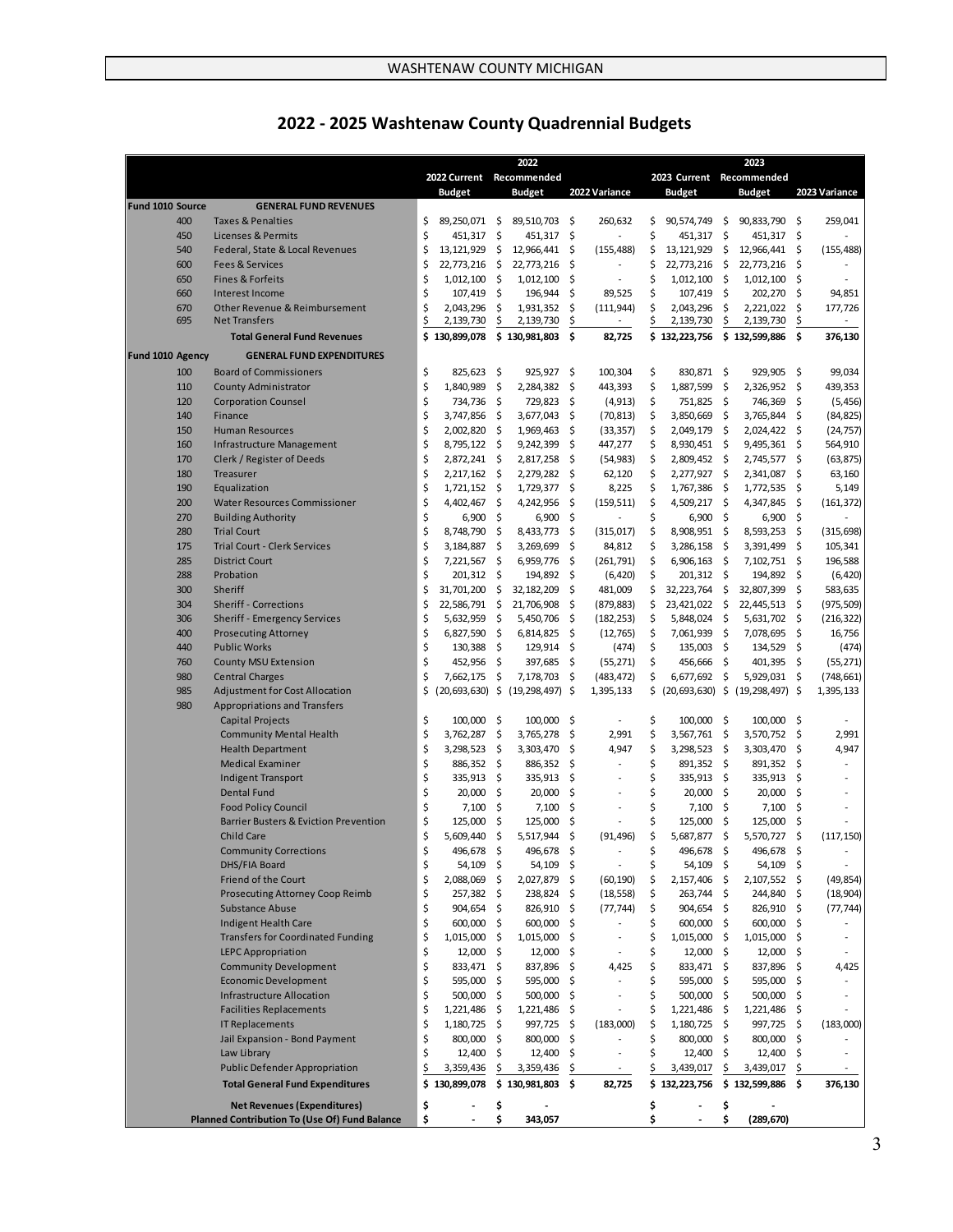# **2022 - 2025 Washtenaw County Quadrennial Budgets**

|                         |                                                            |          |                            |           | 2022                                    |          |                          |          |                         |              | 2023                                |          |                          |
|-------------------------|------------------------------------------------------------|----------|----------------------------|-----------|-----------------------------------------|----------|--------------------------|----------|-------------------------|--------------|-------------------------------------|----------|--------------------------|
|                         |                                                            |          | 2022 Current               |           | Recommended                             |          |                          |          |                         |              | 2023 Current Recommended            |          |                          |
| <b>Fund 1010 Source</b> | <b>GENERAL FUND REVENUES</b>                               |          | <b>Budget</b>              |           | <b>Budget</b>                           |          | 2022 Variance            |          | <b>Budget</b>           |              | <b>Budget</b>                       |          | 2023 Variance            |
| 400                     | <b>Taxes &amp; Penalties</b>                               | \$       | 89,250,071 \$              |           | 89,510,703                              | \$       | 260,632                  | \$       | 90,574,749              | - \$         | 90,833,790                          | - \$     | 259,041                  |
| 450                     | Licenses & Permits                                         | \$       | 451,317                    | - \$      | 451,317                                 | \$       |                          | \$       | 451,317                 | -\$          | 451,317                             | \$       |                          |
| 540                     | Federal, State & Local Revenues                            | \$       | 13, 121, 929               | -\$       | 12,966,441                              | \$       | (155, 488)               | \$       | 13,121,929              | \$           | 12,966,441                          | \$       | (155, 488)               |
| 600                     | <b>Fees &amp; Services</b>                                 | \$       | 22,773,216                 | - \$      | 22,773,216                              | \$.      |                          | \$       | 22,773,216              | \$           | 22,773,216                          | \$       |                          |
| 650                     | <b>Fines &amp; Forfeits</b>                                | \$       | 1,012,100                  | - \$      | 1,012,100                               | \$       |                          | \$       | 1,012,100               | -\$          | 1,012,100                           | \$       |                          |
| 660<br>670              | Interest Income<br>Other Revenue & Reimbursement           | \$<br>\$ | 107,419 \$<br>2,043,296    | \$        | 196,944<br>1,931,352                    | \$<br>\$ | 89,525<br>(111, 944)     | \$<br>\$ | 107,419<br>2,043,296    | -\$<br>\$    | 202,270<br>2,221,022                | \$<br>\$ | 94,851<br>177,726        |
| 695                     | <b>Net Transfers</b>                                       | \$       | 2,139,730                  | \$        | 2,139,730                               | \$       |                          |          | 2,139,730               | \$           | 2,139,730                           | \$       | $\overline{\phantom{a}}$ |
|                         | <b>Total General Fund Revenues</b>                         |          | \$130,899,078              |           | \$130,981,803                           | \$       | 82,725                   |          | \$132,223,756           |              | \$132,599,886                       | \$       | 376,130                  |
| Fund 1010 Agency        | <b>GENERAL FUND EXPENDITURES</b>                           |          |                            |           |                                         |          |                          |          |                         |              |                                     |          |                          |
| 100                     | <b>Board of Commissioners</b>                              | \$       | $825,623$ \$               |           | 925,927                                 | \$       | 100,304                  | \$       | 830,871 \$              |              | 929.905                             | - \$     | 99,034                   |
| 110                     | <b>County Administrator</b>                                | \$       | 1,840,989                  | -\$       | 2,284,382                               | \$       | 443,393                  | \$       | 1,887,599               | -\$          | 2,326,952 \$                        |          | 439,353                  |
| 120                     | <b>Corporation Counsel</b>                                 | \$       | 734,736                    | - \$      | 729,823                                 | \$       | (4, 913)                 | \$       | 751,825                 | -\$          | 746,369                             | \$       | (5, 456)                 |
| 140                     | Finance                                                    | \$       | 3,747,856                  | -\$       | 3,677,043                               | \$       | (70, 813)                | \$       | 3,850,669               | \$           | 3,765,844                           | \$       | (84, 825)                |
| 150                     | <b>Human Resources</b>                                     | \$       | 2,002,820                  | \$        | 1,969,463                               | \$       | (33, 357)                | \$       | 2,049,179               | \$           | 2,024,422                           | \$       | (24, 757)                |
| 160                     | Infrastructure Management                                  | \$       | 8,795,122                  | - \$      | 9,242,399                               | \$       | 447,277                  | \$       | 8,930,451               | -\$          | 9,495,361                           | \$       | 564,910                  |
| 170                     | Clerk / Register of Deeds                                  | \$       | 2,872,241 \$               |           | 2,817,258                               | \$       | (54, 983)                | \$       | 2,809,452               | - \$         | 2,745,577                           | \$       | (63, 875)                |
| 180<br>190              | Treasurer<br>Equalization                                  | \$<br>\$ | 2,217,162 \$<br>1,721,152  | - \$      | 2,279,282<br>1,729,377                  | \$<br>\$ | 62,120<br>8,225          | \$<br>\$ | 2,277,927<br>1,767,386  | - \$<br>- \$ | 2,341,087<br>1,772,535              | \$<br>\$ | 63,160<br>5,149          |
| 200                     | <b>Water Resources Commissioner</b>                        | \$       | 4,402,467                  | \$        | 4,242,956                               | \$       | (159, 511)               | \$       | 4,509,217               | - \$         | 4,347,845                           | \$       | (161, 372)               |
| 270                     | <b>Building Authority</b>                                  | \$       | 6,900                      | -\$       | 6,900                                   | \$       |                          | \$       | 6,900                   | -\$          | 6,900                               | \$       |                          |
| 280                     | <b>Trial Court</b>                                         | \$       | 8,748,790                  | \$        | 8,433,773                               | \$       | (315,017)                | \$       | 8,908,951               | - \$         | 8,593,253                           | \$       | (315, 698)               |
| 175                     | <b>Trial Court - Clerk Services</b>                        | \$       | 3,184,887                  | \$        | 3,269,699                               | \$       | 84,812                   | \$       | 3,286,158               | \$           | 3,391,499                           | \$       | 105,341                  |
| 285                     | <b>District Court</b>                                      | \$       | 7,221,567                  | \$        | 6,959,776                               | \$       | (261,791)                | \$       | 6,906,163               | - \$         | 7,102,751                           | \$       | 196,588                  |
| 288                     | Probation                                                  | \$       | 201,312 \$                 |           | 194,892                                 | \$       | (6,420)                  | \$       | 201,312 \$              |              | 194,892                             | \$       | (6, 420)                 |
| 300                     | Sheriff                                                    | \$       | 31,701,200                 | - \$      | 32,182,209                              | \$       | 481,009                  | \$       | 32,223,764              | - \$         | 32,807,399                          | \$       | 583,635                  |
| 304                     | <b>Sheriff - Corrections</b>                               | \$       | 22,586,791 \$              |           | 21,706,908                              | \$       | (879, 883)               | \$       | 23,421,022              | \$           | 22,445,513                          | \$       | (975, 509)               |
| 306                     | <b>Sheriff - Emergency Services</b>                        | \$       | 5,632,959                  | - \$      | 5,450,706                               | \$.      | (182, 253)               | \$       | 5,848,024               | - \$         | 5,631,702                           | \$       | (216, 322)               |
| 400                     | <b>Prosecuting Attorney</b>                                | \$       | 6,827,590                  | - \$      | 6,814,825                               | \$       | (12,765)                 | \$       | 7,061,939               | -\$          | 7,078,695                           | \$       | 16,756                   |
| 440                     | <b>Public Works</b>                                        | \$       | 130,388 \$                 |           | 129,914                                 | \$       | (474)                    | \$       | 135,003                 | - \$         | 134,529                             | \$.      | (474)                    |
| 760                     | <b>County MSU Extension</b>                                | \$       | 452,956                    | - \$      | 397,685                                 | \$       | (55, 271)                | \$       | 456,666                 | - \$         | 401,395                             | -\$      | (55, 271)                |
| 980                     | <b>Central Charges</b>                                     | \$       | 7,662,175                  | \$        | 7,178,703                               | \$       | (483, 472)               | \$       | 6,677,692               | \$           | 5,929,031                           | \$       | (748, 661)               |
| 985                     | <b>Adjustment for Cost Allocation</b>                      | \$       |                            |           | $(20, 693, 630)$ \$ $(19, 298, 497)$ \$ |          | 1,395,133                | \$       |                         |              | $(20,693,630)$ \$ $(19,298,497)$ \$ |          | 1,395,133                |
| 980                     | <b>Appropriations and Transfers</b>                        |          |                            |           |                                         |          |                          |          |                         |              |                                     |          |                          |
|                         | <b>Capital Projects</b>                                    | \$       | $100,000$ \$               |           | 100,000                                 | \$       |                          | \$       | 100,000                 | -\$          | 100,000                             | - \$     |                          |
|                         | <b>Community Mental Health</b><br><b>Health Department</b> | \$<br>\$ | 3,762,287<br>3,298,523     | \$<br>-\$ | 3,765,278<br>3,303,470                  | \$<br>\$ | 2,991<br>4,947           | \$<br>\$ | 3,567,761<br>3,298,523  | -\$<br>-\$   | 3,570,752<br>3,303,470              | \$<br>\$ | 2,991<br>4,947           |
|                         | <b>Medical Examiner</b>                                    | \$       | 886,352                    | - \$      | 886,352                                 | \$       |                          | \$       | 891,352                 | \$           | 891,352                             | \$       |                          |
|                         | <b>Indigent Transport</b>                                  | \$       | 335,913 \$                 |           | 335,913                                 | \$       |                          | \$       | 335,913                 | - \$         | 335,913                             | \$       |                          |
|                         | <b>Dental Fund</b>                                         | \$       | 20,000                     | \$        | 20,000                                  | \$       |                          | \$       | 20,000 \$               |              | 20,000                              | \$       |                          |
|                         | <b>Food Policy Council</b>                                 | \$       | 7,100                      | \$        | 7,100                                   | \$       | $\overline{\phantom{a}}$ | \$       | 7,100                   | \$.          | 7,100                               | \$       |                          |
|                         | <b>Barrier Busters &amp; Eviction Prevention</b>           | \$       | 125,000                    | \$        | 125,000                                 | \$       |                          | \$       | 125,000                 | \$           | 125,000                             | \$       |                          |
|                         | <b>Child Care</b>                                          | \$       | 5,609,440                  | \$        | 5,517,944                               | \$       | (91, 496)                | \$       | 5,687,877               | \$           | 5,570,727 \$                        |          | (117, 150)               |
|                         | <b>Community Corrections</b>                               | Ş        | 496,678 \$                 |           | 496,678 Ş                               |          |                          | 5        | 496,678 Ş               |              | 496,678 \$                          |          |                          |
|                         | DHS/FIA Board                                              | \$       | 54,109 \$                  |           | 54,109 \$                               |          |                          | \$       | 54,109 \$               |              | 54,109 \$                           |          |                          |
|                         | Friend of the Court                                        | \$       | 2,088,069                  | \$        | 2,027,879 \$                            |          | (60, 190)                | \$       | 2,157,406 \$            |              | 2,107,552 \$                        |          | (49, 854)                |
|                         | <b>Prosecuting Attorney Coop Reimb</b>                     | \$       | 257,382 \$                 |           | 238,824 \$                              |          | (18, 558)                | \$       | 263,744 \$              |              | 244,840 \$                          |          | (18,904)                 |
|                         | <b>Substance Abuse</b>                                     | \$       | 904,654 \$                 |           | 826,910 \$                              |          | (77, 744)                | \$       | 904,654 \$              |              | 826,910                             | -\$      | (77, 744)                |
|                         | Indigent Health Care                                       | \$       | 600,000 \$                 |           | 600,000 \$                              |          |                          | \$       | 600,000 \$              |              | 600,000 \$                          |          |                          |
|                         | <b>Transfers for Coordinated Funding</b>                   | \$       | $1,015,000$ \$             |           | $1,015,000$ \$                          |          | $\overline{\phantom{a}}$ | \$       | $1,015,000$ \$          |              | $1,015,000$ \$                      |          |                          |
|                         | <b>LEPC Appropriation</b>                                  | \$       | $12,000$ \$                |           | $12,000$ \$                             |          |                          | \$       | $12,000$ \$             |              | $12,000$ \$                         |          |                          |
|                         | <b>Community Development</b>                               | \$       | 833,471 \$                 |           | 837,896                                 | \$       | 4,425                    | \$       | 833,471 \$              |              | 837,896 \$                          |          | 4,425                    |
|                         | <b>Economic Development</b>                                | \$       | 595,000 \$                 |           | 595,000 \$                              |          |                          | \$       | 595,000 \$              |              | 595,000 \$                          |          |                          |
|                         | <b>Infrastructure Allocation</b>                           | \$       | 500,000 \$                 |           | 500,000 \$                              |          | $\overline{a}$           | \$       | 500,000 \$              |              | 500,000                             | Ŝ.       |                          |
|                         | <b>Facilities Replacements</b>                             | \$       | 1,221,486 \$               |           | 1,221,486 \$                            |          |                          | \$       | 1,221,486 \$            |              | 1,221,486                           | -\$      |                          |
|                         | <b>IT Replacements</b><br>Jail Expansion - Bond Payment    | \$<br>\$ | 1,180,725 \$<br>800,000 \$ |           | 997,725 \$<br>800,000 \$                |          | (183,000)                | \$<br>\$ | $1,180,725$ \$          |              | 997,725 \$<br>800,000 \$            |          | (183,000)                |
|                         | Law Library                                                | \$       | $12,400$ \$                |           | 12,400 \$                               |          |                          | \$       | 800,000 \$<br>12,400 \$ |              | $12,400$ \$                         |          |                          |
|                         | <b>Public Defender Appropriation</b>                       | \$       | 3,359,436                  | \$        | 3,359,436                               | \$       | $\sim$                   | \$       | 3,439,017               | \$           | 3,439,017                           | \$       | $\sim$                   |
|                         | <b>Total General Fund Expenditures</b>                     | \$       |                            |           | 130,899,078 \$ 130,981,803 \$           |          | 82,725                   |          | \$132,223,756           |              | $$132,599,886$ \$                   |          | 376,130                  |
|                         | <b>Net Revenues (Expenditures)</b>                         | \$       |                            | \$        |                                         |          |                          | \$       |                         | \$           |                                     |          |                          |
|                         | <b>Planned Contribution To (Use Of) Fund Balance</b>       | \$       |                            | \$        | 343,057                                 |          |                          | \$       |                         | \$           | (289, 670)                          |          |                          |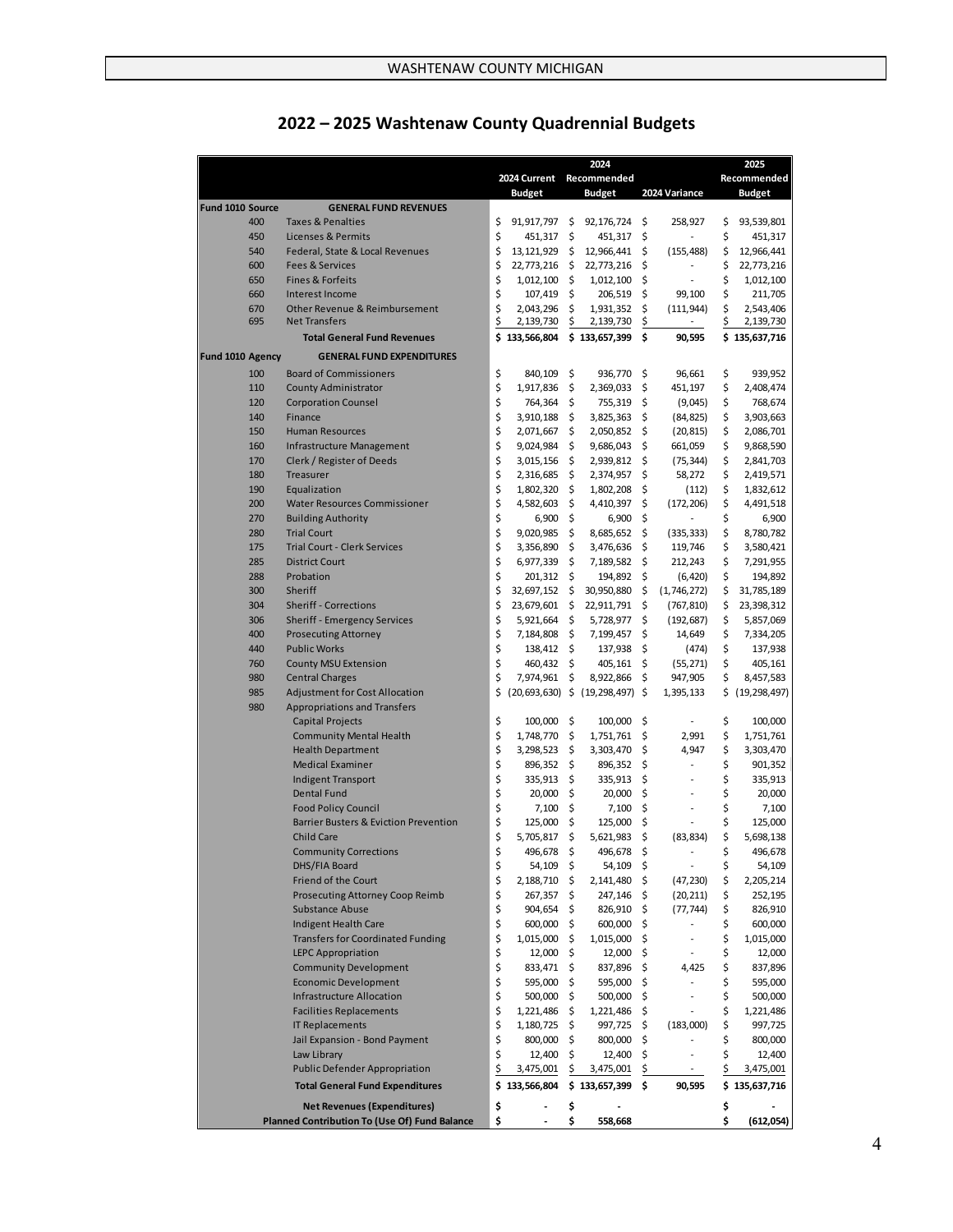|                  |                                                                    |          |                        | 2024       |                                     |          |                          | 2025     |                        |
|------------------|--------------------------------------------------------------------|----------|------------------------|------------|-------------------------------------|----------|--------------------------|----------|------------------------|
|                  |                                                                    |          | 2024 Current           |            | Recommended                         |          |                          |          | Recommended            |
|                  |                                                                    |          | <b>Budget</b>          |            | <b>Budget</b>                       |          | 2024 Variance            |          | <b>Budget</b>          |
| Fund 1010 Source | <b>GENERAL FUND REVENUES</b>                                       |          |                        |            |                                     |          |                          |          |                        |
| 400              | <b>Taxes &amp; Penalties</b>                                       | \$       | 91,917,797 \$          |            | 92,176,724                          | \$       | 258,927                  | \$       | 93,539,801             |
| 450              | <b>Licenses &amp; Permits</b>                                      | \$       | 451,317                | \$         | 451,317                             | \$       |                          | \$       | 451,317                |
| 540              | Federal, State & Local Revenues                                    | \$       | 13,121,929             | \$         | 12,966,441                          | \$       | (155, 488)               | \$       | 12,966,441             |
| 600              | <b>Fees &amp; Services</b>                                         | \$       | 22,773,216             | -\$        | 22,773,216                          | \$       | $\overline{a}$           | \$       | 22,773,216             |
| 650              | <b>Fines &amp; Forfeits</b>                                        | \$       | 1,012,100              | -\$        | 1,012,100                           | \$       | ٠                        | \$       | 1,012,100              |
| 660              | Interest Income                                                    | \$       | 107,419                | \$         | 206,519                             | \$       | 99,100                   | \$       | 211,705                |
| 670              | Other Revenue & Reimbursement                                      | \$       | 2,043,296              | Ś          | 1,931,352                           | \$       | (111, 944)               | \$       | 2,543,406              |
| 695              | <b>Net Transfers</b>                                               | \$       | 2,139,730              | \$         | 2,139,730                           | \$       |                          | \$       | 2,139,730              |
|                  | <b>Total General Fund Revenues</b>                                 | \$       | 133,566,804            |            | \$133,657,399                       | \$       | 90,595                   |          | \$135,637,716          |
| Fund 1010 Agency | <b>GENERAL FUND EXPENDITURES</b>                                   |          |                        |            |                                     |          |                          |          |                        |
| 100              | <b>Board of Commissioners</b>                                      | \$       | 840,109                | \$         | 936,770 \$                          |          | 96,661                   | \$       | 939,952                |
| 110              | <b>County Administrator</b>                                        | \$       | 1,917,836              | \$         | 2,369,033                           | \$       | 451,197                  | \$       | 2,408,474              |
| 120              | <b>Corporation Counsel</b>                                         | \$       | 764,364                | \$         | 755,319                             | \$       | (9,045)                  | \$       | 768,674                |
| 140              | Finance                                                            | \$       | 3,910,188              | \$         | 3,825,363                           | \$       | (84, 825)                | \$       | 3,903,663              |
| 150              | <b>Human Resources</b>                                             | \$       | 2,071,667              | \$         | 2,050,852                           | \$       | (20, 815)                | \$       | 2,086,701              |
| 160              | Infrastructure Management                                          | \$       | 9,024,984              | \$         | 9,686,043                           | \$       | 661,059                  | \$       | 9,868,590              |
| 170              | Clerk / Register of Deeds                                          | \$       | 3,015,156              | \$         | 2,939,812                           | \$       | (75, 344)                | \$       | 2,841,703              |
| 180              | Treasurer                                                          | \$       | 2,316,685              | \$         | 2,374,957                           | \$       | 58,272                   | \$       | 2,419,571              |
| 190              | Equalization                                                       | \$       | 1,802,320              | -\$        | 1,802,208                           | \$       | (112)                    | \$       | 1,832,612              |
| 200              | <b>Water Resources Commissioner</b>                                | \$       | 4,582,603              | \$         | 4,410,397                           | \$       | (172, 206)               | \$       | 4,491,518              |
| 270              | <b>Building Authority</b>                                          | \$       | 6,900                  | \$         | 6,900                               | \$       |                          | \$       | 6,900                  |
| 280              | <b>Trial Court</b>                                                 | \$       | 9,020,985              | \$         | 8,685,652                           | \$       | (335, 333)               | \$       | 8,780,782              |
| 175              | <b>Trial Court - Clerk Services</b>                                | \$       | 3,356,890              | \$         | 3,476,636                           | \$       | 119,746                  | \$       | 3,580,421              |
| 285              | <b>District Court</b>                                              | \$       | 6,977,339              | \$         | 7,189,582                           | \$       | 212,243                  | \$       | 7,291,955              |
| 288              | Probation                                                          | \$       | 201,312                | -\$        | 194,892                             | \$       | (6, 420)                 | \$       | 194,892                |
| 300<br>304       | Sheriff                                                            | \$<br>\$ | 32,697,152             | \$         | 30,950,880 \$                       |          | (1,746,272)              | \$       | 31,785,189             |
| 306              | <b>Sheriff - Corrections</b>                                       | \$       | 23,679,601             | \$         | 22,911,791                          | \$<br>\$ | (767, 810)               | \$       | 23,398,312             |
| 400              | <b>Sheriff - Emergency Services</b><br><b>Prosecuting Attorney</b> | \$       | 5,921,664<br>7,184,808 | -\$<br>-\$ | 5,728,977<br>7,199,457              | \$       | (192, 687)<br>14,649     | \$<br>\$ | 5,857,069<br>7,334,205 |
| 440              | <b>Public Works</b>                                                | \$       | 138,412                | -\$        | 137,938                             | \$       | (474)                    | \$       | 137,938                |
| 760              | <b>County MSU Extension</b>                                        | \$       | 460,432                | -\$        | 405,161                             | \$       | (55, 271)                | \$       | 405,161                |
| 980              | <b>Central Charges</b>                                             | \$       | 7,974,961              | \$         | 8,922,866                           | \$       | 947,905                  | \$       | 8,457,583              |
| 985              | <b>Adjustment for Cost Allocation</b>                              | \$       |                        |            | $(20,693,630)$ \$ $(19,298,497)$ \$ |          | 1,395,133                | \$       | (19, 298, 497)         |
| 980              | <b>Appropriations and Transfers</b>                                |          |                        |            |                                     |          |                          |          |                        |
|                  | <b>Capital Projects</b>                                            | \$       | 100,000                | -\$        | 100,000                             | \$       | $\overline{a}$           | \$       | 100,000                |
|                  | <b>Community Mental Health</b>                                     | \$       | 1,748,770              | -\$        | 1,751,761                           | \$       | 2,991                    | \$       | 1,751,761              |
|                  | <b>Health Department</b>                                           | \$       | 3,298,523              | \$         | 3,303,470                           | \$       | 4,947                    | \$       | 3,303,470              |
|                  | <b>Medical Examiner</b>                                            | \$       | 896,352                | -\$        | 896,352                             | \$       |                          | \$       | 901,352                |
|                  | <b>Indigent Transport</b>                                          | \$       | 335,913                | \$         | 335,913                             | \$       | $\overline{a}$           | \$       | 335,913                |
|                  | <b>Dental Fund</b>                                                 | \$       | 20,000                 | \$         | 20,000                              | \$       | $\overline{a}$           | \$       | 20,000                 |
|                  | <b>Food Policy Council</b>                                         | \$       | 7,100                  | \$         | 7,100                               | \$       |                          | \$       | 7,100                  |
|                  | <b>Barrier Busters &amp; Eviction Prevention</b>                   | \$       | 125,000                | \$         | 125,000                             | \$       |                          | \$       | 125,000                |
|                  | <b>Child Care</b>                                                  | \$       | 5,705,817              | \$         | 5,621,983                           | \$       | (83, 834)                | \$       | 5,698,138              |
|                  | <b>Community Corrections</b>                                       | \$       | 496,678                | \$         | 496,678 \$                          |          |                          |          | 496,678                |
|                  | DHS/FIA Board                                                      | \$       | 54,109                 | - \$       | 54,109 \$                           |          | $\overline{\phantom{a}}$ | \$       | 54,109                 |
|                  | <b>Friend of the Court</b>                                         | \$       | 2,188,710 \$           |            | 2,141,480                           | \$       | (47, 230)                | \$       | 2,205,214              |
|                  | <b>Prosecuting Attorney Coop Reimb</b>                             | \$       | 267,357                | \$         | 247,146                             | \$       | (20, 211)                | \$       | 252,195                |
|                  | <b>Substance Abuse</b>                                             | \$       | 904,654                | \$         | 826,910                             | \$       | (77, 744)                | \$       | 826,910                |
|                  | Indigent Health Care                                               | \$       | 600,000                | \$         | 600,000                             | \$       |                          | \$       | 600,000                |
|                  | <b>Transfers for Coordinated Funding</b>                           | \$       | 1,015,000              | \$         | 1,015,000                           | \$       | $\overline{\phantom{a}}$ | \$       | 1,015,000              |
|                  | <b>LEPC Appropriation</b>                                          | \$       | 12,000                 | \$         | 12,000                              | \$       | $\overline{a}$           | \$       | 12,000                 |
|                  | <b>Community Development</b><br><b>Economic Development</b>        | \$       | 833,471                | \$         | 837,896<br>595,000                  | \$       | 4,425                    | \$       | 837,896                |
|                  | <b>Infrastructure Allocation</b>                                   | \$<br>\$ | 595,000<br>500,000     | \$<br>\$   | 500,000                             | \$<br>\$ | $\overline{a}$           | \$<br>\$ | 595,000<br>500,000     |
|                  | <b>Facilities Replacements</b>                                     | \$       | 1,221,486              | \$         | 1,221,486                           | \$       |                          | \$       | 1,221,486              |
|                  | <b>IT Replacements</b>                                             | \$       | 1,180,725              | \$         | 997,725                             | \$       | (183,000)                | \$       | 997,725                |
|                  | Jail Expansion - Bond Payment                                      | \$       | 800,000                | \$         | 800,000                             | \$       | $\overline{a}$           | \$       | 800,000                |
|                  | Law Library                                                        | \$       | 12,400                 | \$         | 12,400                              | \$       | $\overline{\phantom{a}}$ | \$       | 12,400                 |
|                  | <b>Public Defender Appropriation</b>                               | Ś        | 3,475,001              |            | 3,475,001                           | \$       | $\sim$                   | \$       | 3,475,001              |
|                  | <b>Total General Fund Expenditures</b>                             | \$       | 133,566,804            |            | \$133,657,399                       | \$       | 90,595                   |          | \$135,637,716          |
|                  |                                                                    |          |                        |            |                                     |          |                          |          |                        |
|                  | <b>Net Revenues (Expenditures)</b>                                 | \$       |                        | \$         |                                     |          |                          | \$       |                        |
|                  | <b>Planned Contribution To (Use Of) Fund Balance</b>               | \$       |                        | \$         | 558,668                             |          |                          | \$       | (612,054)              |

# **2022 – 2025 Washtenaw County Quadrennial Budgets**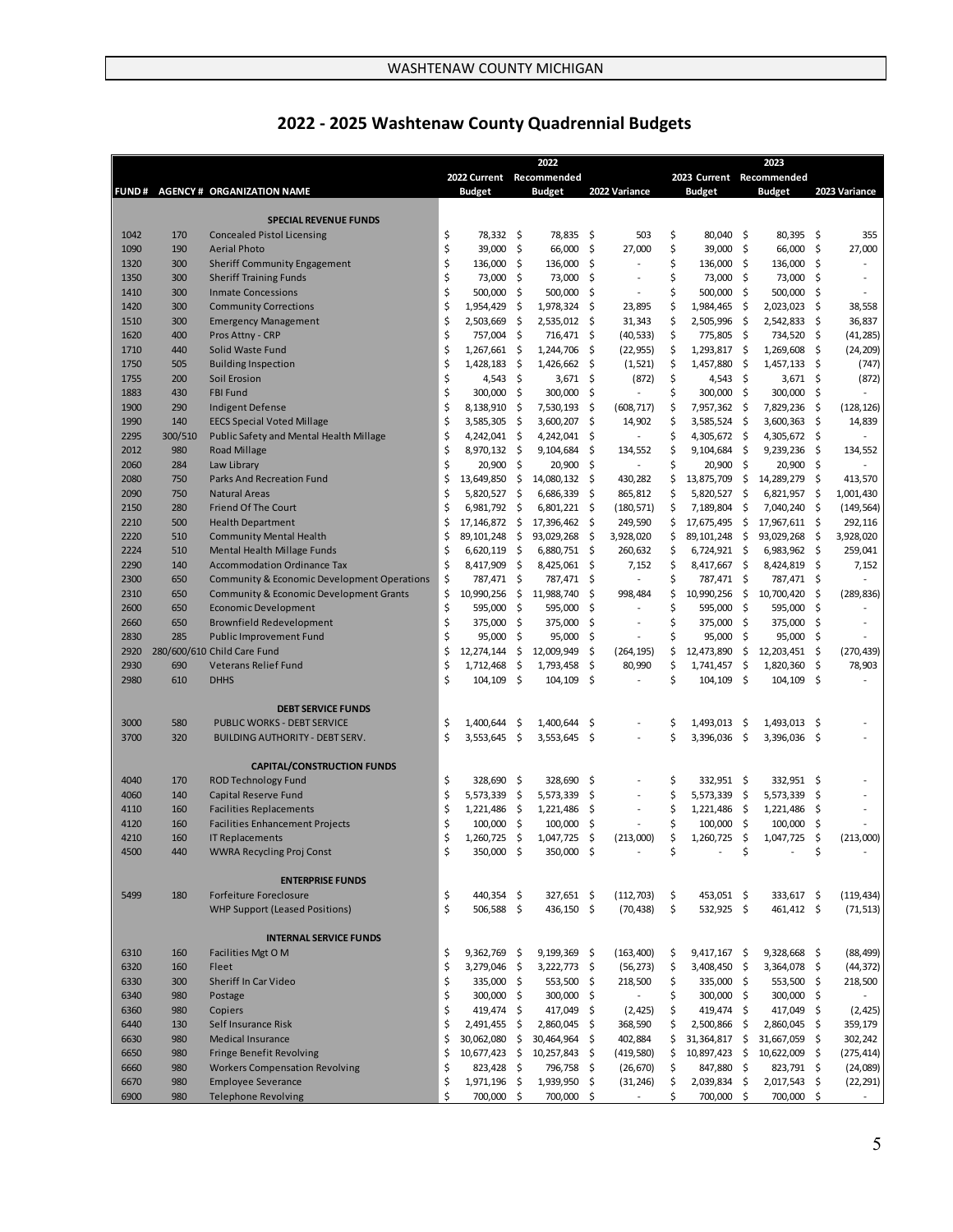|              |            |                                                             |          |                      |                           | 2022                     |            |                          |          |                        |              | 2023                     |          |                          |
|--------------|------------|-------------------------------------------------------------|----------|----------------------|---------------------------|--------------------------|------------|--------------------------|----------|------------------------|--------------|--------------------------|----------|--------------------------|
|              |            |                                                             |          |                      |                           | 2022 Current Recommended |            |                          |          |                        |              | 2023 Current Recommended |          |                          |
|              |            | FUND # AGENCY # ORGANIZATION NAME                           |          | <b>Budget</b>        |                           | <b>Budget</b>            |            | 2022 Variance            |          | <b>Budget</b>          |              | <b>Budget</b>            |          | 2023 Variance            |
|              |            |                                                             |          |                      |                           |                          |            |                          |          |                        |              |                          |          |                          |
|              |            | <b>SPECIAL REVENUE FUNDS</b>                                |          |                      |                           |                          |            |                          |          |                        |              |                          |          |                          |
| 1042         | 170        | <b>Concealed Pistol Licensing</b>                           | \$       | 78,332 \$            |                           | 78,835                   | \$         | 503                      | \$       | 80,040 \$              |              | 80,395                   | \$       | 355                      |
| 1090         | 190        | <b>Aerial Photo</b>                                         | \$       | 39,000 \$            |                           | 66,000                   | -\$        | 27,000                   | \$       | 39,000 \$              |              | 66.000                   | \$       | 27,000                   |
| 1320         | 300        | <b>Sheriff Community Engagement</b>                         | \$       | 136,000 \$           |                           | 136,000                  | \$         |                          | \$       | 136,000 \$             |              | 136,000                  | \$       |                          |
| 1350         | 300        | <b>Sheriff Training Funds</b>                               | \$<br>\$ | 73,000 \$            |                           | 73,000                   | -\$        | $\overline{a}$<br>÷      | \$<br>\$ | 73,000 \$              |              | 73,000                   | \$       | $\overline{\phantom{a}}$ |
| 1410<br>1420 | 300<br>300 | <b>Inmate Concessions</b>                                   | \$       | 500,000<br>1,954,429 | - \$<br>-\$               | 500,000                  | -\$<br>-\$ |                          | \$       | 500,000                | - \$<br>- \$ | 500,000                  | \$<br>\$ |                          |
| 1510         | 300        | <b>Community Corrections</b><br><b>Emergency Management</b> | \$       | 2,503,669            | -\$                       | 1,978,324<br>2,535,012   | - \$       | 23,895<br>31,343         | \$       | 1,984,465<br>2,505,996 | - \$         | 2,023,023<br>2,542,833   | \$       | 38,558<br>36,837         |
| 1620         | 400        | Pros Attny - CRP                                            | \$       | 757,004              | -\$                       | 716,471 \$               |            | (40, 533)                | \$       | 775,805                | - \$         | 734,520                  | \$       | (41, 285)                |
| 1710         | 440        | Solid Waste Fund                                            | \$       | 1,267,661            | - \$                      | 1,244,706                | -\$        | (22, 955)                | \$       | $1,293,817$ \$         |              | 1,269,608                | \$       | (24, 209)                |
| 1750         | 505        | <b>Building Inspection</b>                                  | \$       | 1,428,183            | -\$                       | $1,426,662$ \$           |            | (1, 521)                 | \$       | 1,457,880              | -\$          | 1,457,133                | - \$     | (747)                    |
| 1755         | 200        | Soil Erosion                                                | \$       | 4,543 \$             |                           | $3,671$ \$               |            | (872)                    | \$       | 4,543 \$               |              | $3,671$ \$               |          | (872)                    |
| 1883         | 430        | <b>FBI Fund</b>                                             | \$       | 300,000              | - \$                      | 300,000                  | - \$       |                          | \$       | 300,000 \$             |              | 300,000                  | -\$      |                          |
| 1900         | 290        | <b>Indigent Defense</b>                                     | \$       | 8,138,910            | -\$                       | 7,530,193 \$             |            | (608, 717)               | \$       | 7,957,362              | - \$         | 7,829,236                | \$       | (128, 126)               |
| 1990         | 140        | <b>EECS Special Voted Millage</b>                           | \$       | 3,585,305            | -\$                       | 3,600,207                | -\$        | 14,902                   | \$       | $3,585,524$ \$         |              | 3,600,363                | \$       | 14,839                   |
| 2295         | 300/510    | Public Safety and Mental Health Millage                     | \$       | 4,242,041 \$         |                           | 4,242,041 \$             |            |                          | \$       | 4,305,672 \$           |              | 4,305,672 \$             |          |                          |
| 2012         | 980        | Road Millage                                                | \$       | 8,970,132 \$         |                           | 9,104,684                | -\$        | 134,552                  | \$       | 9,104,684              | \$           | 9,239,236                | \$       | 134,552                  |
| 2060         | 284        | Law Library                                                 | \$       | 20,900               | -\$                       | 20,900                   | -\$        |                          | \$       | 20,900                 | \$           | 20,900                   | -\$      |                          |
| 2080         | 750        | <b>Parks And Recreation Fund</b>                            | \$       | 13,649,850           | -\$                       | 14,080,132               | -\$        | 430,282                  | \$       | 13,875,709             | -\$          | 14,289,279               | -\$      | 413,570                  |
| 2090         | 750        | <b>Natural Areas</b>                                        | \$       | 5,820,527            | - \$                      | $6,686,339$ \$           |            | 865,812                  | \$       | 5,820,527 \$           |              | 6,821,957                | \$       | 1,001,430                |
| 2150         | 280        | <b>Friend Of The Court</b>                                  | \$       | 6,981,792            | -\$                       | 6,801,221                | - \$       | (180, 571)               | \$       | 7,189,804              | \$           | 7,040,240                | \$       | (149, 564)               |
| 2210         | 500        | <b>Health Department</b>                                    | \$       | 17,146,872 \$        |                           | 17,396,462               | - \$       | 249,590                  | \$       | 17,675,495             | - \$         | 17,967,611               | \$       | 292,116                  |
| 2220         | 510        | <b>Community Mental Health</b>                              | \$       | 89, 101, 248         | -\$                       | 93,029,268               | - \$       | 3,928,020                | \$       | 89, 101, 248           | - \$         | 93,029,268               | \$       | 3,928,020                |
| 2224         | 510        | Mental Health Millage Funds                                 | \$       | 6,620,119            | - \$                      | 6,880,751 \$             |            | 260,632                  | \$       | $6,724,921$ \$         |              | $6,983,962$ \$           |          | 259,041                  |
| 2290         | 140        | <b>Accommodation Ordinance Tax</b>                          | \$       | 8,417,909            | -\$                       | 8,425,061 \$             |            | 7,152                    | \$       | 8,417,667 \$           |              | 8,424,819                | - \$     | 7,152                    |
| 2300         | 650        | Community & Economic Development Operations                 | \$       | 787,471 \$           |                           | 787,471 \$               |            |                          | \$       | 787,471 \$             |              | 787,471 \$               |          |                          |
| 2310         | 650        | <b>Community &amp; Economic Development Grants</b>          | \$       | 10,990,256           | $\boldsymbol{\mathsf{S}}$ | 11,988,740 \$            |            | 998,484                  | \$       | 10,990,256             | \$           | 10,700,420               | \$       | (289, 836)               |
| 2600         | 650        | <b>Economic Development</b>                                 | \$       | 595,000              | -\$                       | 595,000                  | \$         |                          | \$       | 595,000                | \$           | 595,000                  | \$       |                          |
| 2660         | 650        | Brownfield Redevelopment                                    | \$       | 375,000 \$           |                           | 375,000 \$               |            |                          | \$       | 375,000 \$             |              | 375,000                  | - \$     |                          |
| 2830         | 285        | <b>Public Improvement Fund</b>                              | \$       | 95,000               | \$                        | 95,000                   | \$         | L,                       | \$       | 95,000                 | \$           | 95,000                   | \$       |                          |
| 2920         |            | 280/600/610 Child Care Fund                                 | \$       | 12,274,144           | -\$                       | 12,009,949               | -\$        | (264, 195)               | \$       | 12,473,890             | \$           | 12,203,451               | -\$      | (270, 439)               |
| 2930         | 690        | Veterans Relief Fund                                        | \$       | 1,712,468            | -\$                       | 1,793,458                | -\$        | 80,990                   | \$       | 1,741,457              | \$           | 1,820,360                | \$       | 78,903                   |
| 2980         | 610        | <b>DHHS</b>                                                 | \$       | 104,109              | - \$                      | 104,109 \$               |            | $\overline{\phantom{a}}$ | \$       | $104, 109$ \$          |              | 104,109 \$               |          |                          |
|              |            |                                                             |          |                      |                           |                          |            |                          |          |                        |              |                          |          |                          |
|              |            | <b>DEBT SERVICE FUNDS</b>                                   |          |                      |                           |                          |            |                          |          |                        |              |                          |          |                          |
| 3000         | 580        | PUBLIC WORKS - DEBT SERVICE                                 | \$       | 1,400,644            | -\$                       | 1,400,644                | -\$        |                          | \$       | 1,493,013              | - \$         | 1,493,013                | \$       |                          |
| 3700         | 320        | BUILDING AUTHORITY - DEBT SERV.                             | \$       | 3,553,645            | -\$                       | 3,553,645 \$             |            | $\overline{a}$           | \$       | 3,396,036 \$           |              | 3,396,036 \$             |          |                          |
|              |            | <b>CAPITAL/CONSTRUCTION FUNDS</b>                           |          |                      |                           |                          |            |                          |          |                        |              |                          |          |                          |
| 4040         | 170        | <b>ROD Technology Fund</b>                                  | \$       | 328,690              | -\$                       | 328,690 \$               |            |                          | \$       | 332,951 \$             |              | 332,951 \$               |          |                          |
| 4060         | 140        | Capital Reserve Fund                                        | \$       | 5,573,339            | - \$                      | 5,573,339 \$             |            | ÷                        | \$       | 5,573,339              | - \$         | 5,573,339                | \$       |                          |
| 4110         | 160        | <b>Facilities Replacements</b>                              | \$       | $1,221,486$ \$       |                           | 1,221,486                | -\$        | ÷                        | \$       | 1,221,486              | - \$         | 1,221,486                | \$       |                          |
| 4120         | 160        | <b>Facilities Enhancement Projects</b>                      | \$       | 100,000              | \$                        | 100,000                  | \$         |                          | \$       | 100,000                | \$           | 100,000                  | \$       |                          |
| 4210         | 160        | <b>IT Replacements</b>                                      | \$       | 1,260,725            | - \$                      | 1,047,725 \$             |            | (213,000)                | \$       | 1,260,725              | \$.          | 1,047,725                | \$       | (213,000)                |
| 4500         | 440        | <b>WWRA Recycling Proj Const</b>                            | \$       | 350,000              | \$                        | 350,000                  | -\$        |                          |          |                        |              |                          |          |                          |
|              |            |                                                             |          |                      |                           |                          |            |                          |          |                        |              |                          |          |                          |
|              |            | <b>ENTERPRISE FUNDS</b>                                     |          |                      |                           |                          |            |                          |          |                        |              |                          |          |                          |
| 5499         | 180        | Forfeiture Foreclosure                                      | \$       | 440,354 \$           |                           | 327,651 \$               |            | (112, 703)               | \$       | 453,051 \$             |              | 333,617 \$               |          | (119, 434)               |
|              |            | <b>WHP Support (Leased Positions)</b>                       | \$       | 506,588 \$           |                           | 436,150 \$               |            | (70, 438)                | \$       | 532,925 \$             |              | 461,412 \$               |          | (71, 513)                |
|              |            |                                                             |          |                      |                           |                          |            |                          |          |                        |              |                          |          |                          |
|              |            | <b>INTERNAL SERVICE FUNDS</b>                               |          |                      |                           |                          |            |                          |          |                        |              |                          |          |                          |
| 6310         | 160        | Facilities Mgt O M                                          | \$       | 9,362,769 \$         |                           | 9,199,369 \$             |            | (163, 400)               | \$       | $9,417,167$ \$         |              | 9,328,668 \$             |          | (88, 499)                |
| 6320         | 160        | Fleet                                                       | \$       | 3,279,046 \$         |                           | 3,222,773 \$             |            | (56, 273)                | \$       | 3,408,450 \$           |              | 3,364,078 \$             |          | (44, 372)                |
| 6330         | 300        | Sheriff In Car Video                                        | \$       | 335,000 \$           |                           | 553,500 \$               |            | 218,500                  | \$       | 335,000 \$             |              | 553,500 \$               |          | 218,500                  |
| 6340         | 980        | Postage                                                     | \$       | 300,000 \$           |                           | 300,000 \$               |            |                          | \$       | $300,000$ \$           |              | 300,000 \$               |          |                          |
| 6360         | 980        | Copiers                                                     | \$       | 419,474 \$           |                           | 417,049 \$               |            | (2,425)                  | \$       | 419,474 \$             |              | 417,049 \$               |          | (2, 425)                 |
| 6440         | 130        | Self Insurance Risk                                         | \$       | $2,491,455$ \$       |                           | 2,860,045 \$             |            | 368,590                  | \$       | 2,500,866 \$           |              | 2,860,045 \$             |          | 359,179                  |
| 6630         | 980        | <b>Medical Insurance</b>                                    | \$       | 30,062,080           | - \$                      | 30,464,964 \$            |            | 402,884                  | \$       | 31,364,817 \$          |              | 31,667,059 \$            |          | 302,242                  |
| 6650         | 980        | <b>Fringe Benefit Revolving</b>                             | \$       | 10,677,423 \$        |                           | 10,257,843 \$            |            | (419,580)                | \$       | 10,897,423 \$          |              | 10,622,009 \$            |          | (275, 414)               |
| 6660         | 980        | <b>Workers Compensation Revolving</b>                       | \$       | 823,428 \$           |                           | 796,758 \$               |            | (26, 670)                | \$       | 847,880 \$             |              | 823,791 \$               |          | (24,089)                 |
| 6670         | 980        | <b>Employee Severance</b>                                   | \$       | 1,971,196 \$         |                           | 1,939,950 \$             |            | (31, 246)                | \$       | 2,039,834 \$           |              | 2,017,543 \$             |          | (22, 291)                |
| 6900         | 980        | <b>Telephone Revolving</b>                                  | \$       | 700,000 \$           |                           | 700,000 \$               |            |                          | \$       | 700,000 \$             |              | 700,000 \$               |          |                          |

# **2022 - 2025 Washtenaw County Quadrennial Budgets**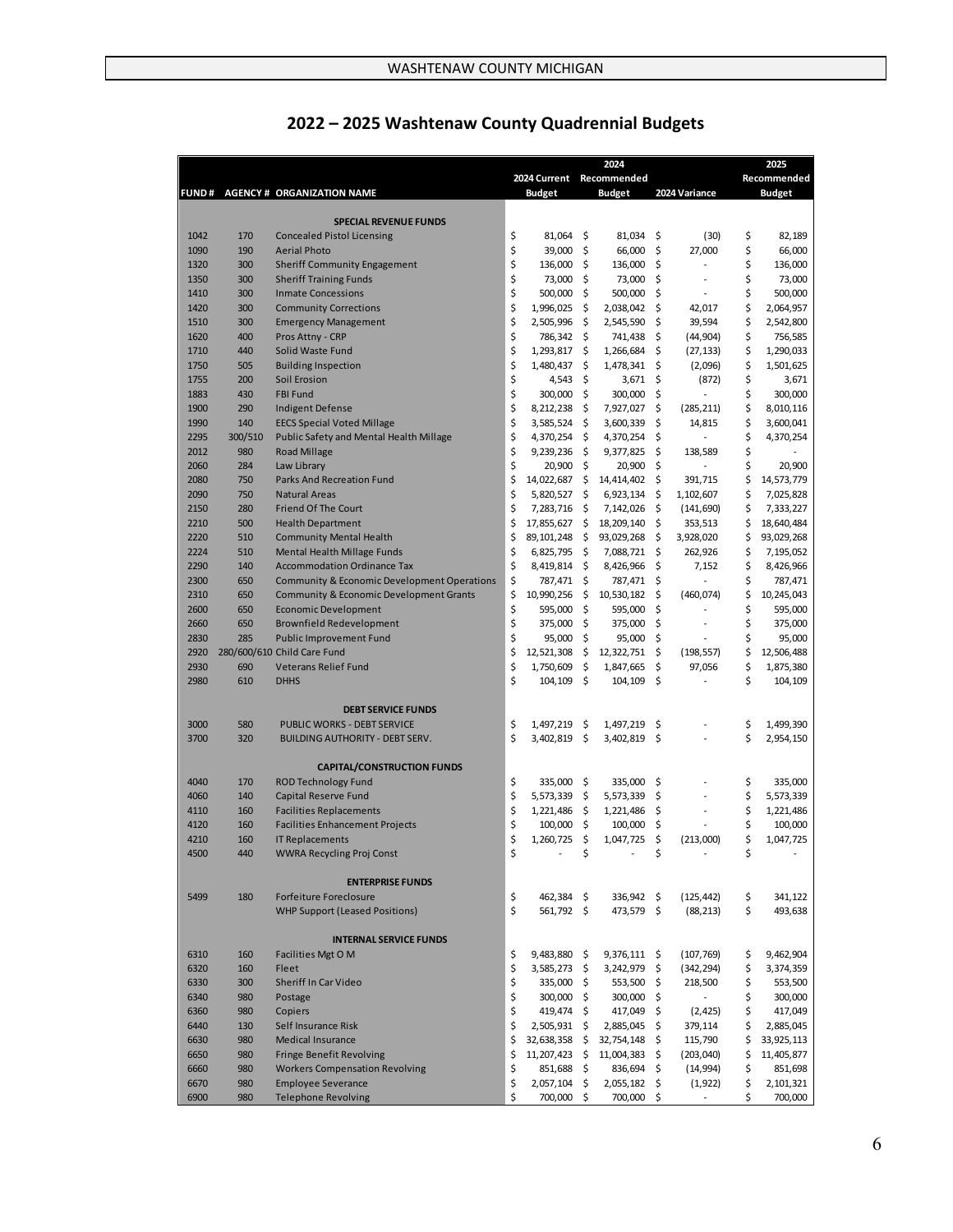|              |         |                                                        |         |                |          | 2024           |                  |         | 2025          |
|--------------|---------|--------------------------------------------------------|---------|----------------|----------|----------------|------------------|---------|---------------|
|              |         |                                                        |         | 2024 Current   |          | Recommended    |                  |         | Recommended   |
|              |         | FUND # AGENCY # ORGANIZATION NAME                      |         | <b>Budget</b>  |          | <b>Budget</b>  | 2024 Variance    |         | <b>Budget</b> |
|              |         |                                                        |         |                |          |                |                  |         |               |
|              |         | <b>SPECIAL REVENUE FUNDS</b>                           |         |                |          |                |                  |         |               |
| 1042         | 170     | <b>Concealed Pistol Licensing</b>                      | \$      | 81,064         | \$       | 81,034         | \$<br>(30)       | \$      | 82,189        |
| 1090         | 190     | <b>Aerial Photo</b>                                    | \$      | 39,000         | \$       | 66,000         | \$<br>27,000     | \$      | 66,000        |
| 1320         | 300     | <b>Sheriff Community Engagement</b>                    | \$      | 136,000        | \$       | 136,000        | \$               | \$      | 136,000       |
| 1350         | 300     | <b>Sheriff Training Funds</b>                          | \$      | 73,000         | \$       | 73,000         | \$               | \$      | 73,000        |
| 1410         | 300     | <b>Inmate Concessions</b>                              | \$      | 500,000        | \$       | 500,000        | \$               | \$      | 500,000       |
| 1420         | 300     | <b>Community Corrections</b>                           | \$      | 1,996,025      | \$       | 2,038,042      | \$<br>42,017     | \$      | 2,064,957     |
| 1510         | 300     | <b>Emergency Management</b>                            | \$      | 2,505,996      | \$       | 2,545,590      | \$<br>39,594     | \$      | 2,542,800     |
| 1620         | 400     | Pros Attny - CRP                                       | \$      | 786,342        | \$       | 741,438        | \$<br>(44, 904)  | \$      | 756,585       |
| 1710         | 440     | Solid Waste Fund                                       | \$      | 1,293,817      | \$       | 1,266,684      | \$<br>(27, 133)  | \$      | 1,290,033     |
| 1750         | 505     | <b>Building Inspection</b>                             | \$      | 1,480,437      | \$       | 1,478,341      | \$<br>(2,096)    | \$      | 1,501,625     |
| 1755         | 200     | Soil Erosion                                           | \$      | 4,543          | \$       | 3,671          | \$<br>(872)      | \$      | 3,671         |
| 1883         | 430     | <b>FBI Fund</b>                                        | \$      | 300,000        | \$       | 300,000        | \$               | \$      | 300,000       |
| 1900         | 290     | <b>Indigent Defense</b>                                | \$      | 8,212,238      | \$       | 7,927,027      | \$<br>(285, 211) | \$      | 8,010,116     |
| 1990         | 140     | <b>EECS Special Voted Millage</b>                      | \$      | 3,585,524      | \$       | 3,600,339      | \$<br>14,815     | \$      | 3,600,041     |
| 2295         | 300/510 | Public Safety and Mental Health Millage                | \$      | 4,370,254      | \$       | 4,370,254      | \$               | \$      | 4,370,254     |
| 2012         | 980     | Road Millage                                           | \$      | 9,239,236      | \$       | 9,377,825      | \$<br>138,589    | \$      |               |
| 2060         | 284     | Law Library                                            | \$      | 20,900         | \$       | 20,900         | \$               | \$      | 20,900        |
| 2080         | 750     | <b>Parks And Recreation Fund</b>                       | \$      | 14,022,687     | \$       | 14,414,402     | \$<br>391,715    | \$      | 14,573,779    |
| 2090         | 750     | <b>Natural Areas</b>                                   | \$      | 5,820,527      | \$       | 6,923,134      | \$<br>1,102,607  | \$      | 7,025,828     |
| 2150         | 280     | <b>Friend Of The Court</b>                             | \$      | 7,283,716      | -\$      | 7,142,026      | \$<br>(141, 690) | \$      | 7,333,227     |
| 2210         | 500     | <b>Health Department</b>                               | \$      | 17,855,627     | \$       | 18,209,140     | \$<br>353,513    | \$      | 18,640,484    |
| 2220         | 510     | <b>Community Mental Health</b>                         | \$      | 89, 101, 248   | \$       | 93,029,268     | \$<br>3,928,020  | \$      | 93,029,268    |
| 2224         | 510     | <b>Mental Health Millage Funds</b>                     | \$      | 6,825,795      | \$       | 7,088,721      | \$<br>262,926    | \$      | 7,195,052     |
| 2290         | 140     | <b>Accommodation Ordinance Tax</b>                     | \$      | 8,419,814      | \$       | 8,426,966      | \$<br>7,152      | \$      | 8,426,966     |
| 2300         | 650     | <b>Community &amp; Economic Development Operations</b> | \$      | 787,471        | \$       | 787,471        | \$               | \$      | 787,471       |
| 2310         | 650     | <b>Community &amp; Economic Development Grants</b>     | \$      | 10,990,256     | \$       | 10,530,182     | \$<br>(460, 074) | \$      | 10,245,043    |
| 2600         | 650     | <b>Economic Development</b>                            | \$      | 595,000        | \$       | 595,000        | \$               | \$      | 595,000       |
| 2660         | 650     | <b>Brownfield Redevelopment</b>                        | \$      | 375,000        | \$       | 375,000        | \$               | \$      | 375,000       |
| 2830         | 285     | <b>Public Improvement Fund</b>                         | \$      | 95,000         | \$       | 95,000         | \$               | \$      | 95,000        |
| 2920         |         | 280/600/610 Child Care Fund                            | \$      | 12,521,308     | \$       | 12,322,751     | \$<br>(198, 557) | \$      | 12,506,488    |
| 2930         | 690     | <b>Veterans Relief Fund</b>                            | \$      | 1,750,609      | \$       | 1,847,665      | \$<br>97,056     | \$      | 1,875,380     |
| 2980         | 610     | <b>DHHS</b>                                            | \$      | 104,109        | \$       | 104,109        | \$               | \$      | 104,109       |
|              |         |                                                        |         |                |          |                |                  |         |               |
|              |         | <b>DEBT SERVICE FUNDS</b>                              |         |                |          |                |                  |         |               |
| 3000         | 580     | PUBLIC WORKS - DEBT SERVICE                            | \$      | 1,497,219      | \$       | 1,497,219      | \$               | \$      | 1,499,390     |
| 3700         | 320     | <b>BUILDING AUTHORITY - DEBT SERV.</b>                 | \$      | 3,402,819      | \$       | 3,402,819      | \$               | \$      | 2,954,150     |
|              |         |                                                        |         |                |          |                |                  |         |               |
|              |         | <b>CAPITAL/CONSTRUCTION FUNDS</b>                      |         |                |          |                |                  |         |               |
| 4040         | 170     | <b>ROD Technology Fund</b>                             | \$      | 335,000        | \$       | 335,000        | \$               | \$      | 335,000       |
| 4060         | 140     | Capital Reserve Fund                                   | \$      | 5,573,339      | \$       |                | \$               | \$      | 5,573,339     |
|              |         |                                                        |         |                |          | 5,573,339      |                  |         |               |
| 4110<br>4120 | 160     | <b>Facilities Replacements</b>                         | \$      | 1,221,486      | \$<br>\$ | 1,221,486      | \$               | \$      | 1,221,486     |
|              | 160     | <b>Facilities Enhancement Projects</b>                 | \$      | 100,000        |          | 100,000        | \$               | \$      | 100,000       |
| 4210         | 160     | <b>IT Replacements</b>                                 | \$<br>Ś | 1,260,725      | \$       | 1,047,725      | \$<br>(213,000)  | \$<br>Ś | 1,047,725     |
| 4500         | 440     | WWRA Recycling Proj Const                              |         |                | \$       | $\overline{a}$ | \$               |         |               |
|              |         |                                                        |         |                |          |                |                  |         |               |
|              |         | <b>ENTERPRISE FUNDS</b>                                |         |                |          |                |                  |         |               |
| 5499         | 180     | <b>Forfeiture Foreclosure</b>                          | \$      | 462,384 \$     |          | 336,942 \$     | (125, 442)       | \$      | 341,122       |
|              |         | <b>WHP Support (Leased Positions)</b>                  | \$      | 561,792 \$     |          | 473,579 \$     | (88, 213)        | \$      | 493,638       |
|              |         |                                                        |         |                |          |                |                  |         |               |
|              |         | <b>INTERNAL SERVICE FUNDS</b>                          |         |                |          |                |                  |         |               |
| 6310         | 160     | Facilities Mgt O M                                     | \$      | $9,483,880$ \$ |          | $9,376,111$ \$ | (107, 769)       | \$      | 9,462,904     |
| 6320         | 160     | Fleet                                                  | \$      | 3,585,273 \$   |          | 3,242,979 \$   | (342, 294)       | \$      | 3,374,359     |
| 6330         | 300     | Sheriff In Car Video                                   | \$      | 335,000 \$     |          | 553,500 \$     | 218,500          | \$      | 553,500       |
| 6340         | 980     | Postage                                                | \$      | 300,000 \$     |          | 300,000 \$     |                  | \$      | 300,000       |
| 6360         | 980     | Copiers                                                | \$      | 419,474 \$     |          | 417,049        | \$<br>(2, 425)   | \$      | 417,049       |
| 6440         | 130     | Self Insurance Risk                                    | \$      | 2,505,931 \$   |          | 2,885,045      | \$<br>379,114    | \$      | 2,885,045     |
| 6630         | 980     | <b>Medical Insurance</b>                               | \$      | 32,638,358 \$  |          | 32,754,148 \$  | 115,790          | \$      | 33,925,113    |
| 6650         | 980     | <b>Fringe Benefit Revolving</b>                        | \$      | 11,207,423 \$  |          | 11,004,383 \$  | (203, 040)       | \$      | 11,405,877    |
| 6660         | 980     | <b>Workers Compensation Revolving</b>                  | \$      | 851,688 \$     |          | 836,694        | \$<br>(14, 994)  | \$      | 851,698       |
| 6670         | 980     | <b>Employee Severance</b>                              | \$      | 2,057,104      | \$       | 2,055,182      | \$<br>(1,922)    | \$      | 2,101,321     |
| 6900         | 980     | <b>Telephone Revolving</b>                             | \$      | 700,000 \$     |          | 700,000        | \$               | \$      | 700,000       |

# **2022 – 2025 Washtenaw County Quadrennial Budgets**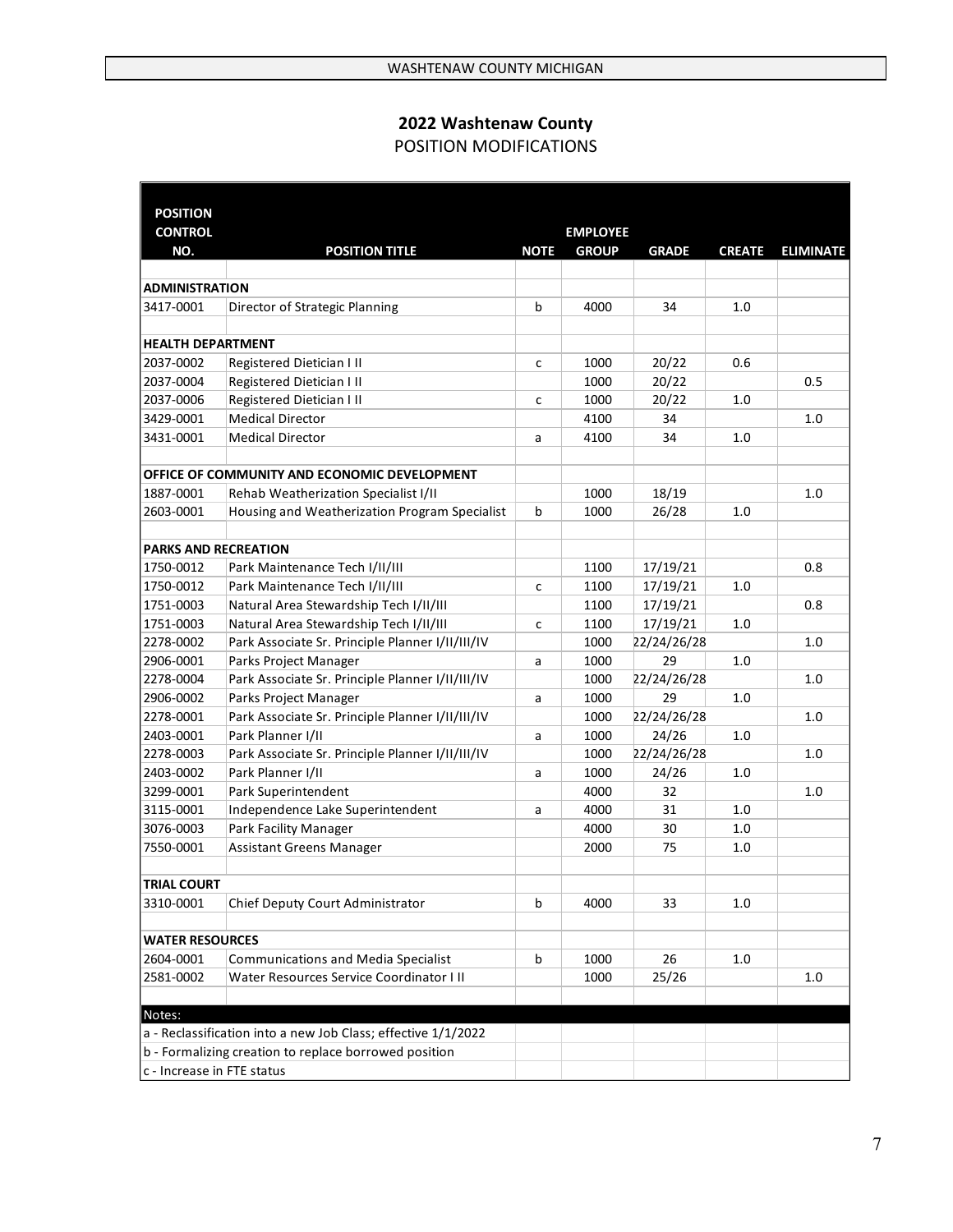# **2022 Washtenaw County**  POSITION MODIFICATIONS

| <b>POSITION</b>             |                                                               |             |                 |              |               |                  |
|-----------------------------|---------------------------------------------------------------|-------------|-----------------|--------------|---------------|------------------|
| <b>CONTROL</b>              |                                                               |             | <b>EMPLOYEE</b> |              |               |                  |
| NO.                         | <b>POSITION TITLE</b>                                         | <b>NOTE</b> | <b>GROUP</b>    | <b>GRADE</b> | <b>CREATE</b> | <b>ELIMINATE</b> |
|                             |                                                               |             |                 |              |               |                  |
| <b>ADMINISTRATION</b>       |                                                               |             |                 |              |               |                  |
| 3417-0001                   | Director of Strategic Planning                                | b           | 4000            | 34           | 1.0           |                  |
|                             |                                                               |             |                 |              |               |                  |
| <b>HEALTH DEPARTMENT</b>    |                                                               |             |                 |              |               |                  |
| 2037-0002                   | Registered Dietician I II                                     | c           | 1000            | 20/22        | 0.6           |                  |
| 2037-0004                   | Registered Dietician I II                                     |             | 1000            | 20/22        |               | 0.5              |
| 2037-0006                   | Registered Dietician I II                                     | c           | 1000            | 20/22        | 1.0           |                  |
| 3429-0001                   | <b>Medical Director</b>                                       |             | 4100            | 34           |               | 1.0              |
| 3431-0001                   | <b>Medical Director</b>                                       | a           | 4100            | 34           | 1.0           |                  |
|                             |                                                               |             |                 |              |               |                  |
|                             | OFFICE OF COMMUNITY AND ECONOMIC DEVELOPMENT                  |             |                 |              |               |                  |
| 1887-0001                   | Rehab Weatherization Specialist I/II                          |             | 1000            | 18/19        |               | 1.0              |
| 2603-0001                   | Housing and Weatherization Program Specialist                 | b           | 1000            | 26/28        | 1.0           |                  |
|                             |                                                               |             |                 |              |               |                  |
| <b>PARKS AND RECREATION</b> |                                                               |             |                 |              |               |                  |
| 1750-0012                   | Park Maintenance Tech I/II/III                                |             | 1100            | 17/19/21     |               | 0.8              |
| 1750-0012                   | Park Maintenance Tech I/II/III                                | c           | 1100            | 17/19/21     | 1.0           |                  |
| 1751-0003                   | Natural Area Stewardship Tech I/II/III                        |             | 1100            | 17/19/21     |               | 0.8              |
| 1751-0003                   | Natural Area Stewardship Tech I/II/III                        | c           | 1100            | 17/19/21     | 1.0           |                  |
| 2278-0002                   | Park Associate Sr. Principle Planner I/II/III/IV              |             | 1000            | 22/24/26/28  |               | 1.0              |
| 2906-0001                   | Parks Project Manager                                         | a           | 1000            | 29           | 1.0           |                  |
| 2278-0004                   | Park Associate Sr. Principle Planner I/II/III/IV              |             | 1000            | 22/24/26/28  |               | 1.0              |
| 2906-0002                   | Parks Project Manager                                         | a           | 1000            | 29           | 1.0           |                  |
| 2278-0001                   | Park Associate Sr. Principle Planner I/II/III/IV              |             | 1000            | 22/24/26/28  |               | 1.0              |
| 2403-0001                   | Park Planner I/II                                             | a           | 1000            | 24/26        | $1.0$         |                  |
| 2278-0003                   | Park Associate Sr. Principle Planner I/II/III/IV              |             | 1000            | 22/24/26/28  |               | 1.0              |
| 2403-0002                   | Park Planner I/II                                             | a           | 1000            | 24/26        | 1.0           |                  |
| 3299-0001                   | Park Superintendent                                           |             | 4000            | 32           |               | 1.0              |
| 3115-0001                   | Independence Lake Superintendent                              | a           | 4000            | 31           | 1.0           |                  |
| 3076-0003                   | Park Facility Manager                                         |             | 4000            | 30           | 1.0           |                  |
| 7550-0001                   | <b>Assistant Greens Manager</b>                               |             | 2000            | 75           | 1.0           |                  |
|                             |                                                               |             |                 |              |               |                  |
| <b>TRIAL COURT</b>          |                                                               |             |                 |              |               |                  |
| 3310-0001                   | Chief Deputy Court Administrator                              | b           | 4000            | 33           | 1.0           |                  |
|                             |                                                               |             |                 |              |               |                  |
| <b>WATER RESOURCES</b>      |                                                               |             |                 |              |               |                  |
| 2604-0001                   | <b>Communications and Media Specialist</b>                    | b           | 1000            | 26           | $1.0\,$       |                  |
| 2581-0002                   | Water Resources Service Coordinator III                       |             | 1000            | 25/26        |               | 1.0              |
|                             |                                                               |             |                 |              |               |                  |
| Notes:                      |                                                               |             |                 |              |               |                  |
|                             | a - Reclassification into a new Job Class; effective 1/1/2022 |             |                 |              |               |                  |
|                             | b - Formalizing creation to replace borrowed position         |             |                 |              |               |                  |
| c - Increase in FTE status  |                                                               |             |                 |              |               |                  |
|                             |                                                               |             |                 |              |               |                  |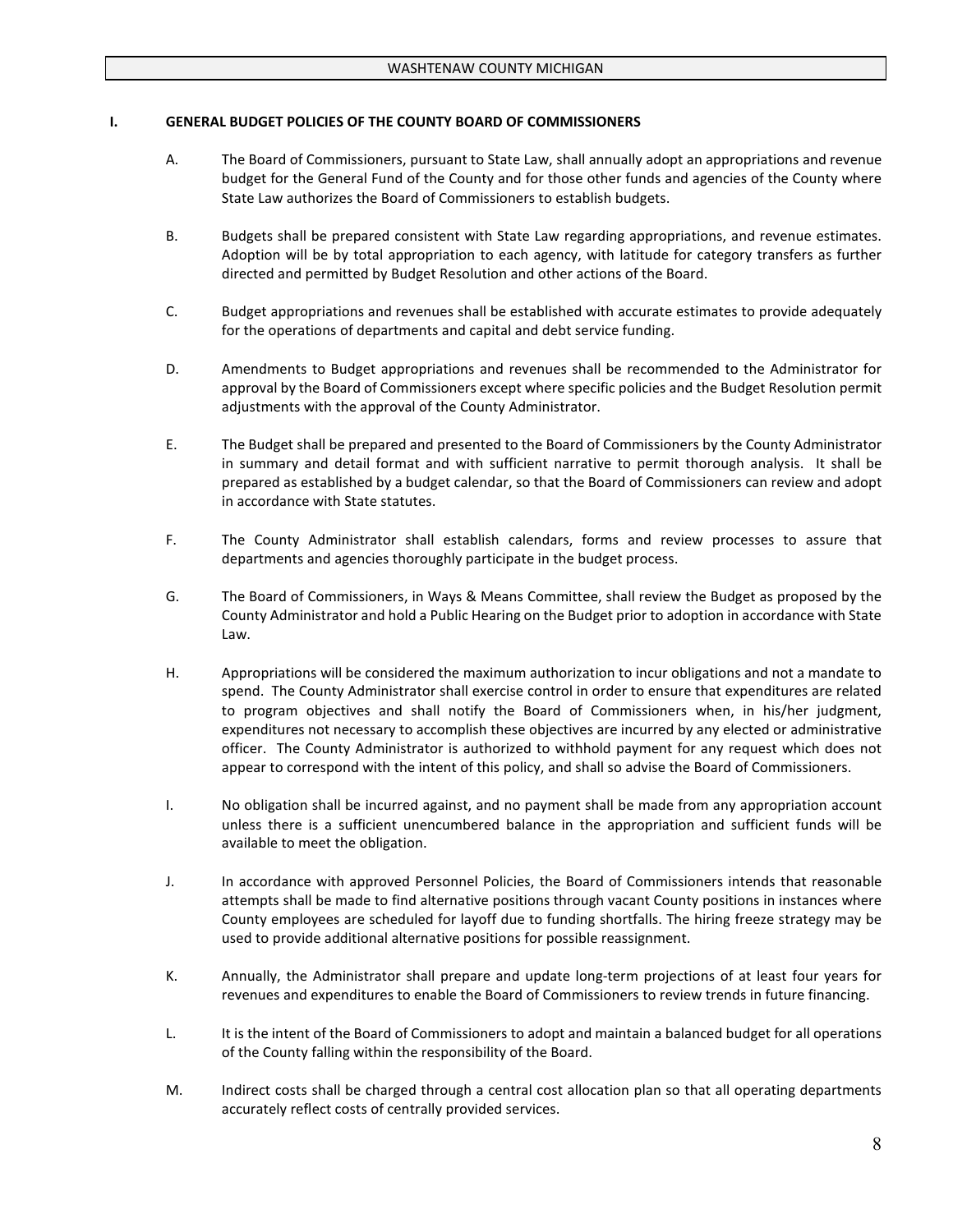#### **I. GENERAL BUDGET POLICIES OF THE COUNTY BOARD OF COMMISSIONERS**

- A. The Board of Commissioners, pursuant to State Law, shall annually adopt an appropriations and revenue budget for the General Fund of the County and for those other funds and agencies of the County where State Law authorizes the Board of Commissioners to establish budgets.
- B. Budgets shall be prepared consistent with State Law regarding appropriations, and revenue estimates. Adoption will be by total appropriation to each agency, with latitude for category transfers as further directed and permitted by Budget Resolution and other actions of the Board.
- C. Budget appropriations and revenues shall be established with accurate estimates to provide adequately for the operations of departments and capital and debt service funding.
- D. Amendments to Budget appropriations and revenues shall be recommended to the Administrator for approval by the Board of Commissioners except where specific policies and the Budget Resolution permit adjustments with the approval of the County Administrator.
- E. The Budget shall be prepared and presented to the Board of Commissioners by the County Administrator in summary and detail format and with sufficient narrative to permit thorough analysis. It shall be prepared as established by a budget calendar, so that the Board of Commissioners can review and adopt in accordance with State statutes.
- F. The County Administrator shall establish calendars, forms and review processes to assure that departments and agencies thoroughly participate in the budget process.
- G. The Board of Commissioners, in Ways & Means Committee, shall review the Budget as proposed by the County Administrator and hold a Public Hearing on the Budget prior to adoption in accordance with State Law.
- H. Appropriations will be considered the maximum authorization to incur obligations and not a mandate to spend. The County Administrator shall exercise control in order to ensure that expenditures are related to program objectives and shall notify the Board of Commissioners when, in his/her judgment, expenditures not necessary to accomplish these objectives are incurred by any elected or administrative officer. The County Administrator is authorized to withhold payment for any request which does not appear to correspond with the intent of this policy, and shall so advise the Board of Commissioners.
- I. No obligation shall be incurred against, and no payment shall be made from any appropriation account unless there is a sufficient unencumbered balance in the appropriation and sufficient funds will be available to meet the obligation.
- J. In accordance with approved Personnel Policies, the Board of Commissioners intends that reasonable attempts shall be made to find alternative positions through vacant County positions in instances where County employees are scheduled for layoff due to funding shortfalls. The hiring freeze strategy may be used to provide additional alternative positions for possible reassignment.
- K. Annually, the Administrator shall prepare and update long-term projections of at least four years for revenues and expenditures to enable the Board of Commissioners to review trends in future financing.
- L. It is the intent of the Board of Commissioners to adopt and maintain a balanced budget for all operations of the County falling within the responsibility of the Board.
- M. Indirect costs shall be charged through a central cost allocation plan so that all operating departments accurately reflect costs of centrally provided services.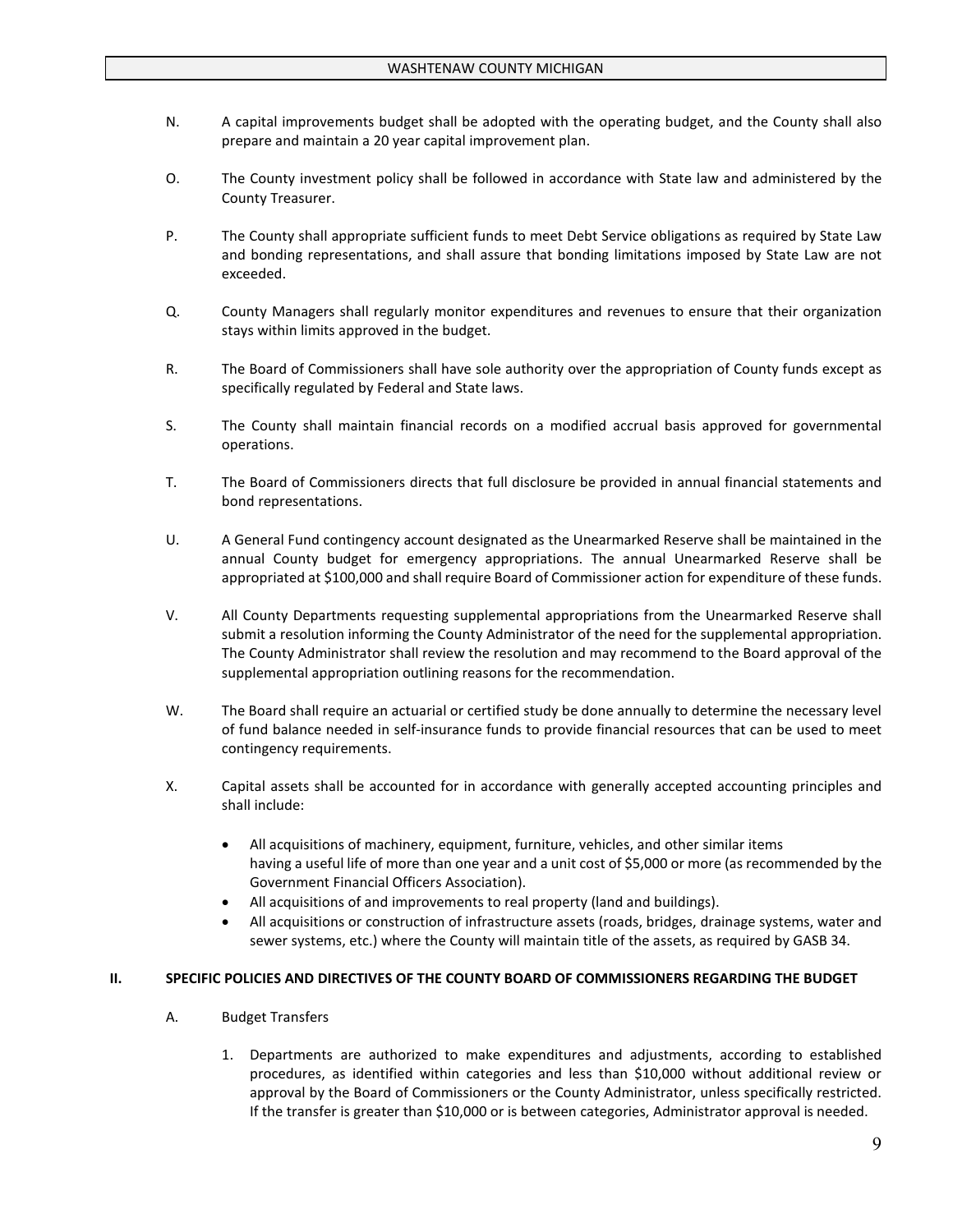- N. A capital improvements budget shall be adopted with the operating budget, and the County shall also prepare and maintain a 20 year capital improvement plan.
- O. The County investment policy shall be followed in accordance with State law and administered by the County Treasurer.
- P. The County shall appropriate sufficient funds to meet Debt Service obligations as required by State Law and bonding representations, and shall assure that bonding limitations imposed by State Law are not exceeded.
- Q. County Managers shall regularly monitor expenditures and revenues to ensure that their organization stays within limits approved in the budget.
- R. The Board of Commissioners shall have sole authority over the appropriation of County funds except as specifically regulated by Federal and State laws.
- S. The County shall maintain financial records on a modified accrual basis approved for governmental operations.
- T. The Board of Commissioners directs that full disclosure be provided in annual financial statements and bond representations.
- U. A General Fund contingency account designated as the Unearmarked Reserve shall be maintained in the annual County budget for emergency appropriations. The annual Unearmarked Reserve shall be appropriated at \$100,000 and shall require Board of Commissioner action for expenditure of these funds.
- V. All County Departments requesting supplemental appropriations from the Unearmarked Reserve shall submit a resolution informing the County Administrator of the need for the supplemental appropriation. The County Administrator shall review the resolution and may recommend to the Board approval of the supplemental appropriation outlining reasons for the recommendation.
- W. The Board shall require an actuarial or certified study be done annually to determine the necessary level of fund balance needed in self-insurance funds to provide financial resources that can be used to meet contingency requirements.
- X. Capital assets shall be accounted for in accordance with generally accepted accounting principles and shall include:
	- All acquisitions of machinery, equipment, furniture, vehicles, and other similar items having a useful life of more than one year and a unit cost of \$5,000 or more (as recommended by the Government Financial Officers Association).
	- All acquisitions of and improvements to real property (land and buildings).
	- All acquisitions or construction of infrastructure assets (roads, bridges, drainage systems, water and sewer systems, etc.) where the County will maintain title of the assets, as required by GASB 34.

#### **II. SPECIFIC POLICIES AND DIRECTIVES OF THE COUNTY BOARD OF COMMISSIONERS REGARDING THE BUDGET**

- A. Budget Transfers
	- 1. Departments are authorized to make expenditures and adjustments, according to established procedures, as identified within categories and less than \$10,000 without additional review or approval by the Board of Commissioners or the County Administrator, unless specifically restricted. If the transfer is greater than \$10,000 or is between categories, Administrator approval is needed.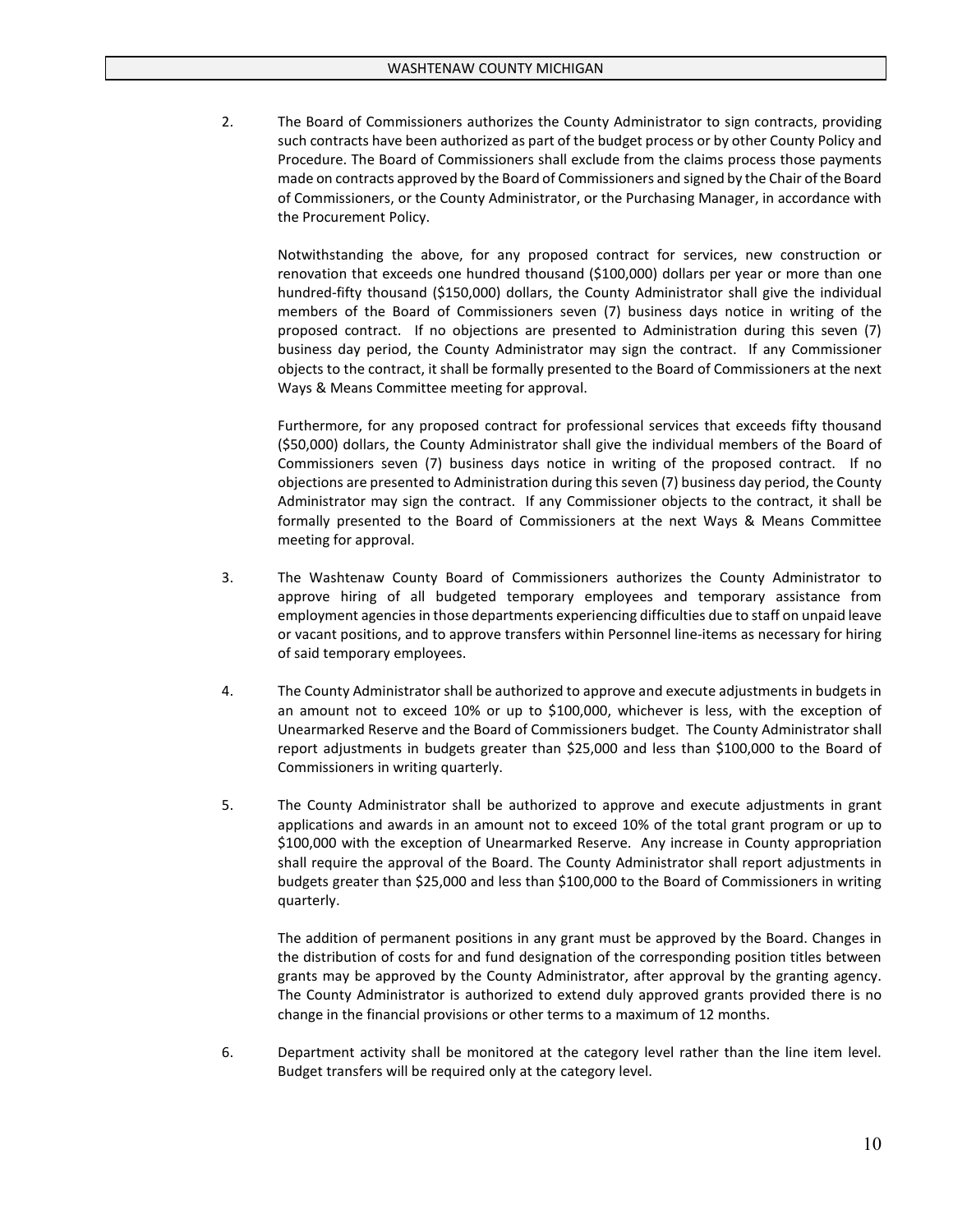2. The Board of Commissioners authorizes the County Administrator to sign contracts, providing such contracts have been authorized as part of the budget process or by other County Policy and Procedure. The Board of Commissioners shall exclude from the claims process those payments made on contracts approved by the Board of Commissioners and signed by the Chair of the Board of Commissioners, or the County Administrator, or the Purchasing Manager, in accordance with the Procurement Policy.

Notwithstanding the above, for any proposed contract for services, new construction or renovation that exceeds one hundred thousand (\$100,000) dollars per year or more than one hundred-fifty thousand (\$150,000) dollars, the County Administrator shall give the individual members of the Board of Commissioners seven (7) business days notice in writing of the proposed contract. If no objections are presented to Administration during this seven (7) business day period, the County Administrator may sign the contract. If any Commissioner objects to the contract, it shall be formally presented to the Board of Commissioners at the next Ways & Means Committee meeting for approval.

Furthermore, for any proposed contract for professional services that exceeds fifty thousand (\$50,000) dollars, the County Administrator shall give the individual members of the Board of Commissioners seven (7) business days notice in writing of the proposed contract. If no objections are presented to Administration during this seven (7) business day period, the County Administrator may sign the contract. If any Commissioner objects to the contract, it shall be formally presented to the Board of Commissioners at the next Ways & Means Committee meeting for approval.

- 3. The Washtenaw County Board of Commissioners authorizes the County Administrator to approve hiring of all budgeted temporary employees and temporary assistance from employment agencies in those departments experiencing difficulties due to staff on unpaid leave or vacant positions, and to approve transfers within Personnel line-items as necessary for hiring of said temporary employees.
- 4. The County Administrator shall be authorized to approve and execute adjustments in budgets in an amount not to exceed 10% or up to \$100,000, whichever is less, with the exception of Unearmarked Reserve and the Board of Commissioners budget. The County Administrator shall report adjustments in budgets greater than \$25,000 and less than \$100,000 to the Board of Commissioners in writing quarterly.
- 5. The County Administrator shall be authorized to approve and execute adjustments in grant applications and awards in an amount not to exceed 10% of the total grant program or up to \$100,000 with the exception of Unearmarked Reserve. Any increase in County appropriation shall require the approval of the Board. The County Administrator shall report adjustments in budgets greater than \$25,000 and less than \$100,000 to the Board of Commissioners in writing quarterly.

The addition of permanent positions in any grant must be approved by the Board. Changes in the distribution of costs for and fund designation of the corresponding position titles between grants may be approved by the County Administrator, after approval by the granting agency. The County Administrator is authorized to extend duly approved grants provided there is no change in the financial provisions or other terms to a maximum of 12 months.

6. Department activity shall be monitored at the category level rather than the line item level. Budget transfers will be required only at the category level.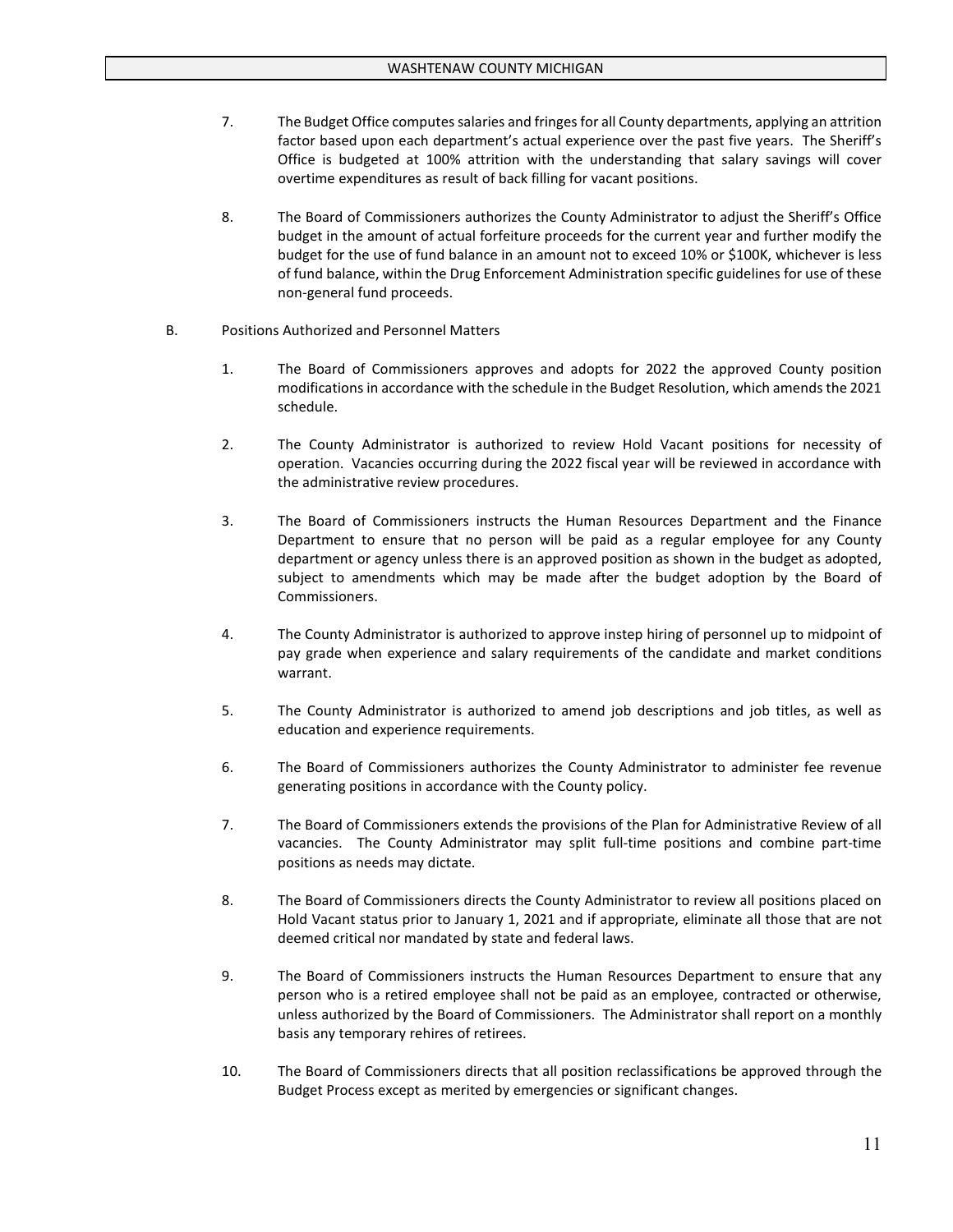- 7. The Budget Office computes salaries and fringes for all County departments, applying an attrition factor based upon each department's actual experience over the past five years. The Sheriff's Office is budgeted at 100% attrition with the understanding that salary savings will cover overtime expenditures as result of back filling for vacant positions.
- 8. The Board of Commissioners authorizes the County Administrator to adjust the Sheriff's Office budget in the amount of actual forfeiture proceeds for the current year and further modify the budget for the use of fund balance in an amount not to exceed 10% or \$100K, whichever is less of fund balance, within the Drug Enforcement Administration specific guidelines for use of these non-general fund proceeds.
- B. Positions Authorized and Personnel Matters
	- 1. The Board of Commissioners approves and adopts for 2022 the approved County position modifications in accordance with the schedule in the Budget Resolution, which amends the 2021 schedule.
	- 2. The County Administrator is authorized to review Hold Vacant positions for necessity of operation. Vacancies occurring during the 2022 fiscal year will be reviewed in accordance with the administrative review procedures.
	- 3. The Board of Commissioners instructs the Human Resources Department and the Finance Department to ensure that no person will be paid as a regular employee for any County department or agency unless there is an approved position as shown in the budget as adopted, subject to amendments which may be made after the budget adoption by the Board of Commissioners.
	- 4. The County Administrator is authorized to approve instep hiring of personnel up to midpoint of pay grade when experience and salary requirements of the candidate and market conditions warrant.
	- 5. The County Administrator is authorized to amend job descriptions and job titles, as well as education and experience requirements.
	- 6. The Board of Commissioners authorizes the County Administrator to administer fee revenue generating positions in accordance with the County policy.
	- 7. The Board of Commissioners extends the provisions of the Plan for Administrative Review of all vacancies. The County Administrator may split full-time positions and combine part-time positions as needs may dictate.
	- 8. The Board of Commissioners directs the County Administrator to review all positions placed on Hold Vacant status prior to January 1, 2021 and if appropriate, eliminate all those that are not deemed critical nor mandated by state and federal laws.
	- 9. The Board of Commissioners instructs the Human Resources Department to ensure that any person who is a retired employee shall not be paid as an employee, contracted or otherwise, unless authorized by the Board of Commissioners. The Administrator shall report on a monthly basis any temporary rehires of retirees.
	- 10. The Board of Commissioners directs that all position reclassifications be approved through the Budget Process except as merited by emergencies or significant changes.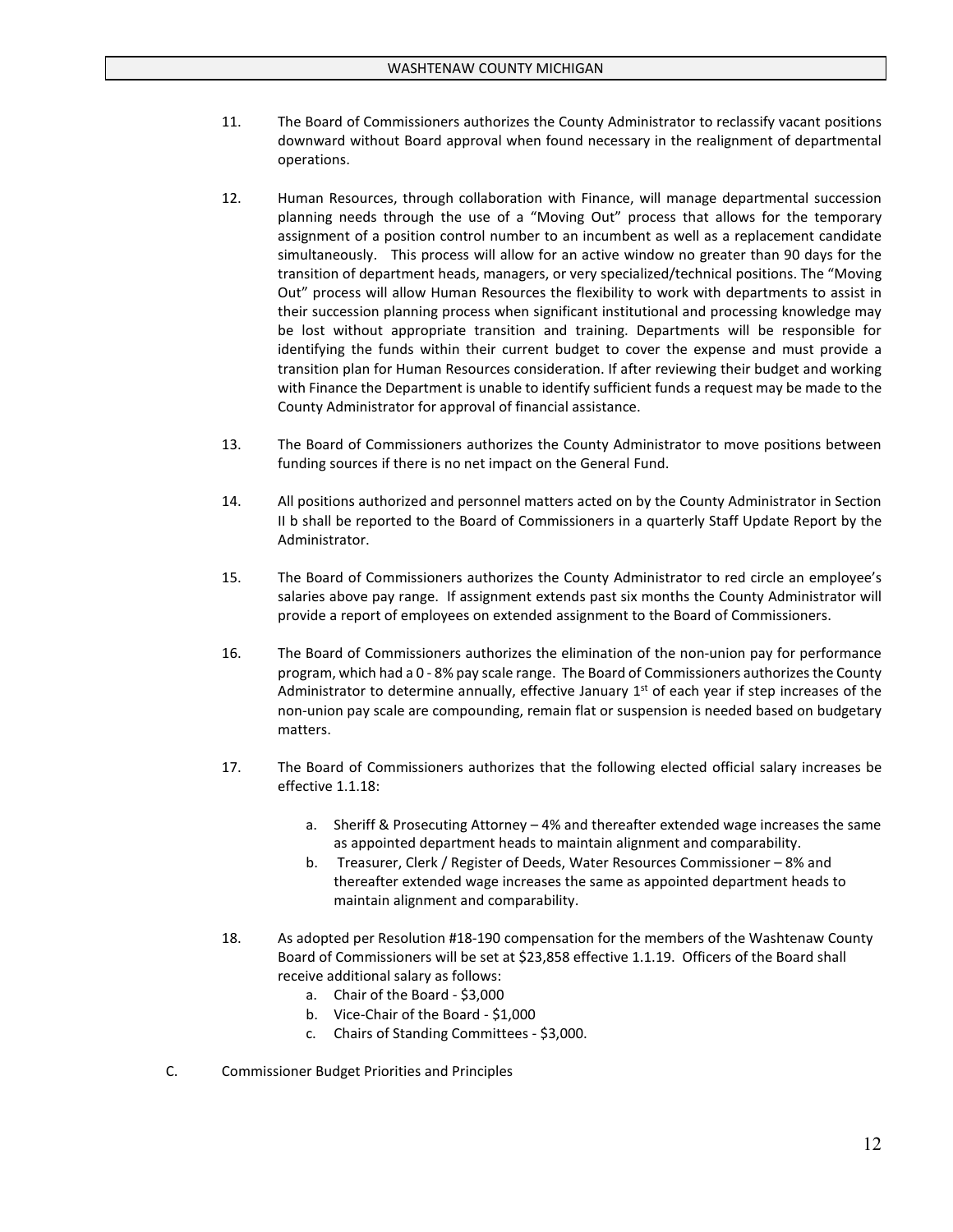- 11. The Board of Commissioners authorizes the County Administrator to reclassify vacant positions downward without Board approval when found necessary in the realignment of departmental operations.
- 12. Human Resources, through collaboration with Finance, will manage departmental succession planning needs through the use of a "Moving Out" process that allows for the temporary assignment of a position control number to an incumbent as well as a replacement candidate simultaneously. This process will allow for an active window no greater than 90 days for the transition of department heads, managers, or very specialized/technical positions. The "Moving Out" process will allow Human Resources the flexibility to work with departments to assist in their succession planning process when significant institutional and processing knowledge may be lost without appropriate transition and training. Departments will be responsible for identifying the funds within their current budget to cover the expense and must provide a transition plan for Human Resources consideration. If after reviewing their budget and working with Finance the Department is unable to identify sufficient funds a request may be made to the County Administrator for approval of financial assistance.
- 13. The Board of Commissioners authorizes the County Administrator to move positions between funding sources if there is no net impact on the General Fund.
- 14. All positions authorized and personnel matters acted on by the County Administrator in Section II b shall be reported to the Board of Commissioners in a quarterly Staff Update Report by the Administrator.
- 15. The Board of Commissioners authorizes the County Administrator to red circle an employee's salaries above pay range. If assignment extends past six months the County Administrator will provide a report of employees on extended assignment to the Board of Commissioners.
- 16. The Board of Commissioners authorizes the elimination of the non-union pay for performance program, which had a 0 - 8% pay scale range. The Board of Commissioners authorizes the County Administrator to determine annually, effective January  $1<sup>st</sup>$  of each year if step increases of the non-union pay scale are compounding, remain flat or suspension is needed based on budgetary matters.
- 17. The Board of Commissioners authorizes that the following elected official salary increases be effective 1.1.18:
	- a. Sheriff & Prosecuting Attorney 4% and thereafter extended wage increases the same as appointed department heads to maintain alignment and comparability.
	- b. Treasurer, Clerk / Register of Deeds, Water Resources Commissioner 8% and thereafter extended wage increases the same as appointed department heads to maintain alignment and comparability.
- 18. As adopted per Resolution #18-190 compensation for the members of the Washtenaw County Board of Commissioners will be set at \$23,858 effective 1.1.19. Officers of the Board shall receive additional salary as follows:
	- a. Chair of the Board \$3,000
	- b. Vice-Chair of the Board \$1,000
	- c. Chairs of Standing Committees \$3,000.
- C. Commissioner Budget Priorities and Principles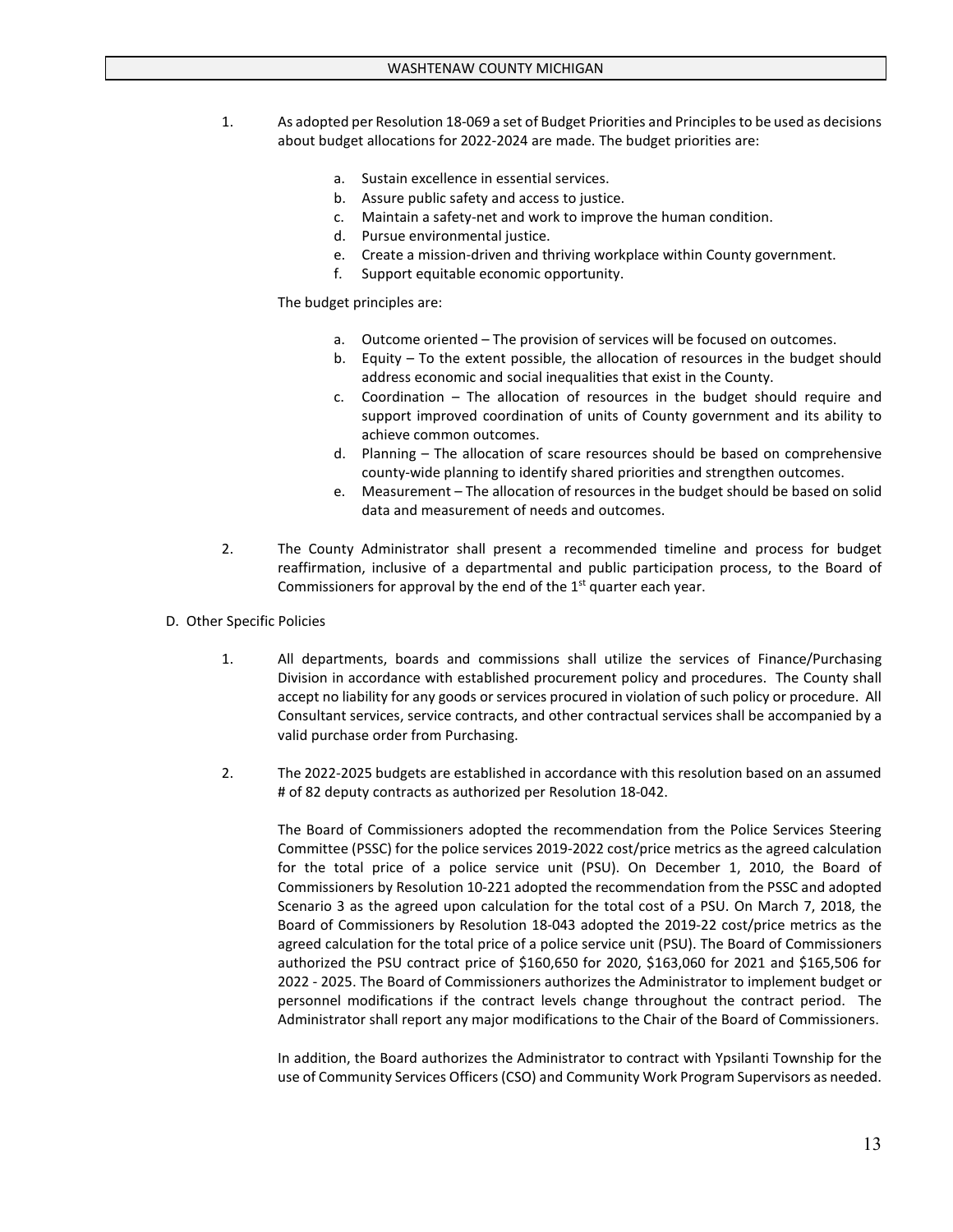- 1. As adopted per Resolution 18-069 a set of Budget Priorities and Principles to be used as decisions about budget allocations for 2022-2024 are made. The budget priorities are:
	- a. Sustain excellence in essential services.
	- b. Assure public safety and access to justice.
	- c. Maintain a safety-net and work to improve the human condition.
	- d. Pursue environmental justice.
	- e. Create a mission-driven and thriving workplace within County government.
	- f. Support equitable economic opportunity.

The budget principles are:

- a. Outcome oriented The provision of services will be focused on outcomes.
- b. Equity To the extent possible, the allocation of resources in the budget should address economic and social inequalities that exist in the County.
- c. Coordination The allocation of resources in the budget should require and support improved coordination of units of County government and its ability to achieve common outcomes.
- d. Planning The allocation of scare resources should be based on comprehensive county-wide planning to identify shared priorities and strengthen outcomes.
- e. Measurement The allocation of resources in the budget should be based on solid data and measurement of needs and outcomes.
- 2. The County Administrator shall present a recommended timeline and process for budget reaffirmation, inclusive of a departmental and public participation process, to the Board of Commissioners for approval by the end of the  $1<sup>st</sup>$  quarter each year.
- D. Other Specific Policies
	- 1. All departments, boards and commissions shall utilize the services of Finance/Purchasing Division in accordance with established procurement policy and procedures. The County shall accept no liability for any goods or services procured in violation of such policy or procedure. All Consultant services, service contracts, and other contractual services shall be accompanied by a valid purchase order from Purchasing.
	- 2. The 2022-2025 budgets are established in accordance with this resolution based on an assumed # of 82 deputy contracts as authorized per Resolution 18-042.

The Board of Commissioners adopted the recommendation from the Police Services Steering Committee (PSSC) for the police services 2019-2022 cost/price metrics as the agreed calculation for the total price of a police service unit (PSU). On December 1, 2010, the Board of Commissioners by Resolution 10-221 adopted the recommendation from the PSSC and adopted Scenario 3 as the agreed upon calculation for the total cost of a PSU. On March 7, 2018, the Board of Commissioners by Resolution 18-043 adopted the 2019-22 cost/price metrics as the agreed calculation for the total price of a police service unit (PSU). The Board of Commissioners authorized the PSU contract price of \$160,650 for 2020, \$163,060 for 2021 and \$165,506 for 2022 - 2025. The Board of Commissioners authorizes the Administrator to implement budget or personnel modifications if the contract levels change throughout the contract period. The Administrator shall report any major modifications to the Chair of the Board of Commissioners.

In addition, the Board authorizes the Administrator to contract with Ypsilanti Township for the use of Community Services Officers (CSO) and Community Work Program Supervisors as needed.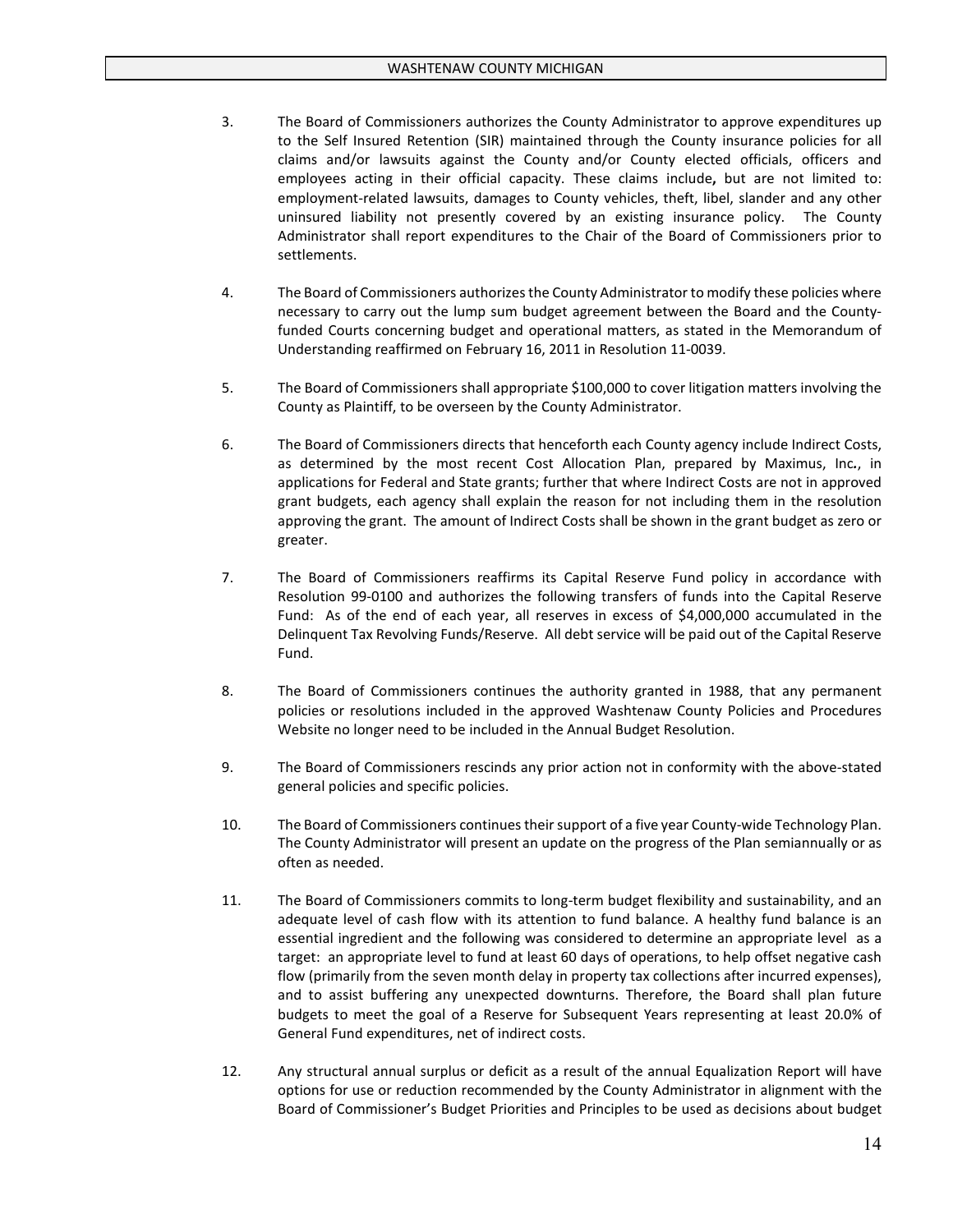- 3. The Board of Commissioners authorizes the County Administrator to approve expenditures up to the Self Insured Retention (SIR) maintained through the County insurance policies for all claims and/or lawsuits against the County and/or County elected officials, officers and employees acting in their official capacity. These claims include**,** but are not limited to: employment-related lawsuits, damages to County vehicles, theft, libel, slander and any other uninsured liability not presently covered by an existing insurance policy. The County Administrator shall report expenditures to the Chair of the Board of Commissioners prior to settlements.
- 4. The Board of Commissioners authorizes the County Administrator to modify these policies where necessary to carry out the lump sum budget agreement between the Board and the Countyfunded Courts concerning budget and operational matters, as stated in the Memorandum of Understanding reaffirmed on February 16, 2011 in Resolution 11-0039.
- 5. The Board of Commissioners shall appropriate \$100,000 to cover litigation matters involving the County as Plaintiff, to be overseen by the County Administrator.
- 6. The Board of Commissioners directs that henceforth each County agency include Indirect Costs, as determined by the most recent Cost Allocation Plan, prepared by Maximus, Inc*.*, in applications for Federal and State grants; further that where Indirect Costs are not in approved grant budgets, each agency shall explain the reason for not including them in the resolution approving the grant. The amount of Indirect Costs shall be shown in the grant budget as zero or greater.
- 7. The Board of Commissioners reaffirms its Capital Reserve Fund policy in accordance with Resolution 99-0100 and authorizes the following transfers of funds into the Capital Reserve Fund: As of the end of each year, all reserves in excess of \$4,000,000 accumulated in the Delinquent Tax Revolving Funds/Reserve. All debt service will be paid out of the Capital Reserve Fund.
- 8. The Board of Commissioners continues the authority granted in 1988, that any permanent policies or resolutions included in the approved Washtenaw County Policies and Procedures Website no longer need to be included in the Annual Budget Resolution.
- 9. The Board of Commissioners rescinds any prior action not in conformity with the above-stated general policies and specific policies.
- 10. The Board of Commissioners continues their support of a five year County-wide Technology Plan. The County Administrator will present an update on the progress of the Plan semiannually or as often as needed.
- 11. The Board of Commissioners commits to long-term budget flexibility and sustainability, and an adequate level of cash flow with its attention to fund balance. A healthy fund balance is an essential ingredient and the following was considered to determine an appropriate level as a target: an appropriate level to fund at least 60 days of operations, to help offset negative cash flow (primarily from the seven month delay in property tax collections after incurred expenses), and to assist buffering any unexpected downturns. Therefore, the Board shall plan future budgets to meet the goal of a Reserve for Subsequent Years representing at least 20.0% of General Fund expenditures, net of indirect costs.
- 12. Any structural annual surplus or deficit as a result of the annual Equalization Report will have options for use or reduction recommended by the County Administrator in alignment with the Board of Commissioner's Budget Priorities and Principles to be used as decisions about budget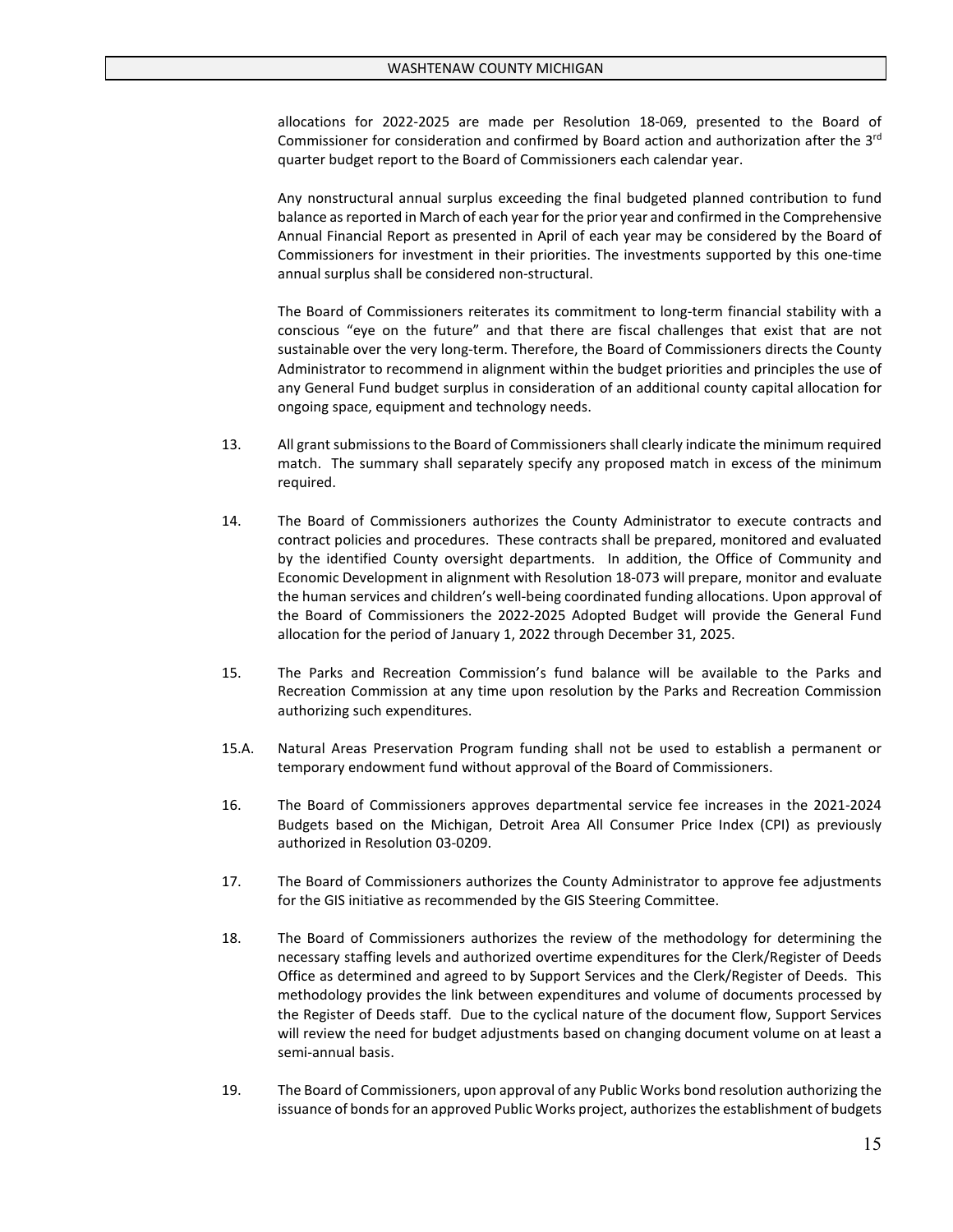allocations for 2022-2025 are made per Resolution 18-069, presented to the Board of Commissioner for consideration and confirmed by Board action and authorization after the 3<sup>rd</sup> quarter budget report to the Board of Commissioners each calendar year.

Any nonstructural annual surplus exceeding the final budgeted planned contribution to fund balance as reported in March of each year for the prior year and confirmed in the Comprehensive Annual Financial Report as presented in April of each year may be considered by the Board of Commissioners for investment in their priorities. The investments supported by this one-time annual surplus shall be considered non-structural.

The Board of Commissioners reiterates its commitment to long-term financial stability with a conscious "eye on the future" and that there are fiscal challenges that exist that are not sustainable over the very long-term. Therefore, the Board of Commissioners directs the County Administrator to recommend in alignment within the budget priorities and principles the use of any General Fund budget surplus in consideration of an additional county capital allocation for ongoing space, equipment and technology needs.

- 13. All grant submissions to the Board of Commissioners shall clearly indicate the minimum required match. The summary shall separately specify any proposed match in excess of the minimum required.
- 14. The Board of Commissioners authorizes the County Administrator to execute contracts and contract policies and procedures. These contracts shall be prepared, monitored and evaluated by the identified County oversight departments. In addition, the Office of Community and Economic Development in alignment with Resolution 18-073 will prepare, monitor and evaluate the human services and children's well-being coordinated funding allocations. Upon approval of the Board of Commissioners the 2022-2025 Adopted Budget will provide the General Fund allocation for the period of January 1, 2022 through December 31, 2025.
- 15. The Parks and Recreation Commission's fund balance will be available to the Parks and Recreation Commission at any time upon resolution by the Parks and Recreation Commission authorizing such expenditures.
- 15.A. Natural Areas Preservation Program funding shall not be used to establish a permanent or temporary endowment fund without approval of the Board of Commissioners.
- 16. The Board of Commissioners approves departmental service fee increases in the 2021-2024 Budgets based on the Michigan, Detroit Area All Consumer Price Index (CPI) as previously authorized in Resolution 03-0209.
- 17. The Board of Commissioners authorizes the County Administrator to approve fee adjustments for the GIS initiative as recommended by the GIS Steering Committee.
- 18. The Board of Commissioners authorizes the review of the methodology for determining the necessary staffing levels and authorized overtime expenditures for the Clerk/Register of Deeds Office as determined and agreed to by Support Services and the Clerk/Register of Deeds. This methodology provides the link between expenditures and volume of documents processed by the Register of Deeds staff. Due to the cyclical nature of the document flow, Support Services will review the need for budget adjustments based on changing document volume on at least a semi-annual basis.
- 19. The Board of Commissioners, upon approval of any Public Works bond resolution authorizing the issuance of bonds for an approved Public Works project, authorizes the establishment of budgets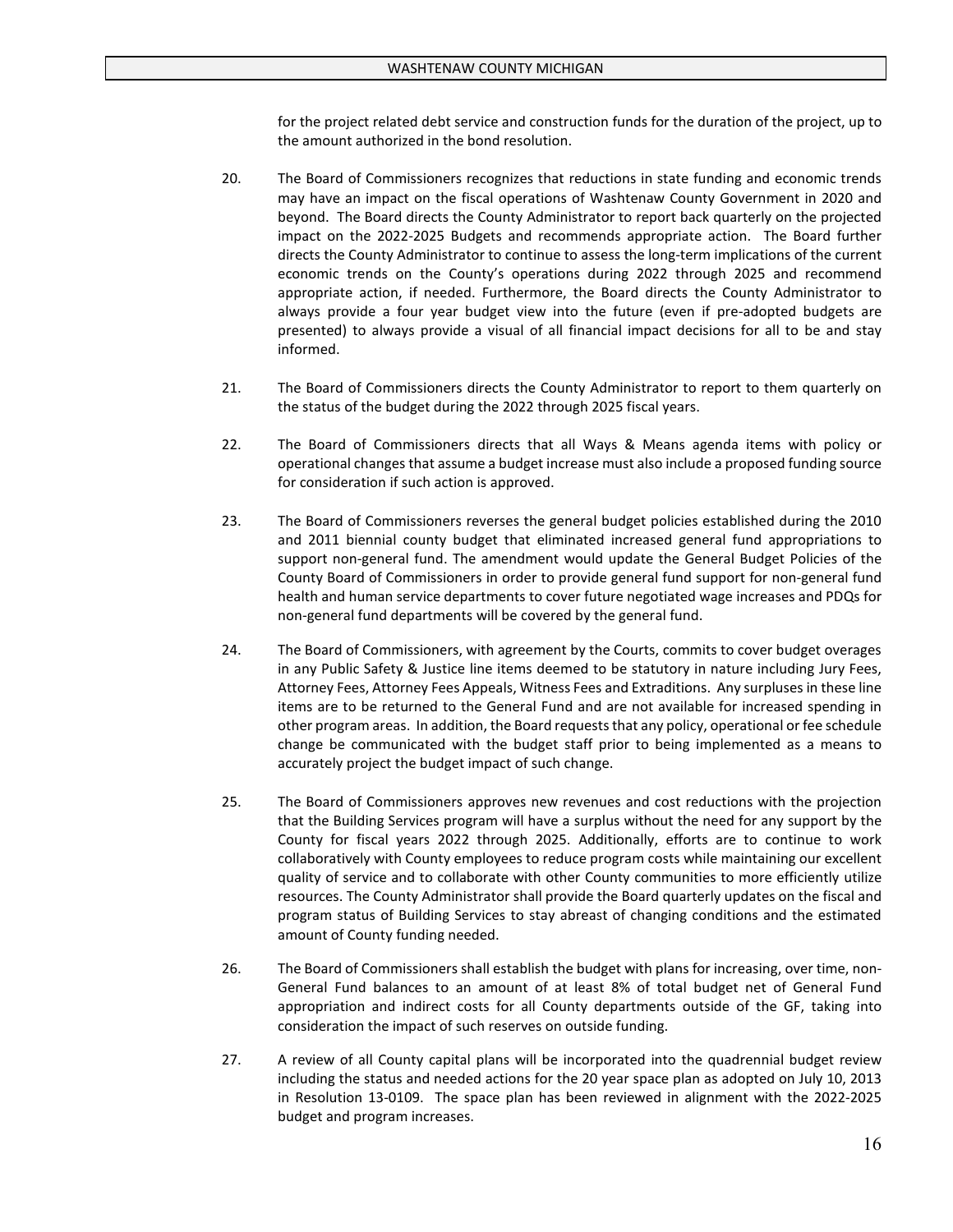for the project related debt service and construction funds for the duration of the project, up to the amount authorized in the bond resolution.

- 20. The Board of Commissioners recognizes that reductions in state funding and economic trends may have an impact on the fiscal operations of Washtenaw County Government in 2020 and beyond. The Board directs the County Administrator to report back quarterly on the projected impact on the 2022-2025 Budgets and recommends appropriate action. The Board further directs the County Administrator to continue to assess the long-term implications of the current economic trends on the County's operations during 2022 through 2025 and recommend appropriate action, if needed. Furthermore, the Board directs the County Administrator to always provide a four year budget view into the future (even if pre-adopted budgets are presented) to always provide a visual of all financial impact decisions for all to be and stay informed.
- 21. The Board of Commissioners directs the County Administrator to report to them quarterly on the status of the budget during the 2022 through 2025 fiscal years.
- 22. The Board of Commissioners directs that all Ways & Means agenda items with policy or operational changes that assume a budget increase must also include a proposed funding source for consideration if such action is approved.
- 23. The Board of Commissioners reverses the general budget policies established during the 2010 and 2011 biennial county budget that eliminated increased general fund appropriations to support non-general fund. The amendment would update the General Budget Policies of the County Board of Commissioners in order to provide general fund support for non-general fund health and human service departments to cover future negotiated wage increases and PDQs for non-general fund departments will be covered by the general fund.
- 24. The Board of Commissioners, with agreement by the Courts, commits to cover budget overages in any Public Safety & Justice line items deemed to be statutory in nature including Jury Fees, Attorney Fees, Attorney Fees Appeals, Witness Fees and Extraditions. Any surpluses in these line items are to be returned to the General Fund and are not available for increased spending in other program areas. In addition, the Board requests that any policy, operational or fee schedule change be communicated with the budget staff prior to being implemented as a means to accurately project the budget impact of such change.
- 25. The Board of Commissioners approves new revenues and cost reductions with the projection that the Building Services program will have a surplus without the need for any support by the County for fiscal years 2022 through 2025. Additionally, efforts are to continue to work collaboratively with County employees to reduce program costs while maintaining our excellent quality of service and to collaborate with other County communities to more efficiently utilize resources. The County Administrator shall provide the Board quarterly updates on the fiscal and program status of Building Services to stay abreast of changing conditions and the estimated amount of County funding needed.
- 26. The Board of Commissioners shall establish the budget with plans for increasing, over time, non-General Fund balances to an amount of at least 8% of total budget net of General Fund appropriation and indirect costs for all County departments outside of the GF, taking into consideration the impact of such reserves on outside funding.
- 27. A review of all County capital plans will be incorporated into the quadrennial budget review including the status and needed actions for the 20 year space plan as adopted on July 10, 2013 in Resolution 13-0109. The space plan has been reviewed in alignment with the 2022-2025 budget and program increases.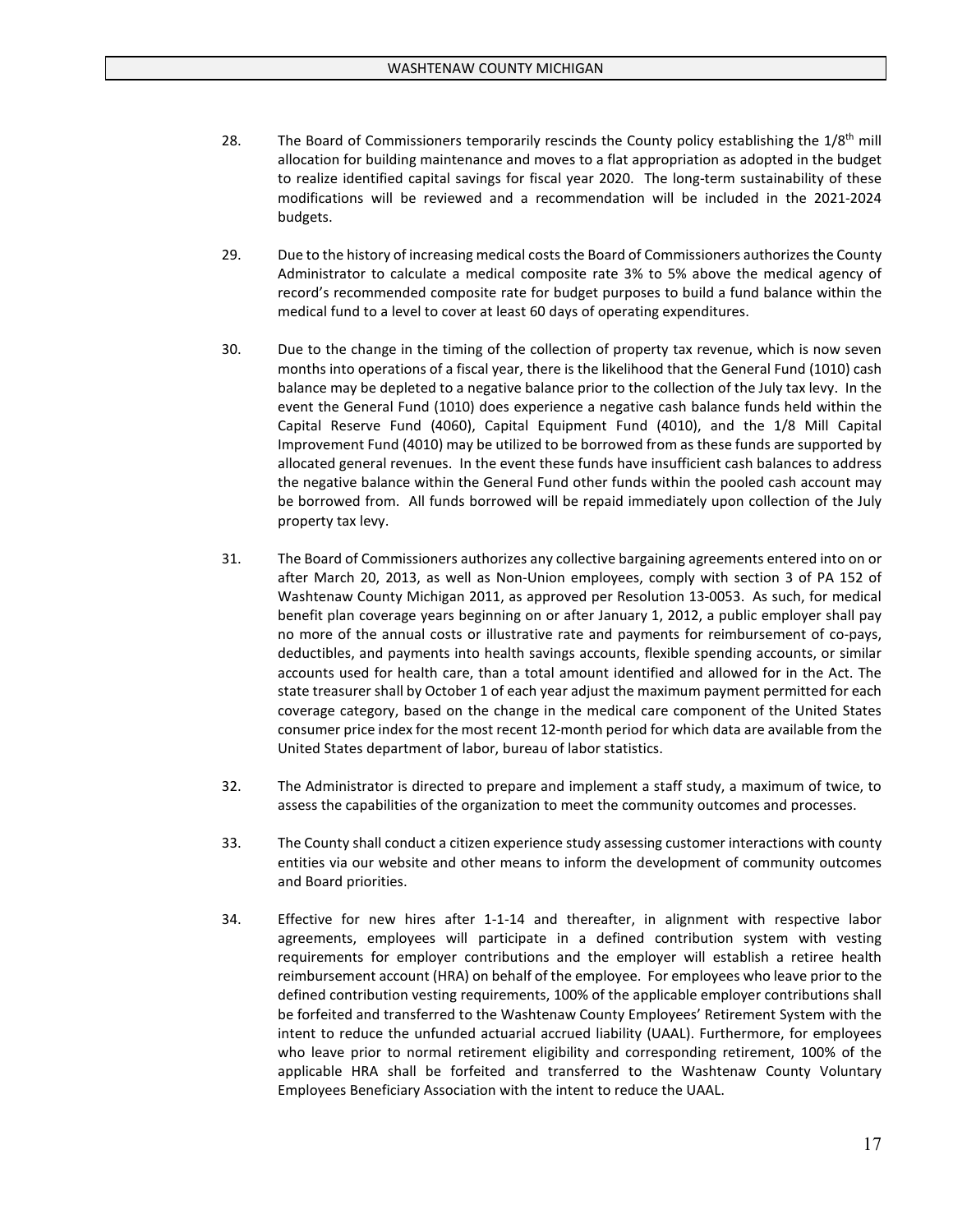- 28. The Board of Commissioners temporarily rescinds the County policy establishing the 1/8<sup>th</sup> mill allocation for building maintenance and moves to a flat appropriation as adopted in the budget to realize identified capital savings for fiscal year 2020. The long-term sustainability of these modifications will be reviewed and a recommendation will be included in the 2021-2024 budgets.
- 29. Due to the history of increasing medical costs the Board of Commissioners authorizes the County Administrator to calculate a medical composite rate 3% to 5% above the medical agency of record's recommended composite rate for budget purposes to build a fund balance within the medical fund to a level to cover at least 60 days of operating expenditures.
- 30. Due to the change in the timing of the collection of property tax revenue, which is now seven months into operations of a fiscal year, there is the likelihood that the General Fund (1010) cash balance may be depleted to a negative balance prior to the collection of the July tax levy. In the event the General Fund (1010) does experience a negative cash balance funds held within the Capital Reserve Fund (4060), Capital Equipment Fund (4010), and the 1/8 Mill Capital Improvement Fund (4010) may be utilized to be borrowed from as these funds are supported by allocated general revenues. In the event these funds have insufficient cash balances to address the negative balance within the General Fund other funds within the pooled cash account may be borrowed from. All funds borrowed will be repaid immediately upon collection of the July property tax levy.
- 31. The Board of Commissioners authorizes any collective bargaining agreements entered into on or after March 20, 2013, as well as Non-Union employees, comply with section 3 of PA 152 of Washtenaw County Michigan 2011, as approved per Resolution 13-0053. As such, for medical benefit plan coverage years beginning on or after January 1, 2012, a public employer shall pay no more of the annual costs or illustrative rate and payments for reimbursement of co-pays, deductibles, and payments into health savings accounts, flexible spending accounts, or similar accounts used for health care, than a total amount identified and allowed for in the Act. The state treasurer shall by October 1 of each year adjust the maximum payment permitted for each coverage category, based on the change in the medical care component of the United States consumer price index for the most recent 12-month period for which data are available from the United States department of labor, bureau of labor statistics.
- 32. The Administrator is directed to prepare and implement a staff study, a maximum of twice, to assess the capabilities of the organization to meet the community outcomes and processes.
- 33. The County shall conduct a citizen experience study assessing customer interactions with county entities via our website and other means to inform the development of community outcomes and Board priorities.
- 34. Effective for new hires after 1-1-14 and thereafter, in alignment with respective labor agreements, employees will participate in a defined contribution system with vesting requirements for employer contributions and the employer will establish a retiree health reimbursement account (HRA) on behalf of the employee. For employees who leave prior to the defined contribution vesting requirements, 100% of the applicable employer contributions shall be forfeited and transferred to the Washtenaw County Employees' Retirement System with the intent to reduce the unfunded actuarial accrued liability (UAAL). Furthermore, for employees who leave prior to normal retirement eligibility and corresponding retirement, 100% of the applicable HRA shall be forfeited and transferred to the Washtenaw County Voluntary Employees Beneficiary Association with the intent to reduce the UAAL.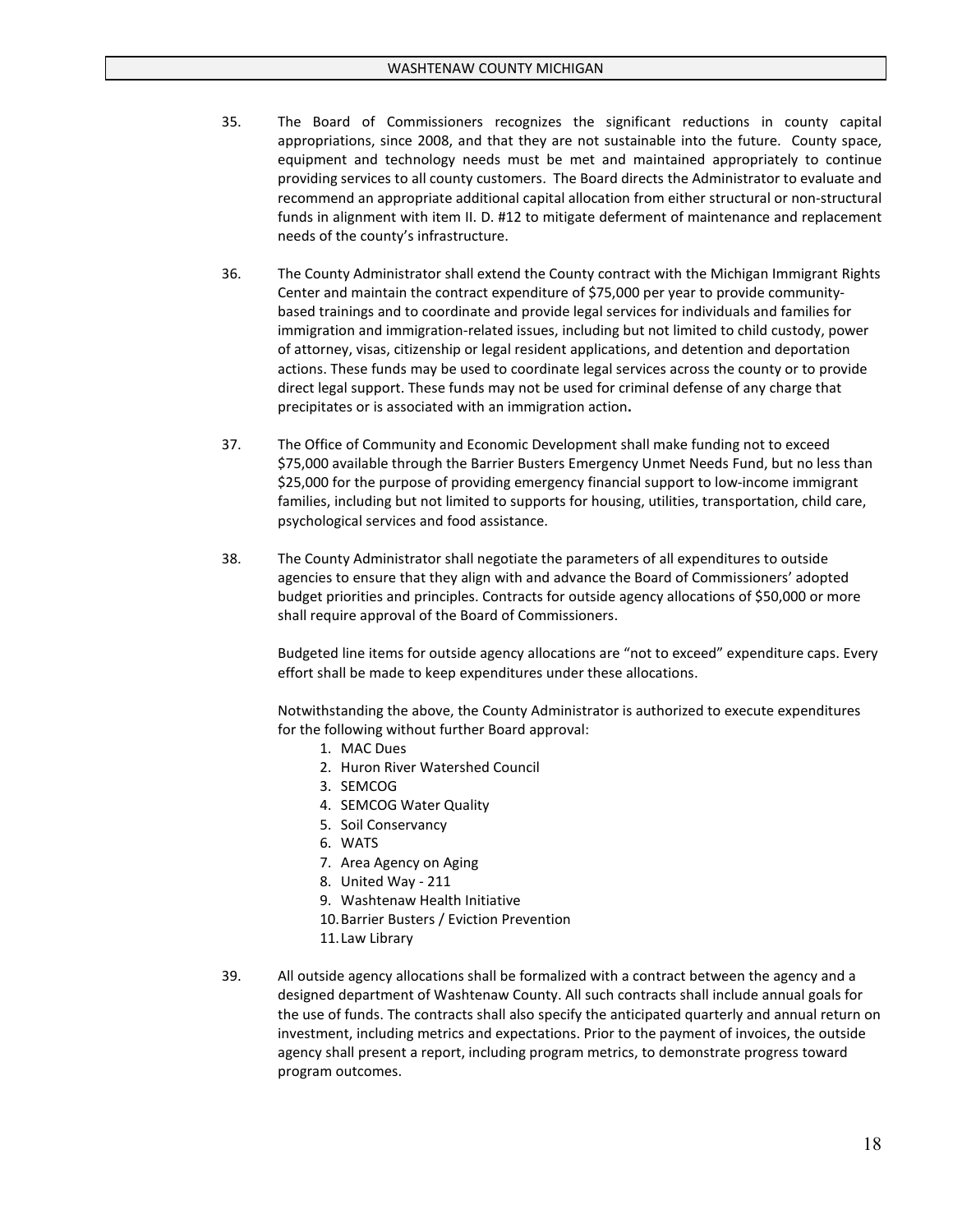- 35. The Board of Commissioners recognizes the significant reductions in county capital appropriations, since 2008, and that they are not sustainable into the future. County space, equipment and technology needs must be met and maintained appropriately to continue providing services to all county customers. The Board directs the Administrator to evaluate and recommend an appropriate additional capital allocation from either structural or non-structural funds in alignment with item II. D. #12 to mitigate deferment of maintenance and replacement needs of the county's infrastructure.
- 36. The County Administrator shall extend the County contract with the Michigan Immigrant Rights Center and maintain the contract expenditure of \$75,000 per year to provide communitybased trainings and to coordinate and provide legal services for individuals and families for immigration and immigration-related issues, including but not limited to child custody, power of attorney, visas, citizenship or legal resident applications, and detention and deportation actions. These funds may be used to coordinate legal services across the county or to provide direct legal support. These funds may not be used for criminal defense of any charge that precipitates or is associated with an immigration action**.**
- 37. The Office of Community and Economic Development shall make funding not to exceed \$75,000 available through the Barrier Busters Emergency Unmet Needs Fund, but no less than \$25,000 for the purpose of providing emergency financial support to low-income immigrant families, including but not limited to supports for housing, utilities, transportation, child care, psychological services and food assistance.
- 38. The County Administrator shall negotiate the parameters of all expenditures to outside agencies to ensure that they align with and advance the Board of Commissioners' adopted budget priorities and principles. Contracts for outside agency allocations of \$50,000 or more shall require approval of the Board of Commissioners.

Budgeted line items for outside agency allocations are "not to exceed" expenditure caps. Every effort shall be made to keep expenditures under these allocations.

Notwithstanding the above, the County Administrator is authorized to execute expenditures for the following without further Board approval:

- 1. MAC Dues
- 2. Huron River Watershed Council
- 3. SEMCOG
- 4. SEMCOG Water Quality
- 5. Soil Conservancy
- 6. WATS
- 7. Area Agency on Aging
- 8. United Way 211
- 9. Washtenaw Health Initiative
- 10.Barrier Busters / Eviction Prevention
- 11.Law Library
- 39. All outside agency allocations shall be formalized with a contract between the agency and a designed department of Washtenaw County. All such contracts shall include annual goals for the use of funds. The contracts shall also specify the anticipated quarterly and annual return on investment, including metrics and expectations. Prior to the payment of invoices, the outside agency shall present a report, including program metrics, to demonstrate progress toward program outcomes.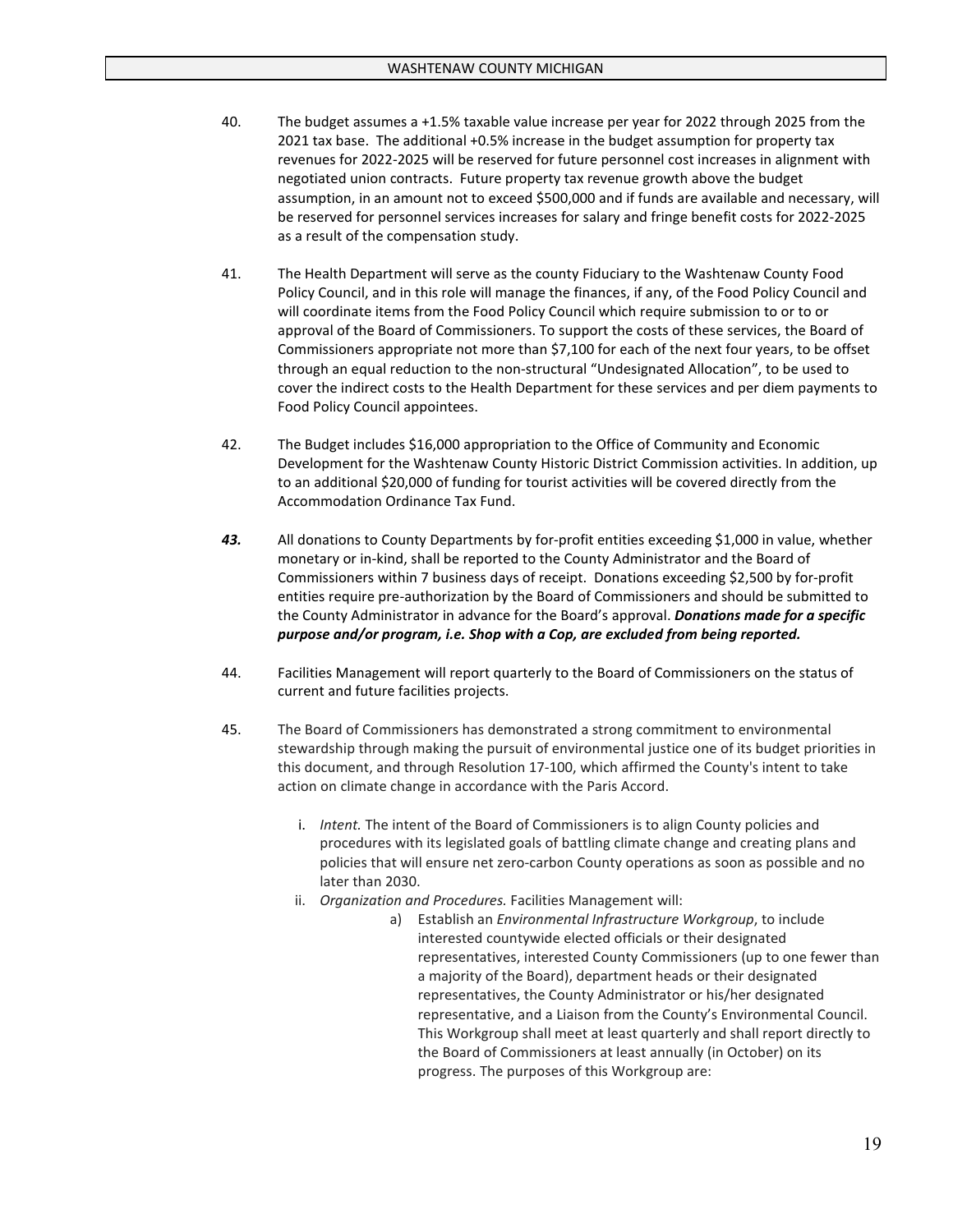- 40. The budget assumes a +1.5% taxable value increase per year for 2022 through 2025 from the 2021 tax base. The additional +0.5% increase in the budget assumption for property tax revenues for 2022-2025 will be reserved for future personnel cost increases in alignment with negotiated union contracts. Future property tax revenue growth above the budget assumption, in an amount not to exceed \$500,000 and if funds are available and necessary, will be reserved for personnel services increases for salary and fringe benefit costs for 2022-2025 as a result of the compensation study.
- 41. The Health Department will serve as the county Fiduciary to the Washtenaw County Food Policy Council, and in this role will manage the finances, if any, of the Food Policy Council and will coordinate items from the Food Policy Council which require submission to or to or approval of the Board of Commissioners. To support the costs of these services, the Board of Commissioners appropriate not more than \$7,100 for each of the next four years, to be offset through an equal reduction to the non-structural "Undesignated Allocation", to be used to cover the indirect costs to the Health Department for these services and per diem payments to Food Policy Council appointees.
- 42. The Budget includes \$16,000 appropriation to the Office of Community and Economic Development for the Washtenaw County Historic District Commission activities. In addition, up to an additional \$20,000 of funding for tourist activities will be covered directly from the Accommodation Ordinance Tax Fund.
- *43.* All donations to County Departments by for-profit entities exceeding \$1,000 in value, whether monetary or in-kind, shall be reported to the County Administrator and the Board of Commissioners within 7 business days of receipt. Donations exceeding \$2,500 by for-profit entities require pre-authorization by the Board of Commissioners and should be submitted to the County Administrator in advance for the Board's approval. *Donations made for a specific purpose and/or program, i.e. Shop with a Cop, are excluded from being reported.*
- 44. Facilities Management will report quarterly to the Board of Commissioners on the status of current and future facilities projects.
- 45. The Board of Commissioners has demonstrated a strong commitment to environmental stewardship through making the pursuit of environmental justice one of its budget priorities in this document, and through Resolution 17-100, which affirmed the County's intent to take action on climate change in accordance with the Paris Accord.
	- i. *Intent.* The intent of the Board of Commissioners is to align County policies and procedures with its legislated goals of battling climate change and creating plans and policies that will ensure net zero-carbon County operations as soon as possible and no later than 2030.
	- ii. *Organization and Procedures.* Facilities Management will:
		- a) Establish an *Environmental Infrastructure Workgroup*, to include interested countywide elected officials or their designated representatives, interested County Commissioners (up to one fewer than a majority of the Board), department heads or their designated representatives, the County Administrator or his/her designated representative, and a Liaison from the County's Environmental Council. This Workgroup shall meet at least quarterly and shall report directly to the Board of Commissioners at least annually (in October) on its progress. The purposes of this Workgroup are: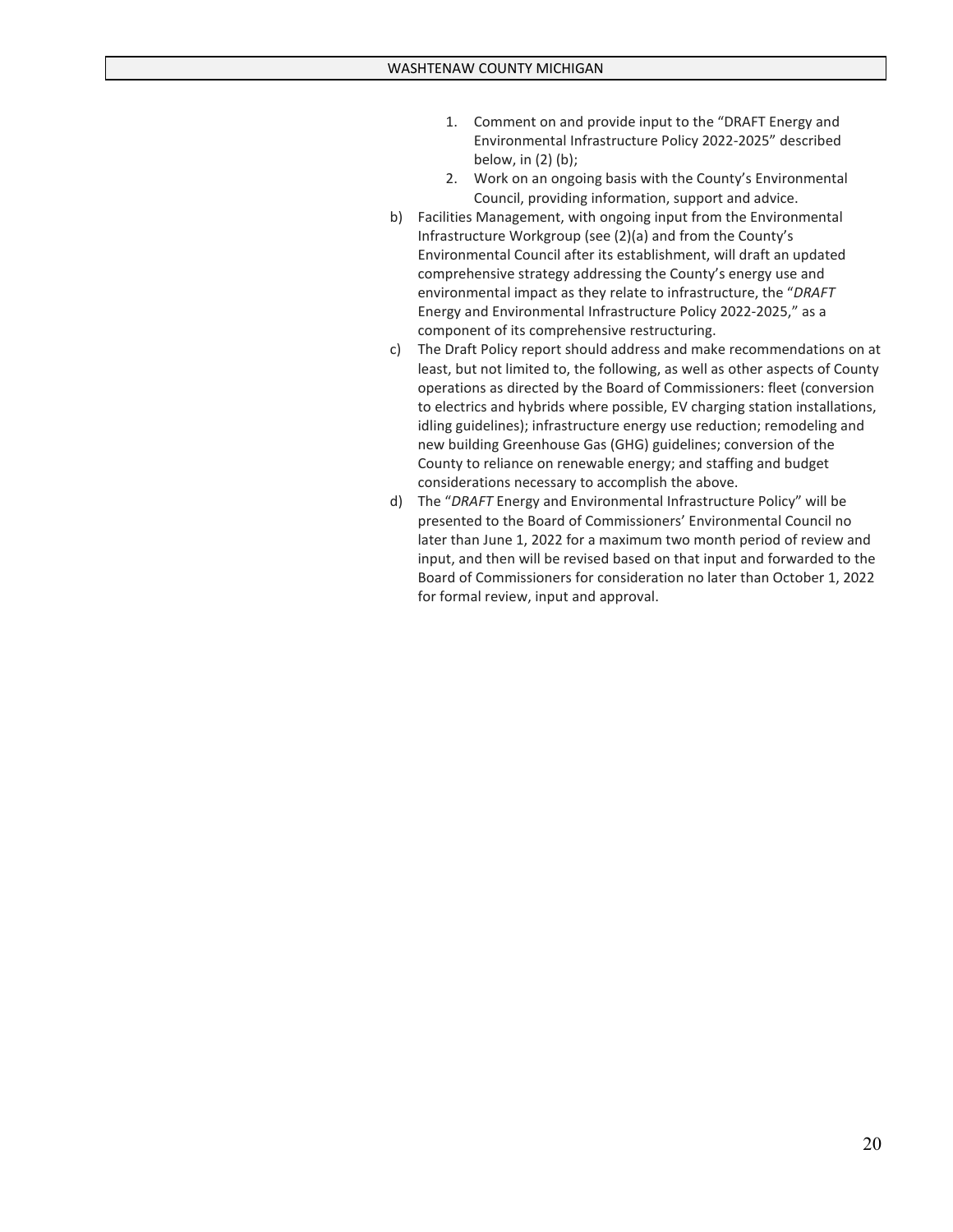- 1. Comment on and provide input to the "DRAFT Energy and Environmental Infrastructure Policy 2022-2025" described below, in (2) (b);
- 2. Work on an ongoing basis with the County's Environmental Council, providing information, support and advice.
- b) Facilities Management, with ongoing input from the Environmental Infrastructure Workgroup (see (2)(a) and from the County's Environmental Council after its establishment, will draft an updated comprehensive strategy addressing the County's energy use and environmental impact as they relate to infrastructure, the "*DRAFT*  Energy and Environmental Infrastructure Policy 2022-2025," as a component of its comprehensive restructuring.
- c) The Draft Policy report should address and make recommendations on at least, but not limited to, the following, as well as other aspects of County operations as directed by the Board of Commissioners: fleet (conversion to electrics and hybrids where possible, EV charging station installations, idling guidelines); infrastructure energy use reduction; remodeling and new building Greenhouse Gas (GHG) guidelines; conversion of the County to reliance on renewable energy; and staffing and budget considerations necessary to accomplish the above.
- d) The "*DRAFT* Energy and Environmental Infrastructure Policy" will be presented to the Board of Commissioners' Environmental Council no later than June 1, 2022 for a maximum two month period of review and input, and then will be revised based on that input and forwarded to the Board of Commissioners for consideration no later than October 1, 2022 for formal review, input and approval.